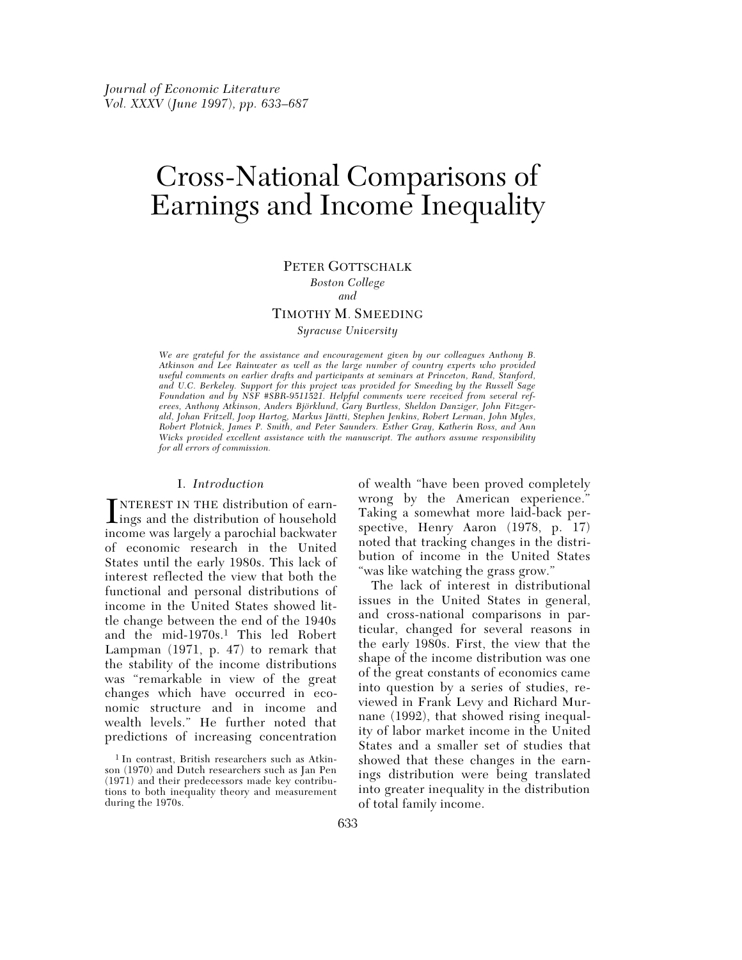# Cross-National Comparisons of Earnings and Income Inequality

#### PETER GOTTSCHALK

*Boston College and*

#### TIMOTHY M. SMEEDING

*Syracuse University*

*We are grateful for the assistance and encouragement given by our colleagues Anthony B. Atkinson and Lee Rainwater as well as the large number of country experts who provided useful comments on earlier drafts and participants at seminars at Princeton, Rand, Stanford, and U.C. Berkeley. Support for this project was provided for Smeeding by the Russell Sage Foundation and by NSF #SBR-9511521. Helpful comments were received from several referees, Anthony Atkinson, Anders Björklund, Gary Burtless, Sheldon Danziger, John Fitzgerald, Johan Fritzell, Joop Hartog, Markus Jäntti, Stephen Jenkins, Robert Lerman, John Myles, Robert Plotnick, James P. Smith, and Peter Saunders. Esther Gray, Katherin Ross, and Ann Wicks provided excellent assistance with the manuscript. The authors assume responsibility for all errors of commission.*

#### I. *Introduction*

INTEREST IN THE distribution of earn-<br>ings and the distribution of household<br>income was largely a naroshial hadwater NTEREST IN THE distribution of earnincome was largely a parochial backwater of economic research in the United States until the early 1980s. This lack of interest reflected the view that both the functional and personal distributions of income in the United States showed little change between the end of the 1940s and the mid-1970s.1 This led Robert Lampman (1971, p. 47) to remark that the stability of the income distributions was "remarkable in view of the great changes which have occurred in economic structure and in income and wealth levels." He further noted that predictions of increasing concentration

of wealth "have been proved completely wrong by the American experience." Taking a somewhat more laid-back perspective, Henry Aaron (1978, p. 17) noted that tracking changes in the distribution of income in the United States "was like watching the grass grow."

The lack of interest in distributional issues in the United States in general, and cross-national comparisons in particular, changed for several reasons in the early 1980s. First, the view that the shape of the income distribution was one of the great constants of economics came into question by a series of studies, reviewed in Frank Levy and Richard Murnane (1992), that showed rising inequality of labor market income in the United States and a smaller set of studies that showed that these changes in the earnings distribution were being translated into greater inequality in the distribution of total family income.

<sup>1</sup> In contrast, British researchers such as Atkinson (1970) and Dutch researchers such as Jan Pen (1971) and their predecessors made key contributions to both inequality theory and measurement during the 1970s.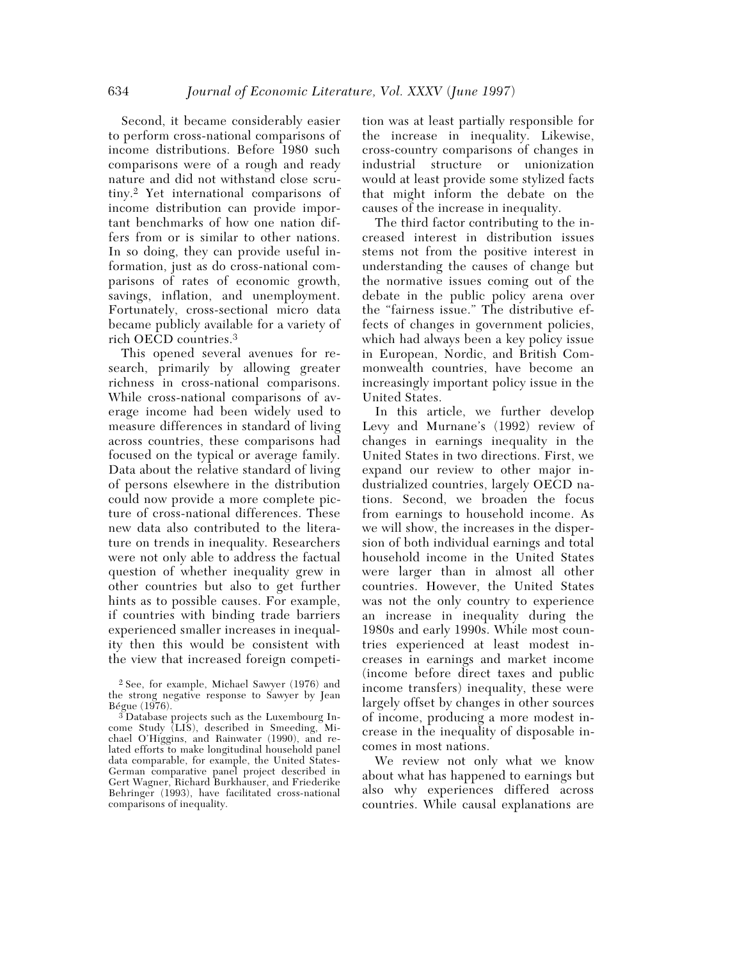Second, it became considerably easier to perform cross-national comparisons of income distributions. Before 1980 such comparisons were of a rough and ready nature and did not withstand close scrutiny.2 Yet international comparisons of income distribution can provide important benchmarks of how one nation differs from or is similar to other nations. In so doing, they can provide useful information, just as do cross-national comparisons of rates of economic growth, savings, inflation, and unemployment. Fortunately, cross-sectional micro data became publicly available for a variety of rich OECD countries.3

This opened several avenues for research, primarily by allowing greater richness in cross-national comparisons. While cross-national comparisons of average income had been widely used to measure differences in standard of living across countries, these comparisons had focused on the typical or average family. Data about the relative standard of living of persons elsewhere in the distribution could now provide a more complete picture of cross-national differences. These new data also contributed to the literature on trends in inequality. Researchers were not only able to address the factual question of whether inequality grew in other countries but also to get further hints as to possible causes. For example, if countries with binding trade barriers experienced smaller increases in inequality then this would be consistent with the view that increased foreign competition was at least partially responsible for the increase in inequality. Likewise, cross-country comparisons of changes in industrial structure or unionization would at least provide some stylized facts that might inform the debate on the causes of the increase in inequality.

The third factor contributing to the increased interest in distribution issues stems not from the positive interest in understanding the causes of change but the normative issues coming out of the debate in the public policy arena over the "fairness issue." The distributive effects of changes in government policies, which had always been a key policy issue in European, Nordic, and British Commonwealth countries, have become an increasingly important policy issue in the United States.

In this article, we further develop Levy and Murnane's (1992) review of changes in earnings inequality in the United States in two directions. First, we expand our review to other major industrialized countries, largely OECD nations. Second, we broaden the focus from earnings to household income. As we will show, the increases in the dispersion of both individual earnings and total household income in the United States were larger than in almost all other countries. However, the United States was not the only country to experience an increase in inequality during the 1980s and early 1990s. While most countries experienced at least modest increases in earnings and market income (income before direct taxes and public income transfers) inequality, these were largely offset by changes in other sources of income, producing a more modest increase in the inequality of disposable incomes in most nations.

We review not only what we know about what has happened to earnings but also why experiences differed across countries. While causal explanations are

<sup>2</sup> See, for example, Michael Sawyer (1976) and the strong negative response to Sawyer by Jean Bégue (1976).

<sup>3</sup> Database projects such as the Luxembourg Income Study (LIS), described in Smeeding, Michael O'Higgins, and Rainwater (1990), and related efforts to make longitudinal household panel data comparable, for example, the United States-German comparative panel project described in Gert Wagner, Richard Burkhauser, and Friederike Behringer (1993), have facilitated cross-national comparisons of inequality.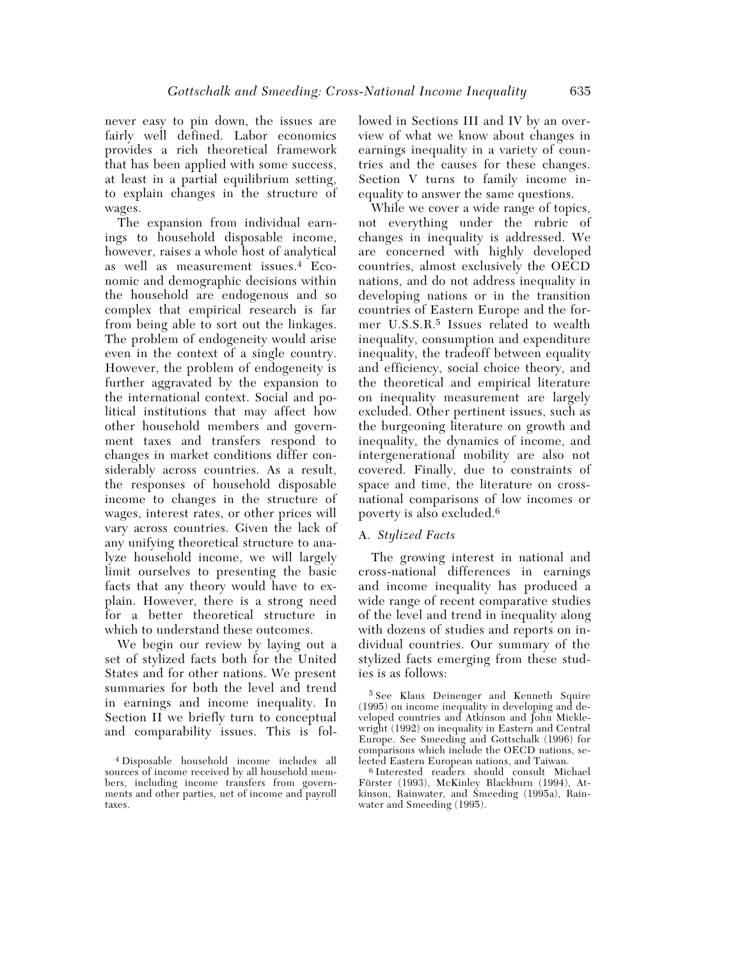never easy to pin down, the issues are fairly well defined. Labor economics provides a rich theoretical framework that has been applied with some success, at least in a partial equilibrium setting, to explain changes in the structure of wages.

The expansion from individual earnings to household disposable income, however, raises a whole host of analytical as well as measurement issues.4 Economic and demographic decisions within the household are endogenous and so complex that empirical research is far from being able to sort out the linkages. The problem of endogeneity would arise even in the context of a single country. However, the problem of endogeneity is further aggravated by the expansion to the international context. Social and political institutions that may affect how other household members and government taxes and transfers respond to changes in market conditions differ considerably across countries. As a result, the responses of household disposable income to changes in the structure of wages, interest rates, or other prices will vary across countries. Given the lack of any unifying theoretical structure to analyze household income, we will largely limit ourselves to presenting the basic facts that any theory would have to explain. However, there is a strong need for a better theoretical structure in which to understand these outcomes.

We begin our review by laying out a set of stylized facts both for the United States and for other nations. We present summaries for both the level and trend in earnings and income inequality. In Section II we briefly turn to conceptual and comparability issues. This is followed in Sections III and IV by an overview of what we know about changes in earnings inequality in a variety of countries and the causes for these changes. Section V turns to family income inequality to answer the same questions.

While we cover a wide range of topics, not everything under the rubric of changes in inequality is addressed. We are concerned with highly developed countries, almost exclusively the OECD nations, and do not address inequality in developing nations or in the transition countries of Eastern Europe and the former U.S.S.R.5 Issues related to wealth inequality, consumption and expenditure inequality, the tradeoff between equality and efficiency, social choice theory, and the theoretical and empirical literature on inequality measurement are largely excluded. Other pertinent issues, such as the burgeoning literature on growth and inequality, the dynamics of income, and intergenerational mobility are also not covered. Finally, due to constraints of space and time, the literature on crossnational comparisons of low incomes or poverty is also excluded.6

#### A. *Stylized Facts*

The growing interest in national and cross-national differences in earnings and income inequality has produced a wide range of recent comparative studies of the level and trend in inequality along with dozens of studies and reports on individual countries. Our summary of the stylized facts emerging from these studies is as follows:

5 See Klaus Deinenger and Kenneth Squire (1995) on income inequality in developing and developed countries and Atkinson and John Micklewright (1992) on inequality in Eastern and Central Europe. See Smeeding and Gottschalk (1996) for comparisons which include the OECD nations, selected Eastern European nations, and Taiwan.

6 Interested readers should consult Michael Förster (1993), McKinley Blackburn (1994), Atkinson, Rainwater, and Smeeding (1995a), Rainwater and Smeeding (1995).

<sup>4</sup> Disposable household income includes all sources of income received by all household members, including income transfers from governments and other parties, net of income and payroll taxes.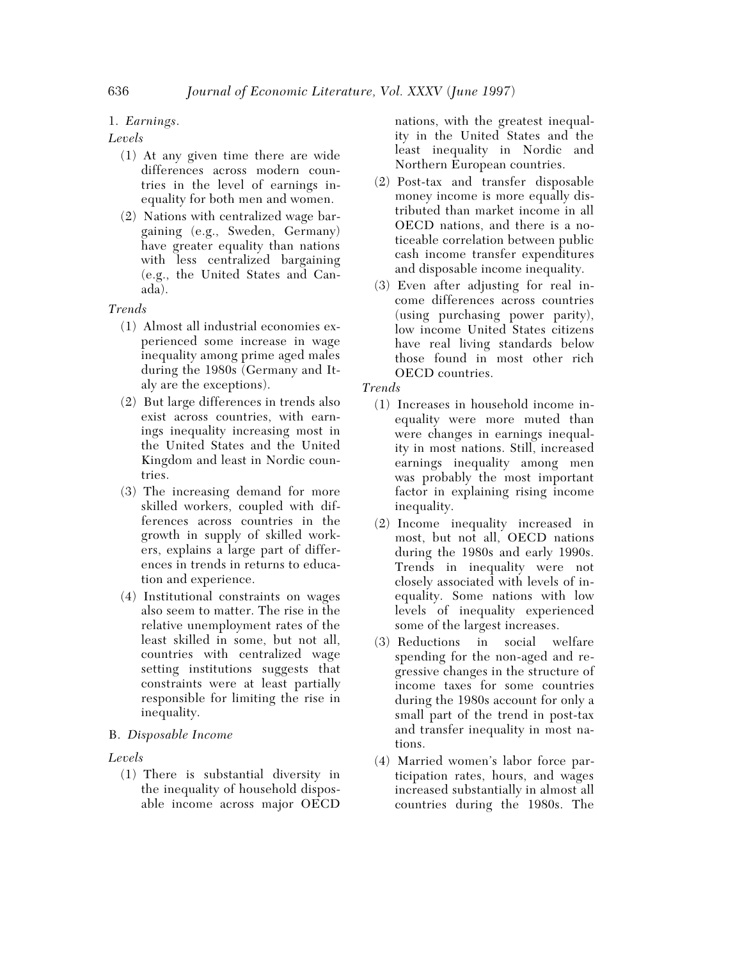# 1. *Earnings*.

# *Levels*

- (1) At any given time there are wide differences across modern countries in the level of earnings inequality for both men and women.
- (2) Nations with centralized wage bargaining (e.g., Sweden, Germany) have greater equality than nations with less centralized bargaining (e.g., the United States and Canada).

# *Trends*

- (1) Almost all industrial economies experienced some increase in wage inequality among prime aged males during the 1980s (Germany and Italy are the exceptions).
- (2) But large differences in trends also exist across countries, with earnings inequality increasing most in the United States and the United Kingdom and least in Nordic countries.
- (3) The increasing demand for more skilled workers, coupled with differences across countries in the growth in supply of skilled workers, explains a large part of differences in trends in returns to education and experience.
- (4) Institutional constraints on wages also seem to matter. The rise in the relative unemployment rates of the least skilled in some, but not all, countries with centralized wage setting institutions suggests that constraints were at least partially responsible for limiting the rise in inequality.

# B. *Disposable Income*

# *Levels*

(1) There is substantial diversity in the inequality of household disposable income across major OECD

nations, with the greatest inequality in the United States and the least inequality in Nordic and Northern European countries.

- (2) Post-tax and transfer disposable money income is more equally distributed than market income in all OECD nations, and there is a noticeable correlation between public cash income transfer expenditures and disposable income inequality.
- (3) Even after adjusting for real income differences across countries (using purchasing power parity), low income United States citizens have real living standards below those found in most other rich OECD countries.

# *Trends*

- (1) Increases in household income inequality were more muted than were changes in earnings inequality in most nations. Still, increased earnings inequality among men was probably the most important factor in explaining rising income inequality.
- (2) Income inequality increased in most, but not all, OECD nations during the 1980s and early 1990s. Trends in inequality were not closely associated with levels of inequality. Some nations with low levels of inequality experienced some of the largest increases.
- (3) Reductions in social welfare spending for the non-aged and regressive changes in the structure of income taxes for some countries during the 1980s account for only a small part of the trend in post-tax and transfer inequality in most nations.
- (4) Married women's labor force participation rates, hours, and wages increased substantially in almost all countries during the 1980s. The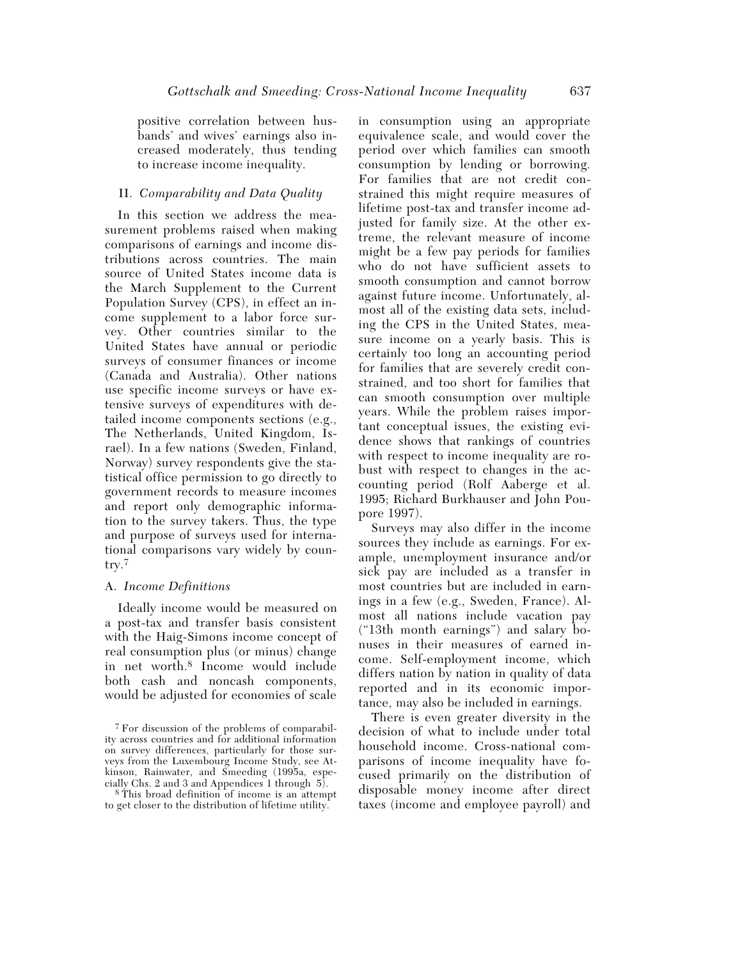positive correlation between husbands' and wives' earnings also increased moderately, thus tending to increase income inequality.

## II. *Comparability and Data Quality*

In this section we address the measurement problems raised when making comparisons of earnings and income distributions across countries. The main source of United States income data is the March Supplement to the Current Population Survey (CPS), in effect an income supplement to a labor force survey. Other countries similar to the United States have annual or periodic surveys of consumer finances or income (Canada and Australia). Other nations use specific income surveys or have extensive surveys of expenditures with detailed income components sections (e.g., The Netherlands, United Kingdom, Israel). In a few nations (Sweden, Finland, Norway) survey respondents give the statistical office permission to go directly to government records to measure incomes and report only demographic information to the survey takers. Thus, the type and purpose of surveys used for international comparisons vary widely by country.7

## A. *Income Definitions*

Ideally income would be measured on a post-tax and transfer basis consistent with the Haig-Simons income concept of real consumption plus (or minus) change in net worth.8 Income would include both cash and noncash components, would be adjusted for economies of scale

in consumption using an appropriate equivalence scale, and would cover the period over which families can smooth consumption by lending or borrowing. For families that are not credit constrained this might require measures of lifetime post-tax and transfer income adjusted for family size. At the other extreme, the relevant measure of income might be a few pay periods for families who do not have sufficient assets to smooth consumption and cannot borrow against future income. Unfortunately, almost all of the existing data sets, including the CPS in the United States, measure income on a yearly basis. This is certainly too long an accounting period for families that are severely credit constrained, and too short for families that can smooth consumption over multiple years. While the problem raises important conceptual issues, the existing evidence shows that rankings of countries with respect to income inequality are robust with respect to changes in the accounting period (Rolf Aaberge et al. 1995; Richard Burkhauser and John Poupore 1997).

Surveys may also differ in the income sources they include as earnings. For example, unemployment insurance and/or sick pay are included as a transfer in most countries but are included in earnings in a few (e.g., Sweden, France). Almost all nations include vacation pay ("13th month earnings") and salary bonuses in their measures of earned income. Self-employment income, which differs nation by nation in quality of data reported and in its economic importance, may also be included in earnings.

There is even greater diversity in the decision of what to include under total household income. Cross-national comparisons of income inequality have focused primarily on the distribution of disposable money income after direct taxes (income and employee payroll) and

<sup>7</sup> For discussion of the problems of comparability across countries and for additional information on survey differences, particularly for those surveys from the Luxembourg Income Study, see Atkinson, Rainwater, and Smeeding (1995a, especially Chs. 2 and 3 and Appendices 1 through 5).

<sup>8</sup> This broad definition of income is an attempt to get closer to the distribution of lifetime utility.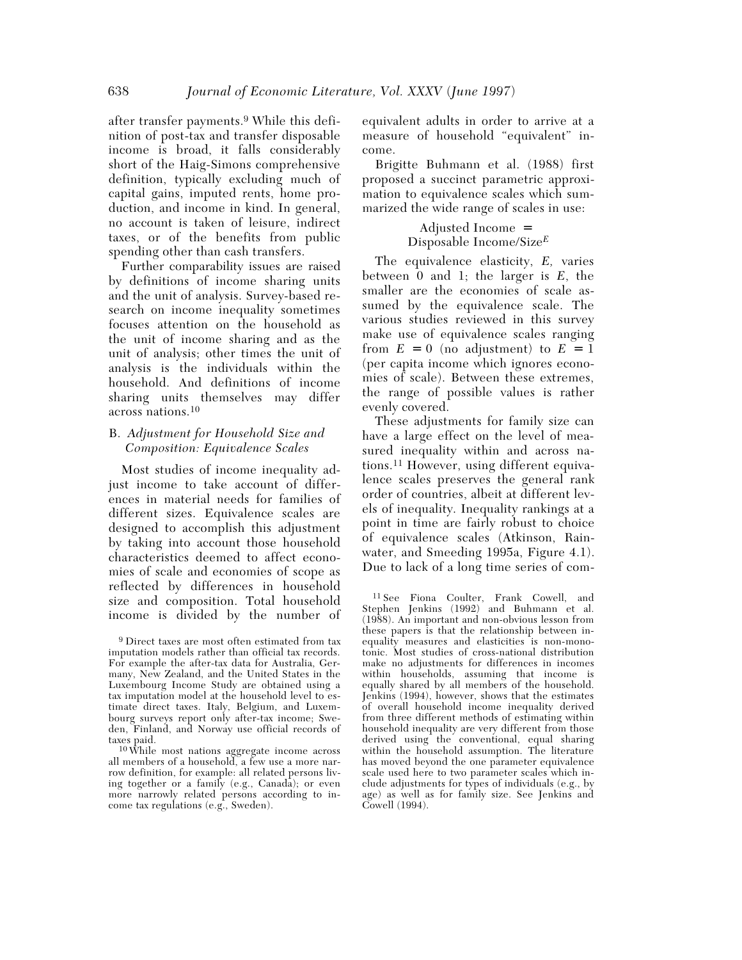after transfer payments.9 While this definition of post-tax and transfer disposable income is broad, it falls considerably short of the Haig-Simons comprehensive definition, typically excluding much of capital gains, imputed rents, home production, and income in kind. In general, no account is taken of leisure, indirect taxes, or of the benefits from public spending other than cash transfers.

Further comparability issues are raised by definitions of income sharing units and the unit of analysis. Survey-based research on income inequality sometimes focuses attention on the household as the unit of income sharing and as the unit of analysis; other times the unit of analysis is the individuals within the household. And definitions of income sharing units themselves may differ across nations.10

## B. *Adjustment for Household Size and Composition: Equivalence Scales*

Most studies of income inequality adjust income to take account of differences in material needs for families of different sizes. Equivalence scales are designed to accomplish this adjustment by taking into account those household characteristics deemed to affect economies of scale and economies of scope as reflected by differences in household size and composition. Total household income is divided by the number of

10 While most nations aggregate income across all members of a household, a few use a more narrow definition, for example: all related persons living together or a family (e.g., Canada); or even more narrowly related persons according to income tax regulations (e.g., Sweden).

equivalent adults in order to arrive at a measure of household "equivalent" income.

Brigitte Buhmann et al. (1988) first proposed a succinct parametric approximation to equivalence scales which summarized the wide range of scales in use:

> Adjusted Income = Disposable Income/Size*<sup>E</sup>*

The equivalence elasticity, *E,* varies between 0 and 1; the larger is *E*, the smaller are the economies of scale assumed by the equivalence scale. The various studies reviewed in this survey make use of equivalence scales ranging from  $E = 0$  (no adjustment) to  $E = 1$ (per capita income which ignores economies of scale). Between these extremes, the range of possible values is rather evenly covered.

These adjustments for family size can have a large effect on the level of measured inequality within and across nations.11 However, using different equivalence scales preserves the general rank order of countries, albeit at different levels of inequality. Inequality rankings at a point in time are fairly robust to choice of equivalence scales (Atkinson, Rainwater, and Smeeding 1995a, Figure 4.1). Due to lack of a long time series of com-

11 See Fiona Coulter, Frank Cowell, and Stephen Jenkins (1992) and Buhmann et al. (1988). An important and non-obvious lesson from these papers is that the relationship between inequality measures and elasticities is non-monotonic. Most studies of cross-national distribution make no adjustments for differences in incomes within households, assuming that income is equally shared by all members of the household. Jenkins (1994), however, shows that the estimates of overall household income inequality derived from three different methods of estimating within household inequality are very different from those derived using the conventional, equal sharing within the household assumption. The literature has moved beyond the one parameter equivalence scale used here to two parameter scales which include adjustments for types of individuals (e.g., by age) as well as for family size. See Jenkins and Cowell (1994).

<sup>9</sup> Direct taxes are most often estimated from tax imputation models rather than official tax records. For example the after-tax data for Australia, Germany, New Zealand, and the United States in the Luxembourg Income Study are obtained using a tax imputation model at the household level to estimate direct taxes. Italy, Belgium, and Luxembourg surveys report only after-tax income; Sweden, Finland, and Norway use official records of taxes paid.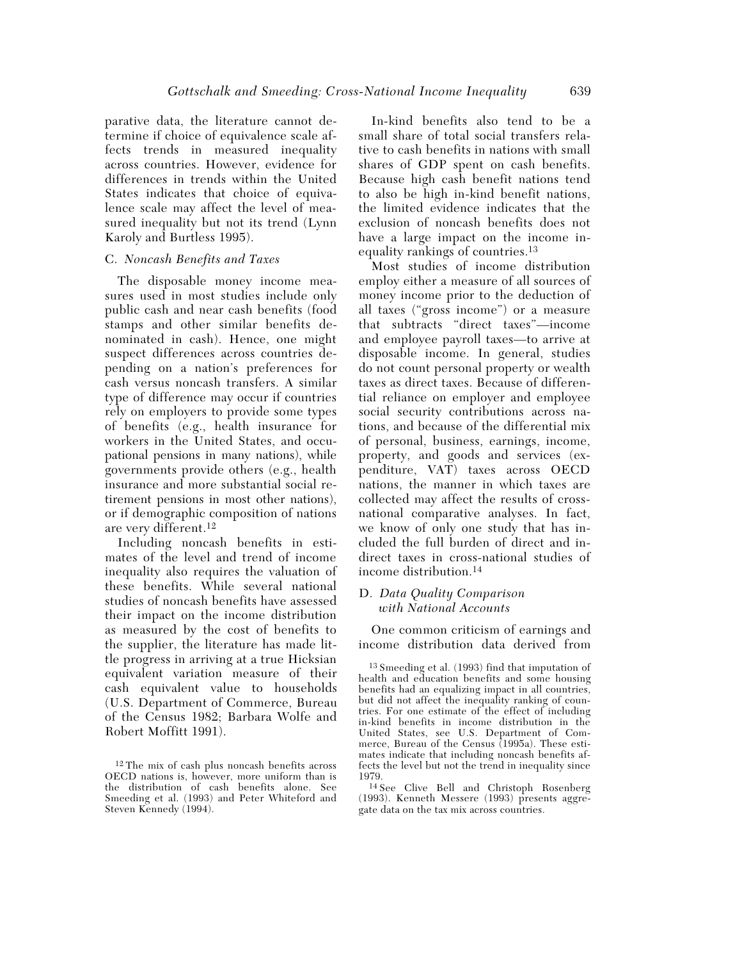parative data, the literature cannot determine if choice of equivalence scale affects trends in measured inequality across countries. However, evidence for differences in trends within the United States indicates that choice of equivalence scale may affect the level of measured inequality but not its trend (Lynn Karoly and Burtless 1995).

#### C. *Noncash Benefits and Taxes*

The disposable money income measures used in most studies include only public cash and near cash benefits (food stamps and other similar benefits denominated in cash). Hence, one might suspect differences across countries depending on a nation's preferences for cash versus noncash transfers. A similar type of difference may occur if countries rely on employers to provide some types of benefits (e.g., health insurance for workers in the United States, and occupational pensions in many nations), while governments provide others (e.g., health insurance and more substantial social retirement pensions in most other nations), or if demographic composition of nations are very different.12

Including noncash benefits in estimates of the level and trend of income inequality also requires the valuation of these benefits. While several national studies of noncash benefits have assessed their impact on the income distribution as measured by the cost of benefits to the supplier, the literature has made little progress in arriving at a true Hicksian equivalent variation measure of their cash equivalent value to households (U.S. Department of Commerce, Bureau of the Census 1982; Barbara Wolfe and Robert Moffitt 1991).

In-kind benefits also tend to be a small share of total social transfers relative to cash benefits in nations with small shares of GDP spent on cash benefits. Because high cash benefit nations tend to also be high in-kind benefit nations, the limited evidence indicates that the exclusion of noncash benefits does not have a large impact on the income inequality rankings of countries.13

Most studies of income distribution employ either a measure of all sources of money income prior to the deduction of all taxes ("gross income") or a measure that subtracts "direct taxes"—income and employee payroll taxes—to arrive at disposable income. In general, studies do not count personal property or wealth taxes as direct taxes. Because of differential reliance on employer and employee social security contributions across nations, and because of the differential mix of personal, business, earnings, income, property, and goods and services (expenditure, VAT) taxes across OECD nations, the manner in which taxes are collected may affect the results of crossnational comparative analyses. In fact, we know of only one study that has included the full burden of direct and indirect taxes in cross-national studies of income distribution.14

#### D. *Data Quality Comparison with National Accounts*

One common criticism of earnings and income distribution data derived from

<sup>12</sup> The mix of cash plus noncash benefits across OECD nations is, however, more uniform than is the distribution of cash benefits alone. See Smeeding et al. (1993) and Peter Whiteford and Steven Kennedy (1994).

<sup>13</sup> Smeeding et al. (1993) find that imputation of health and education benefits and some housing benefits had an equalizing impact in all countries, but did not affect the inequality ranking of countries. For one estimate of the effect of including in-kind benefits in income distribution in the United States, see U.S. Department of Commerce, Bureau of the Census (1995a). These estimates indicate that including noncash benefits affects the level but not the trend in inequality since 1979.

<sup>14</sup> See Clive Bell and Christoph Rosenberg (1993). Kenneth Messere (1993) presents aggregate data on the tax mix across countries.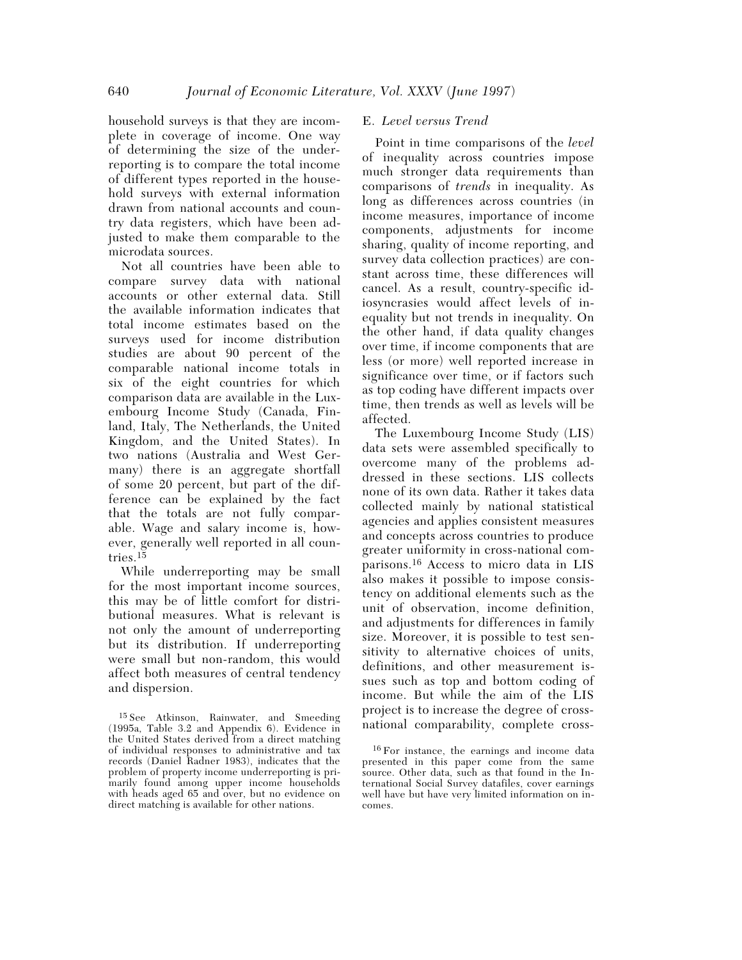household surveys is that they are incomplete in coverage of income. One way of determining the size of the underreporting is to compare the total income of different types reported in the household surveys with external information drawn from national accounts and country data registers, which have been adjusted to make them comparable to the microdata sources.

Not all countries have been able to compare survey data with national accounts or other external data. Still the available information indicates that total income estimates based on the surveys used for income distribution studies are about 90 percent of the comparable national income totals in six of the eight countries for which comparison data are available in the Luxembourg Income Study (Canada, Finland, Italy, The Netherlands, the United Kingdom, and the United States). In two nations (Australia and West Germany) there is an aggregate shortfall of some 20 percent, but part of the difference can be explained by the fact that the totals are not fully comparable. Wage and salary income is, however, generally well reported in all countries.15

While underreporting may be small for the most important income sources, this may be of little comfort for distributional measures. What is relevant is not only the amount of underreporting but its distribution. If underreporting were small but non-random, this would affect both measures of central tendency and dispersion.

### E. *Level versus Trend*

Point in time comparisons of the *level* of inequality across countries impose much stronger data requirements than comparisons of *trends* in inequality. As long as differences across countries (in income measures, importance of income components, adjustments for income sharing, quality of income reporting, and survey data collection practices) are constant across time, these differences will cancel. As a result, country-specific idiosyncrasies would affect levels of inequality but not trends in inequality. On the other hand, if data quality changes over time, if income components that are less (or more) well reported increase in significance over time, or if factors such as top coding have different impacts over time, then trends as well as levels will be affected.

The Luxembourg Income Study (LIS) data sets were assembled specifically to overcome many of the problems addressed in these sections. LIS collects none of its own data. Rather it takes data collected mainly by national statistical agencies and applies consistent measures and concepts across countries to produce greater uniformity in cross-national comparisons.16 Access to micro data in LIS also makes it possible to impose consistency on additional elements such as the unit of observation, income definition, and adjustments for differences in family size. Moreover, it is possible to test sensitivity to alternative choices of units, definitions, and other measurement issues such as top and bottom coding of income. But while the aim of the LIS project is to increase the degree of crossnational comparability, complete cross-

<sup>15</sup> See Atkinson, Rainwater, and Smeeding (1995a, Table 3.2 and Appendix 6). Evidence in the United States derived from a direct matching of individual responses to administrative and tax records (Daniel Radner 1983), indicates that the problem of property income underreporting is primarily found among upper income households with heads aged 65 and over, but no evidence on direct matching is available for other nations.

<sup>16</sup> For instance, the earnings and income data presented in this paper come from the same source. Other data, such as that found in the International Social Survey datafiles, cover earnings well have but have very limited information on incomes.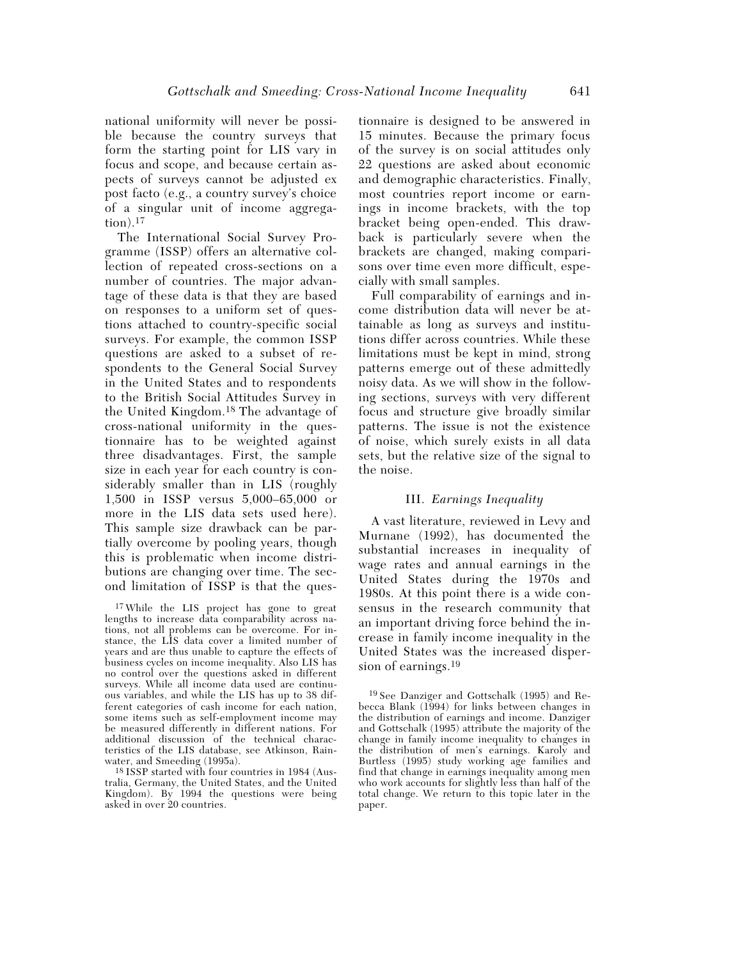national uniformity will never be possible because the country surveys that form the starting point for LIS vary in focus and scope, and because certain aspects of surveys cannot be adjusted ex post facto (e.g., a country survey's choice of a singular unit of income aggrega $tion).<sup>17</sup>$ 

The International Social Survey Programme (ISSP) offers an alternative collection of repeated cross-sections on a number of countries. The major advantage of these data is that they are based on responses to a uniform set of questions attached to country-specific social surveys. For example, the common ISSP questions are asked to a subset of respondents to the General Social Survey in the United States and to respondents to the British Social Attitudes Survey in the United Kingdom.18 The advantage of cross-national uniformity in the questionnaire has to be weighted against three disadvantages. First, the sample size in each year for each country is considerably smaller than in LIS (roughly 1,500 in ISSP versus 5,000–65,000 or more in the LIS data sets used here). This sample size drawback can be partially overcome by pooling years, though this is problematic when income distributions are changing over time. The second limitation of ISSP is that the ques-

17 While the LIS project has gone to great lengths to increase data comparability across nations, not all problems can be overcome. For instance, the LIS data cover a limited number of years and are thus unable to capture the effects of business cycles on income inequality. Also LIS has no control over the questions asked in different surveys. While all income data used are continuous variables, and while the LIS has up to 38 different categories of cash income for each nation, some items such as self-employment income may be measured differently in different nations. For additional discussion of the technical characteristics of the LIS database, see Atkinson, Rainwater, and Smeeding (1995a).

18 ISSP started with four countries in 1984 (Australia, Germany, the United States, and the United Kingdom). By 1994 the questions were being asked in over 20 countries.

tionnaire is designed to be answered in 15 minutes. Because the primary focus of the survey is on social attitudes only 22 questions are asked about economic and demographic characteristics. Finally, most countries report income or earnings in income brackets, with the top bracket being open-ended. This drawback is particularly severe when the brackets are changed, making comparisons over time even more difficult, especially with small samples.

Full comparability of earnings and income distribution data will never be attainable as long as surveys and institutions differ across countries. While these limitations must be kept in mind, strong patterns emerge out of these admittedly noisy data. As we will show in the following sections, surveys with very different focus and structure give broadly similar patterns. The issue is not the existence of noise, which surely exists in all data sets, but the relative size of the signal to the noise.

#### III. *Earnings Inequality*

A vast literature, reviewed in Levy and Murnane (1992), has documented the substantial increases in inequality of wage rates and annual earnings in the United States during the 1970s and 1980s. At this point there is a wide consensus in the research community that an important driving force behind the increase in family income inequality in the United States was the increased dispersion of earnings.<sup>19</sup>

19 See Danziger and Gottschalk (1995) and Rebecca Blank (1994) for links between changes in the distribution of earnings and income. Danziger and Gottschalk (1995) attribute the majority of the change in family income inequality to changes in the distribution of men's earnings. Karoly and Burtless (1995) study working age families and find that change in earnings inequality among men who work accounts for slightly less than half of the total change. We return to this topic later in the paper.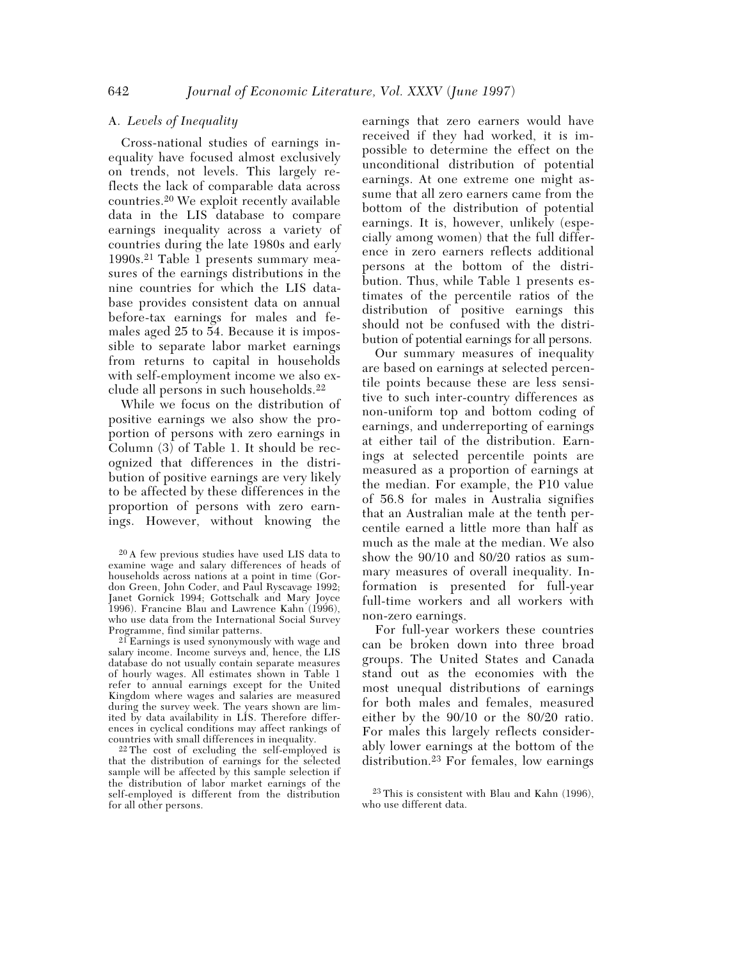### A. *Levels of Inequality*

Cross-national studies of earnings inequality have focused almost exclusively on trends, not levels. This largely reflects the lack of comparable data across countries.20 We exploit recently available data in the LIS database to compare earnings inequality across a variety of countries during the late 1980s and early 1990s.21 Table 1 presents summary measures of the earnings distributions in the nine countries for which the LIS database provides consistent data on annual before-tax earnings for males and females aged 25 to 54. Because it is impossible to separate labor market earnings from returns to capital in households with self-employment income we also exclude all persons in such households.22

While we focus on the distribution of positive earnings we also show the proportion of persons with zero earnings in Column (3) of Table 1. It should be recognized that differences in the distribution of positive earnings are very likely to be affected by these differences in the proportion of persons with zero earnings. However, without knowing the

21 Earnings is used synonymously with wage and salary income. Income surveys and, hence, the LIS database do not usually contain separate measures of hourly wages. All estimates shown in Table 1 refer to annual earnings except for the United Kingdom where wages and salaries are measured during the survey week. The years shown are limited by data availability in LIS. Therefore differences in cyclical conditions may affect rankings of countries with small differences in inequality.

22 The cost of excluding the self-employed is that the distribution of earnings for the selected sample will be affected by this sample selection if the distribution of labor market earnings of the self-employed is different from the distribution for all other persons.

earnings that zero earners would have received if they had worked, it is impossible to determine the effect on the unconditional distribution of potential earnings. At one extreme one might assume that all zero earners came from the bottom of the distribution of potential earnings. It is, however, unlikely (especially among women) that the full difference in zero earners reflects additional persons at the bottom of the distribution. Thus, while Table 1 presents estimates of the percentile ratios of the distribution of positive earnings this should not be confused with the distribution of potential earnings for all persons.

Our summary measures of inequality are based on earnings at selected percentile points because these are less sensitive to such inter-country differences as non-uniform top and bottom coding of earnings, and underreporting of earnings at either tail of the distribution. Earnings at selected percentile points are measured as a proportion of earnings at the median. For example, the P10 value of 56.8 for males in Australia signifies that an Australian male at the tenth percentile earned a little more than half as much as the male at the median. We also show the 90/10 and 80/20 ratios as summary measures of overall inequality. Information is presented for full-year full-time workers and all workers with non-zero earnings.

For full-year workers these countries can be broken down into three broad groups. The United States and Canada stand out as the economies with the most unequal distributions of earnings for both males and females, measured either by the 90/10 or the 80/20 ratio. For males this largely reflects considerably lower earnings at the bottom of the distribution.23 For females, low earnings

<sup>20</sup> A few previous studies have used LIS data to examine wage and salary differences of heads of households across nations at a point in time (Gordon Green, John Coder, and Paul Ryscavage 1992; Janet Gornick 1994; Gottschalk and Mary Joyce 1996). Francine Blau and Lawrence Kahn (1996), who use data from the International Social Survey Programme, find similar patterns.

<sup>23</sup> This is consistent with Blau and Kahn (1996), who use different data.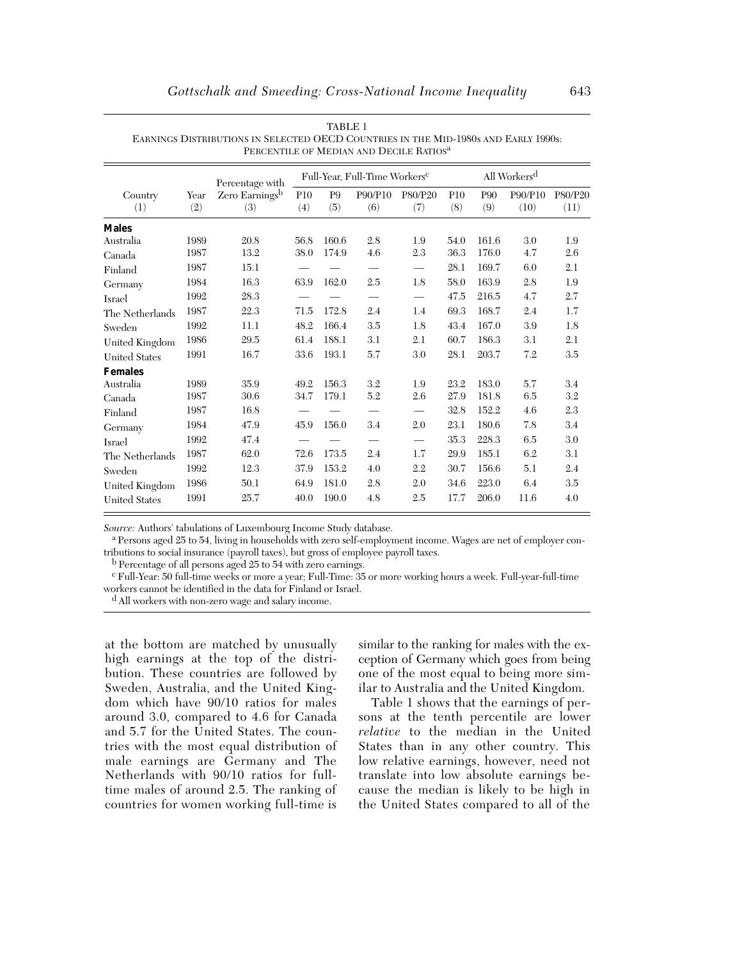|                      |      | Percentage with            |      |                | Full-Year, Full-Time Workers <sup>c</sup> |                                 |            |            | All Workers <sup>d</sup> |         |
|----------------------|------|----------------------------|------|----------------|-------------------------------------------|---------------------------------|------------|------------|--------------------------|---------|
| Country              | Year | Zero Earnings <sup>b</sup> | P10  | P <sub>9</sub> | P90/P10                                   | P80/P20                         | <b>P10</b> | <b>P90</b> | P90/P10                  | P80/P20 |
| (1)                  | (2)  | (3)                        | (4)  | (5)            | (6)                                       | (7)                             | (8)        | (9)        | (10)                     | (11)    |
| <b>Males</b>         |      |                            |      |                |                                           |                                 |            |            |                          |         |
| Australia            | 1989 | 20.8                       | 56.8 | 160.6          | 2.8                                       | 1.9                             | 54.0       | 161.6      | 3.0                      | 1.9     |
| Canada               | 1987 | 13.2                       | 38.0 | 174.9          | 4.6                                       | 2.3                             | 36.3       | 176.0      | 4.7                      | 2.6     |
| Finland              | 1987 | 15.1                       |      |                |                                           | $\equiv$                        | 28.1       | 169.7      | 6.0                      | 2.1     |
| Germany              | 1984 | 16.3                       | 63.9 | 162.0          | 2.5                                       | 1.8                             | 58.0       | 163.9      | 2.8                      | 1.9     |
| Israel               | 1992 | 28.3                       |      |                | $\overline{\phantom{0}}$                  |                                 | 47.5       | 216.5      | 4.7                      | 2.7     |
| The Netherlands      | 1987 | 22.3                       | 71.5 | 172.8          | 2.4                                       | 1.4                             | 69.3       | 168.7      | 2.4                      | 1.7     |
| Sweden               | 1992 | 11.1                       | 48.2 | 166.4          | 3.5                                       | 1.8                             | 43.4       | 167.0      | 3.9                      | 1.8     |
| United Kingdom       | 1986 | 29.5                       | 61.4 | 188.1          | 3.1                                       | 2.1                             | 60.7       | 186.3      | 3.1                      | 2.1     |
| <b>United States</b> | 1991 | 16.7                       | 33.6 | 193.1          | 5.7                                       | 3.0                             | 28.1       | 203.7      | 7.2                      | 3.5     |
| <b>Females</b>       |      |                            |      |                |                                           |                                 |            |            |                          |         |
| Australia            | 1989 | 35.9                       | 49.2 | 156.3          | 3.2                                       | 1.9                             | 23.2       | 183.0      | 5.7                      | 3.4     |
| Canada               | 1987 | 30.6                       | 34.7 | 179.1          | $5.2\,$                                   | 2.6                             | 27.9       | 181.8      | 6.5                      | 3.2     |
| Finland              | 1987 | 16.8                       |      |                |                                           | $\overbrace{\qquad \qquad }^{}$ | 32.8       | 152.2      | 4.6                      | 2.3     |
| Germany              | 1984 | 47.9                       | 45.9 | 156.0          | 3.4                                       | 2.0                             | 23.1       | 180.6      | 7.8                      | 3.4     |
| Israel               | 1992 | 47.4                       |      |                |                                           | $\equiv$                        | 35.3       | 228.3      | 6.5                      | 3.0     |
| The Netherlands      | 1987 | 62.0                       | 72.6 | 173.5          | 2.4                                       | 1.7                             | 29.9       | 185.1      | 6.2                      | 3.1     |
| Sweden               | 1992 | 12.3                       | 37.9 | 153.2          | 4.0                                       | 2.2                             | 30.7       | 156.6      | 5.1                      | 2.4     |
| United Kingdom       | 1986 | 50.1                       | 64.9 | 181.0          | 2.8                                       | 2.0                             | 34.6       | 223.0      | 6.4                      | 3.5     |
| <b>United States</b> | 1991 | 25.7                       | 40.0 | 190.0          | 4.8                                       | 2.5                             | 17.7       | 206.0      | 11.6                     | 4.0     |

TABLE 1 EARNINGS DISTRIBUTIONS IN SELECTED OECD COUNTRIES IN THE MID-1980s AND EARLY 1990s: PERCENTILE OF MEDIAN AND DECILE RATIOS<sup>a</sup>

*Source:* Authors' tabulations of Luxembourg Income Study database. a Persons aged 25 to 54, living in households with zero self-employment income. Wages are net of employer contributions to social insurance (payroll taxes), but gross of employee payroll taxes.

b Percentage of all persons aged 25 to 54 with zero earnings.

c Full-Year: 50 full-time weeks or more a year; Full-Time: 35 or more working hours a week. Full-year-full-time workers cannot be identified in the data for Finland or Israel.

d All workers with non-zero wage and salary income.

at the bottom are matched by unusually high earnings at the top of the distribution. These countries are followed by Sweden, Australia, and the United Kingdom which have 90/10 ratios for males around 3.0, compared to 4.6 for Canada and 5.7 for the United States. The countries with the most equal distribution of male earnings are Germany and The Netherlands with 90/10 ratios for fulltime males of around 2.5. The ranking of countries for women working full-time is

similar to the ranking for males with the exception of Germany which goes from being one of the most equal to being more similar to Australia and the United Kingdom.

Table 1 shows that the earnings of persons at the tenth percentile are lower *relative* to the median in the United States than in any other country. This low relative earnings, however, need not translate into low absolute earnings because the median is likely to be high in the United States compared to all of the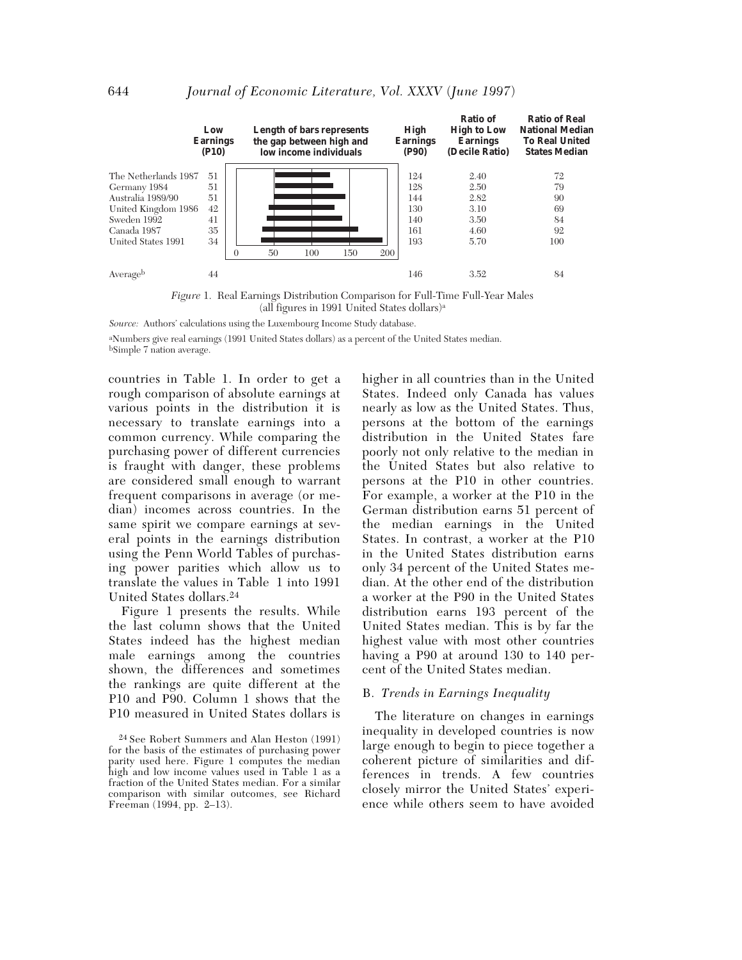

*Figure* 1. Real Earnings Distribution Comparison for Full-Time Full-Year Males (all figures in 1991 United States dollars)a

*Source:* Authors' calculations using the Luxembourg Income Study database.

aNumbers give real earnings (1991 United States dollars) as a percent of the United States median. bSimple 7 nation average.

countries in Table 1. In order to get a rough comparison of absolute earnings at various points in the distribution it is necessary to translate earnings into a common currency. While comparing the purchasing power of different currencies is fraught with danger, these problems are considered small enough to warrant frequent comparisons in average (or median) incomes across countries. In the same spirit we compare earnings at several points in the earnings distribution using the Penn World Tables of purchasing power parities which allow us to translate the values in Table 1 into 1991 United States dollars.24

Figure 1 presents the results. While the last column shows that the United States indeed has the highest median male earnings among the countries shown, the differences and sometimes the rankings are quite different at the P10 and P90. Column 1 shows that the P10 measured in United States dollars is higher in all countries than in the United States. Indeed only Canada has values nearly as low as the United States. Thus, persons at the bottom of the earnings distribution in the United States fare poorly not only relative to the median in the United States but also relative to persons at the P10 in other countries. For example, a worker at the P10 in the German distribution earns 51 percent of the median earnings in the United States. In contrast, a worker at the P10 in the United States distribution earns only 34 percent of the United States median. At the other end of the distribution a worker at the P90 in the United States distribution earns 193 percent of the United States median. This is by far the highest value with most other countries having a P90 at around 130 to 140 percent of the United States median.

#### B. *Trends in Earnings Inequality*

The literature on changes in earnings inequality in developed countries is now large enough to begin to piece together a coherent picture of similarities and differences in trends. A few countries closely mirror the United States' experience while others seem to have avoided

<sup>24</sup> See Robert Summers and Alan Heston (1991) for the basis of the estimates of purchasing power parity used here. Figure 1 computes the median high and low income values used in Table 1 as a fraction of the United States median. For a similar comparison with similar outcomes, see Richard Freeman (1994, pp. 2–13).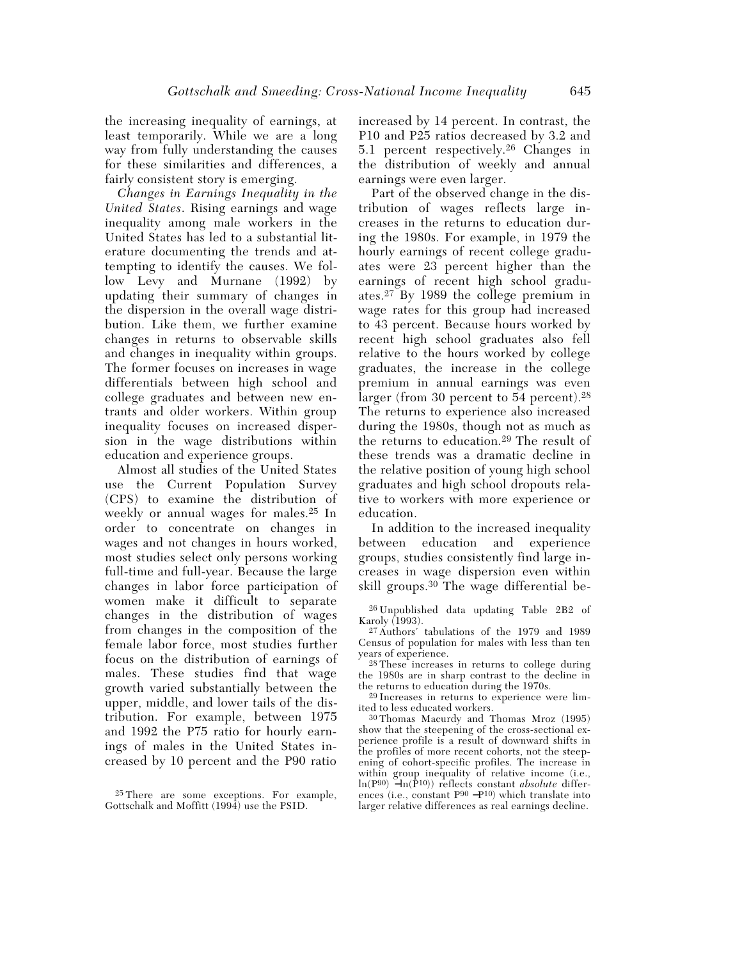the increasing inequality of earnings, at least temporarily. While we are a long way from fully understanding the causes for these similarities and differences, a fairly consistent story is emerging.

*Changes in Earnings Inequality in the United States*. Rising earnings and wage inequality among male workers in the United States has led to a substantial literature documenting the trends and attempting to identify the causes. We follow Levy and Murnane (1992) by updating their summary of changes in the dispersion in the overall wage distribution. Like them, we further examine changes in returns to observable skills and changes in inequality within groups. The former focuses on increases in wage differentials between high school and college graduates and between new entrants and older workers. Within group inequality focuses on increased dispersion in the wage distributions within education and experience groups.

Almost all studies of the United States use the Current Population Survey (CPS) to examine the distribution of weekly or annual wages for males.25 In order to concentrate on changes in wages and not changes in hours worked, most studies select only persons working full-time and full-year. Because the large changes in labor force participation of women make it difficult to separate changes in the distribution of wages from changes in the composition of the female labor force, most studies further focus on the distribution of earnings of males. These studies find that wage growth varied substantially between the upper, middle, and lower tails of the distribution. For example, between 1975 and 1992 the P75 ratio for hourly earnings of males in the United States increased by 10 percent and the P90 ratio

25 There are some exceptions. For example, Gottschalk and Moffitt (1994) use the PSID.

increased by 14 percent. In contrast, the P10 and P25 ratios decreased by 3.2 and 5.1 percent respectively.26 Changes in the distribution of weekly and annual earnings were even larger.

Part of the observed change in the distribution of wages reflects large increases in the returns to education during the 1980s. For example, in 1979 the hourly earnings of recent college graduates were 23 percent higher than the earnings of recent high school graduates.27 By 1989 the college premium in wage rates for this group had increased to 43 percent. Because hours worked by recent high school graduates also fell relative to the hours worked by college graduates, the increase in the college premium in annual earnings was even larger (from 30 percent to 54 percent).<sup>28</sup> The returns to experience also increased during the 1980s, though not as much as the returns to education.29 The result of these trends was a dramatic decline in the relative position of young high school graduates and high school dropouts relative to workers with more experience or education.

In addition to the increased inequality between education and experience groups, studies consistently find large increases in wage dispersion even within skill groups.30 The wage differential be-

26 Unpublished data updating Table 2B2 of Karoly (1993).

27 Authors' tabulations of the 1979 and 1989 Census of population for males with less than ten years of experience.

28 These increases in returns to college during the 1980s are in sharp contrast to the decline in the returns to education during the 1970s.

29 Increases in returns to experience were limited to less educated workers.

30 Thomas Macurdy and Thomas Mroz (1995) show that the steepening of the cross-sectional experience profile is a result of downward shifts in the profiles of more recent cohorts, not the steepening of cohort-specific profiles. The increase in within group inequality of relative income (i.e., ln(P90) −ln(P10)) reflects constant *absolute* differences (i.e., constant P90 −P10) which translate into larger relative differences as real earnings decline.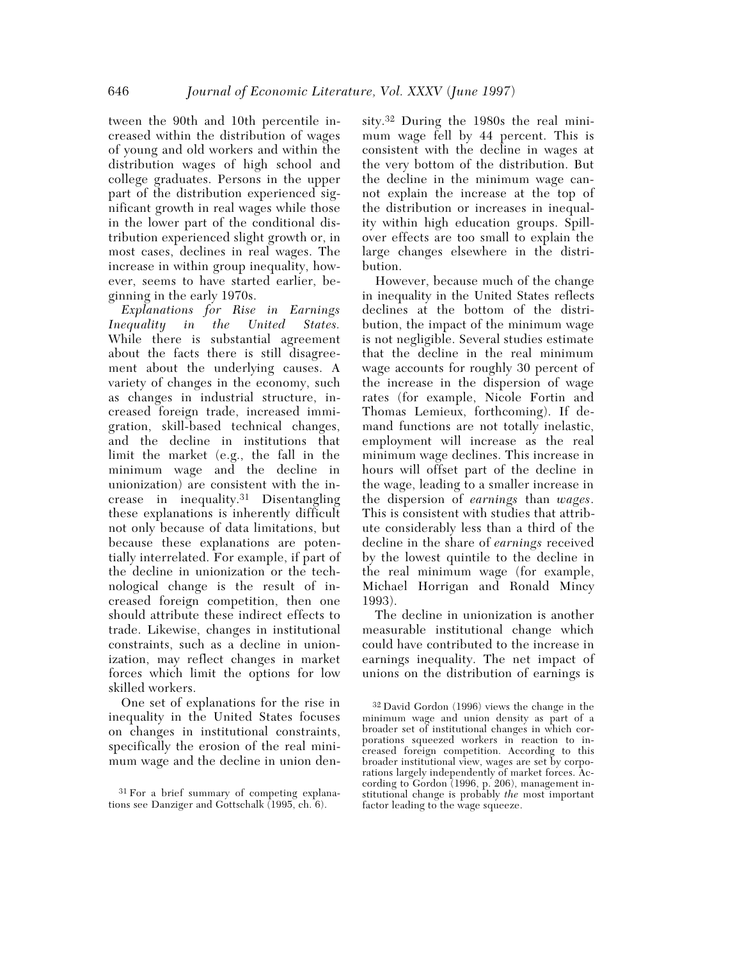tween the 90th and 10th percentile increased within the distribution of wages of young and old workers and within the distribution wages of high school and college graduates. Persons in the upper part of the distribution experienced significant growth in real wages while those in the lower part of the conditional distribution experienced slight growth or, in most cases, declines in real wages. The increase in within group inequality, however, seems to have started earlier, beginning in the early 1970s.

*Explanations for Rise in Earnings Inequality in the United States.* While there is substantial agreement about the facts there is still disagreement about the underlying causes. A variety of changes in the economy, such as changes in industrial structure, increased foreign trade, increased immigration, skill-based technical changes, and the decline in institutions that limit the market (e.g., the fall in the minimum wage and the decline in unionization) are consistent with the increase in inequality.31 Disentangling these explanations is inherently difficult not only because of data limitations, but because these explanations are potentially interrelated. For example, if part of the decline in unionization or the technological change is the result of increased foreign competition, then one should attribute these indirect effects to trade. Likewise, changes in institutional constraints, such as a decline in unionization, may reflect changes in market forces which limit the options for low skilled workers.

One set of explanations for the rise in inequality in the United States focuses on changes in institutional constraints, specifically the erosion of the real minimum wage and the decline in union den-

sity.32 During the 1980s the real minimum wage fell by 44 percent. This is consistent with the decline in wages at the very bottom of the distribution. But the decline in the minimum wage cannot explain the increase at the top of the distribution or increases in inequality within high education groups. Spillover effects are too small to explain the large changes elsewhere in the distribution.

However, because much of the change in inequality in the United States reflects declines at the bottom of the distribution, the impact of the minimum wage is not negligible. Several studies estimate that the decline in the real minimum wage accounts for roughly 30 percent of the increase in the dispersion of wage rates (for example, Nicole Fortin and Thomas Lemieux, forthcoming). If demand functions are not totally inelastic, employment will increase as the real minimum wage declines. This increase in hours will offset part of the decline in the wage, leading to a smaller increase in the dispersion of *earnings* than *wages*. This is consistent with studies that attribute considerably less than a third of the decline in the share of *earnings* received by the lowest quintile to the decline in the real minimum wage (for example, Michael Horrigan and Ronald Mincy 1993).

The decline in unionization is another measurable institutional change which could have contributed to the increase in earnings inequality. The net impact of unions on the distribution of earnings is

<sup>31</sup> For a brief summary of competing explanations see Danziger and Gottschalk (1995, ch. 6).

<sup>32</sup> David Gordon (1996) views the change in the minimum wage and union density as part of a broader set of institutional changes in which corporations squeezed workers in reaction to increased foreign competition. According to this broader institutional view, wages are set by corporations largely independently of market forces. According to Gordon (1996, p. 206), management institutional change is probably *the* most important factor leading to the wage squeeze.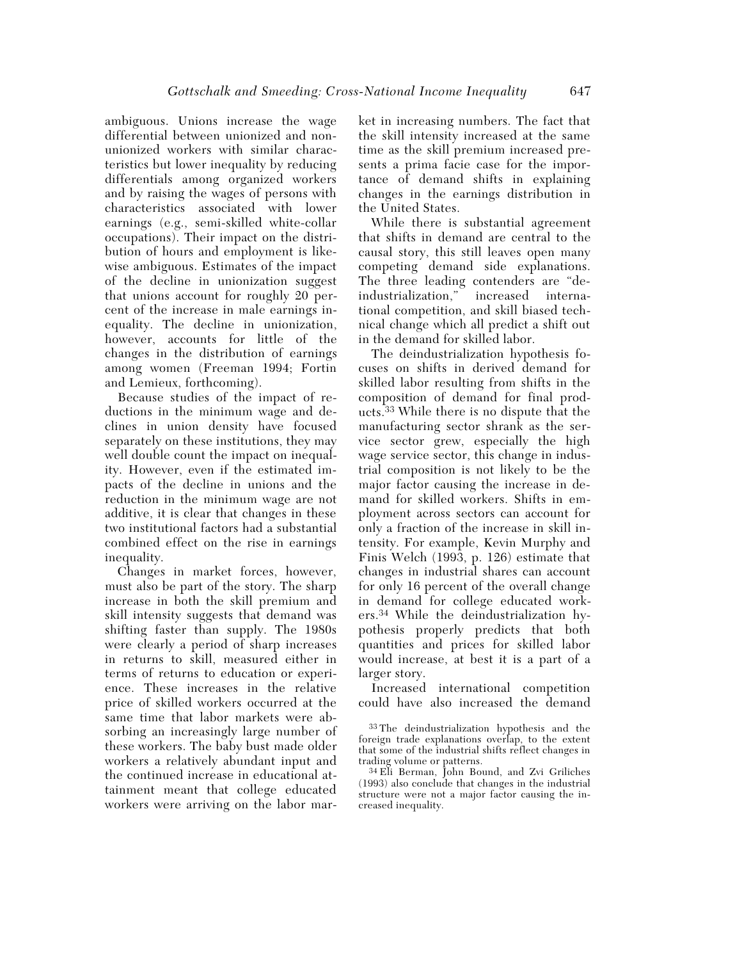ambiguous. Unions increase the wage differential between unionized and nonunionized workers with similar characteristics but lower inequality by reducing differentials among organized workers and by raising the wages of persons with characteristics associated with lower earnings (e.g., semi-skilled white-collar occupations). Their impact on the distribution of hours and employment is likewise ambiguous. Estimates of the impact of the decline in unionization suggest that unions account for roughly 20 percent of the increase in male earnings inequality. The decline in unionization, however, accounts for little of the changes in the distribution of earnings among women (Freeman 1994; Fortin and Lemieux, forthcoming).

Because studies of the impact of reductions in the minimum wage and declines in union density have focused separately on these institutions, they may well double count the impact on inequality. However, even if the estimated impacts of the decline in unions and the reduction in the minimum wage are not additive, it is clear that changes in these two institutional factors had a substantial combined effect on the rise in earnings inequality.

Changes in market forces, however, must also be part of the story. The sharp increase in both the skill premium and skill intensity suggests that demand was shifting faster than supply. The 1980s were clearly a period of sharp increases in returns to skill, measured either in terms of returns to education or experience. These increases in the relative price of skilled workers occurred at the same time that labor markets were absorbing an increasingly large number of these workers. The baby bust made older workers a relatively abundant input and the continued increase in educational attainment meant that college educated workers were arriving on the labor mar-

ket in increasing numbers. The fact that the skill intensity increased at the same time as the skill premium increased presents a prima facie case for the importance of demand shifts in explaining changes in the earnings distribution in the United States.

While there is substantial agreement that shifts in demand are central to the causal story, this still leaves open many competing demand side explanations. The three leading contenders are "deindustrialization," increased international competition, and skill biased technical change which all predict a shift out in the demand for skilled labor.

The deindustrialization hypothesis focuses on shifts in derived demand for skilled labor resulting from shifts in the composition of demand for final products.33 While there is no dispute that the manufacturing sector shrank as the service sector grew, especially the high wage service sector, this change in industrial composition is not likely to be the major factor causing the increase in demand for skilled workers. Shifts in employment across sectors can account for only a fraction of the increase in skill intensity. For example, Kevin Murphy and Finis Welch (1993, p. 126) estimate that changes in industrial shares can account for only 16 percent of the overall change in demand for college educated workers.34 While the deindustrialization hypothesis properly predicts that both quantities and prices for skilled labor would increase, at best it is a part of a larger story.

Increased international competition could have also increased the demand

<sup>33</sup> The deindustrialization hypothesis and the foreign trade explanations overlap, to the extent that some of the industrial shifts reflect changes in trading volume or patterns.

<sup>34</sup> Eli Berman, John Bound, and Zvi Griliches (1993) also conclude that changes in the industrial structure were not a major factor causing the increased inequality.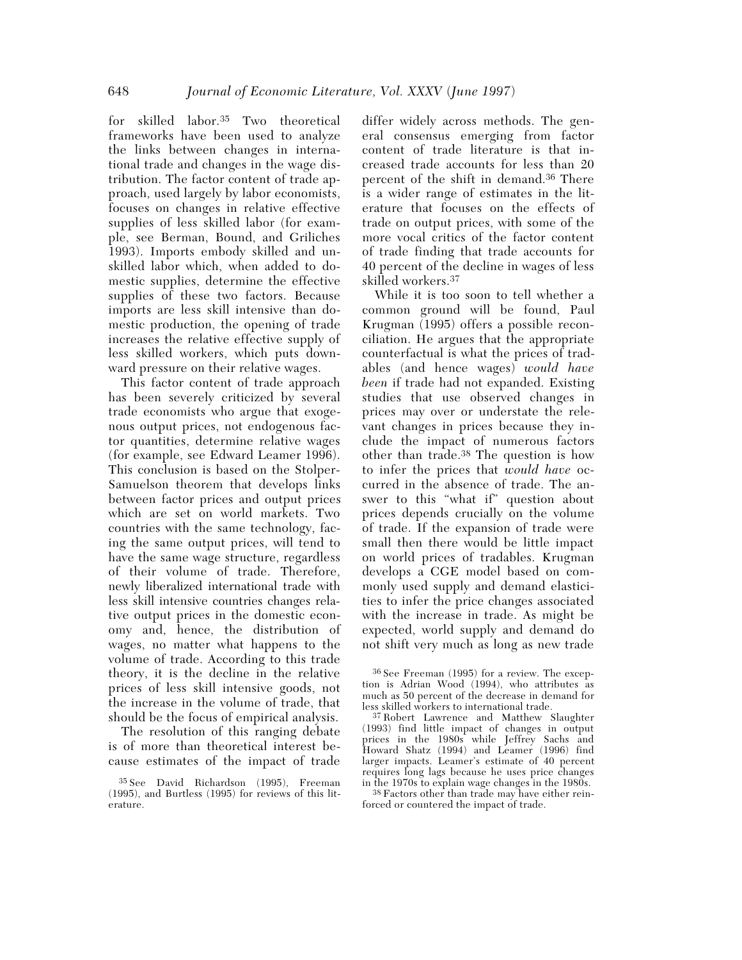for skilled labor.35 Two theoretical frameworks have been used to analyze the links between changes in international trade and changes in the wage distribution. The factor content of trade approach, used largely by labor economists, focuses on changes in relative effective supplies of less skilled labor (for example, see Berman, Bound, and Griliches 1993). Imports embody skilled and unskilled labor which, when added to domestic supplies, determine the effective supplies of these two factors. Because imports are less skill intensive than domestic production, the opening of trade increases the relative effective supply of less skilled workers, which puts downward pressure on their relative wages.

This factor content of trade approach has been severely criticized by several trade economists who argue that exogenous output prices, not endogenous factor quantities, determine relative wages (for example, see Edward Leamer 1996). This conclusion is based on the Stolper-Samuelson theorem that develops links between factor prices and output prices which are set on world markets. Two countries with the same technology, facing the same output prices, will tend to have the same wage structure, regardless of their volume of trade. Therefore, newly liberalized international trade with less skill intensive countries changes relative output prices in the domestic economy and, hence, the distribution of wages, no matter what happens to the volume of trade. According to this trade theory, it is the decline in the relative prices of less skill intensive goods, not the increase in the volume of trade, that should be the focus of empirical analysis.

The resolution of this ranging debate is of more than theoretical interest because estimates of the impact of trade

differ widely across methods. The general consensus emerging from factor content of trade literature is that increased trade accounts for less than 20 percent of the shift in demand.36 There is a wider range of estimates in the literature that focuses on the effects of trade on output prices, with some of the more vocal critics of the factor content of trade finding that trade accounts for 40 percent of the decline in wages of less skilled workers.37

While it is too soon to tell whether a common ground will be found, Paul Krugman (1995) offers a possible reconciliation. He argues that the appropriate counterfactual is what the prices of tradables (and hence wages) *would have been* if trade had not expanded. Existing studies that use observed changes in prices may over or understate the relevant changes in prices because they include the impact of numerous factors other than trade.38 The question is how to infer the prices that *would have* occurred in the absence of trade. The answer to this "what if" question about prices depends crucially on the volume of trade. If the expansion of trade were small then there would be little impact on world prices of tradables. Krugman develops a CGE model based on commonly used supply and demand elasticities to infer the price changes associated with the increase in trade. As might be expected, world supply and demand do not shift very much as long as new trade

38 Factors other than trade may have either reinforced or countered the impact of trade.

<sup>35</sup> See David Richardson (1995), Freeman (1995), and Burtless (1995) for reviews of this literature.

<sup>36</sup> See Freeman (1995) for a review. The exception is Adrian Wood (1994), who attributes as much as 50 percent of the decrease in demand for less skilled workers to international trade.

<sup>37</sup> Robert Lawrence and Matthew Slaughter (1993) find little impact of changes in output prices in the 1980s while Jeffrey Sachs and Howard Shatz (1994) and Leamer (1996) find larger impacts. Leamer's estimate of 40 percent requires long lags because he uses price changes in the 1970s to explain wage changes in the 1980s.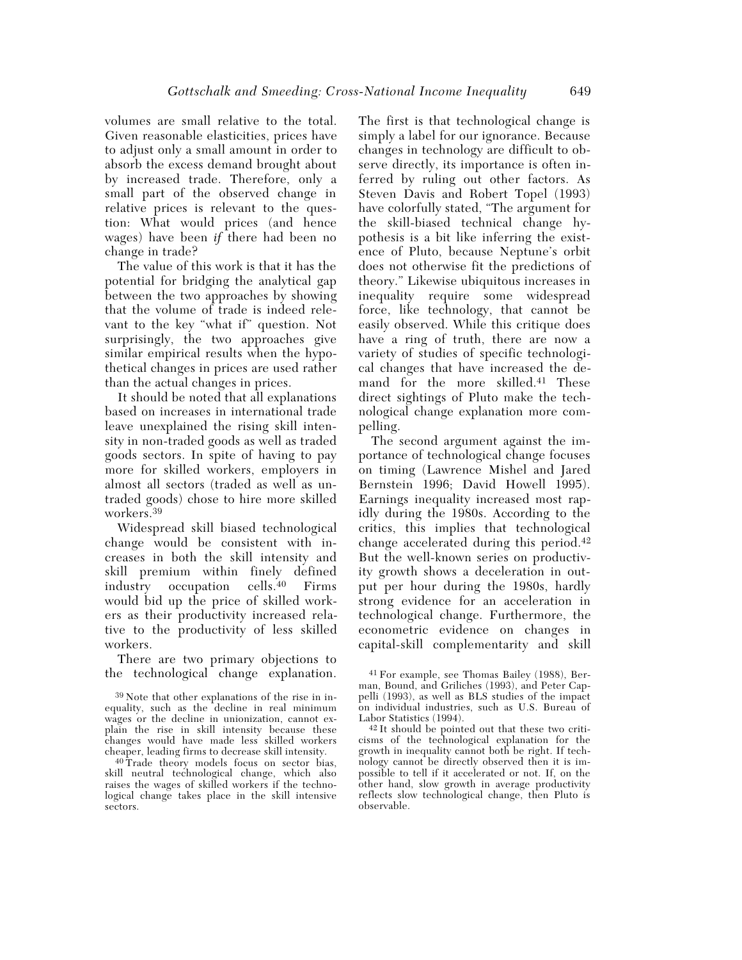volumes are small relative to the total. Given reasonable elasticities, prices have to adjust only a small amount in order to absorb the excess demand brought about by increased trade. Therefore, only a small part of the observed change in relative prices is relevant to the question: What would prices (and hence wages) have been *if* there had been no change in trade?

The value of this work is that it has the potential for bridging the analytical gap between the two approaches by showing that the volume of trade is indeed relevant to the key "what if" question. Not surprisingly, the two approaches give similar empirical results when the hypothetical changes in prices are used rather than the actual changes in prices.

It should be noted that all explanations based on increases in international trade leave unexplained the rising skill intensity in non-traded goods as well as traded goods sectors. In spite of having to pay more for skilled workers, employers in almost all sectors (traded as well as untraded goods) chose to hire more skilled workers.39

Widespread skill biased technological change would be consistent with increases in both the skill intensity and skill premium within finely defined industry occupation cells.40 Firms would bid up the price of skilled workers as their productivity increased relative to the productivity of less skilled workers.

There are two primary objections to the technological change explanation.

The first is that technological change is simply a label for our ignorance. Because changes in technology are difficult to observe directly, its importance is often inferred by ruling out other factors. As Steven Davis and Robert Topel (1993) have colorfully stated, "The argument for the skill-biased technical change hypothesis is a bit like inferring the existence of Pluto, because Neptune's orbit does not otherwise fit the predictions of theory." Likewise ubiquitous increases in inequality require some widespread force, like technology, that cannot be easily observed. While this critique does have a ring of truth, there are now a variety of studies of specific technological changes that have increased the demand for the more skilled.41 These direct sightings of Pluto make the technological change explanation more compelling.

The second argument against the importance of technological change focuses on timing (Lawrence Mishel and Jared Bernstein 1996; David Howell 1995). Earnings inequality increased most rapidly during the 1980s. According to the critics, this implies that technological change accelerated during this period.42 But the well-known series on productivity growth shows a deceleration in output per hour during the 1980s, hardly strong evidence for an acceleration in technological change. Furthermore, the econometric evidence on changes in capital-skill complementarity and skill

<sup>39</sup> Note that other explanations of the rise in inequality, such as the decline in real minimum wages or the decline in unionization, cannot explain the rise in skill intensity because these changes would have made less skilled workers cheaper, leading firms to decrease skill intensity.

<sup>40</sup> Trade theory models focus on sector bias, skill neutral technological change, which also raises the wages of skilled workers if the technological change takes place in the skill intensive sectors.

<sup>41</sup> For example, see Thomas Bailey (1988), Berman, Bound, and Griliches (1993), and Peter Cappelli (1993), as well as BLS studies of the impact on individual industries, such as U.S. Bureau of Labor Statistics (1994).

<sup>42</sup> It should be pointed out that these two criticisms of the technological explanation for the growth in inequality cannot both be right. If technology cannot be directly observed then it is impossible to tell if it accelerated or not. If, on the other hand, slow growth in average productivity reflects slow technological change, then Pluto is observable.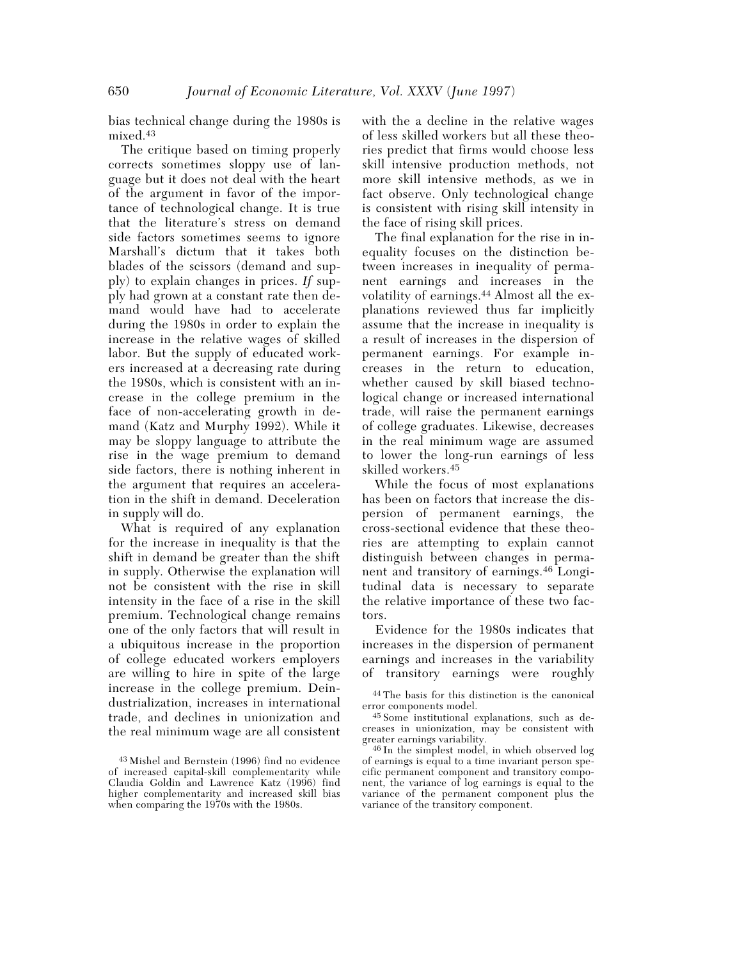bias technical change during the 1980s is mixed.43

The critique based on timing properly corrects sometimes sloppy use of language but it does not deal with the heart of the argument in favor of the importance of technological change. It is true that the literature's stress on demand side factors sometimes seems to ignore Marshall's dictum that it takes both blades of the scissors (demand and supply) to explain changes in prices. *If* supply had grown at a constant rate then demand would have had to accelerate during the 1980s in order to explain the increase in the relative wages of skilled labor. But the supply of educated workers increased at a decreasing rate during the 1980s, which is consistent with an increase in the college premium in the face of non-accelerating growth in demand (Katz and Murphy 1992). While it may be sloppy language to attribute the rise in the wage premium to demand side factors, there is nothing inherent in the argument that requires an acceleration in the shift in demand. Deceleration in supply will do.

What is required of any explanation for the increase in inequality is that the shift in demand be greater than the shift in supply. Otherwise the explanation will not be consistent with the rise in skill intensity in the face of a rise in the skill premium. Technological change remains one of the only factors that will result in a ubiquitous increase in the proportion of college educated workers employers are willing to hire in spite of the large increase in the college premium. Deindustrialization, increases in international trade, and declines in unionization and the real minimum wage are all consistent with the a decline in the relative wages of less skilled workers but all these theories predict that firms would choose less skill intensive production methods, not more skill intensive methods, as we in fact observe. Only technological change is consistent with rising skill intensity in the face of rising skill prices.

The final explanation for the rise in inequality focuses on the distinction between increases in inequality of permanent earnings and increases in the volatility of earnings.44 Almost all the explanations reviewed thus far implicitly assume that the increase in inequality is a result of increases in the dispersion of permanent earnings. For example increases in the return to education, whether caused by skill biased technological change or increased international trade, will raise the permanent earnings of college graduates. Likewise, decreases in the real minimum wage are assumed to lower the long-run earnings of less skilled workers.45

While the focus of most explanations has been on factors that increase the dispersion of permanent earnings, the cross-sectional evidence that these theories are attempting to explain cannot distinguish between changes in permanent and transitory of earnings.46 Longitudinal data is necessary to separate the relative importance of these two factors.

Evidence for the 1980s indicates that increases in the dispersion of permanent earnings and increases in the variability of transitory earnings were roughly

<sup>43</sup> Mishel and Bernstein (1996) find no evidence of increased capital-skill complementarity while Claudia Goldin and Lawrence Katz (1996) find higher complementarity and increased skill bias when comparing the 1970s with the 1980s.

<sup>44</sup> The basis for this distinction is the canonical error components model.

<sup>45</sup> Some institutional explanations, such as decreases in unionization, may be consistent with greater earnings variability.

<sup>46</sup> In the simplest model, in which observed log of earnings is equal to a time invariant person specific permanent component and transitory component, the variance of log earnings is equal to the variance of the permanent component plus the variance of the transitory component.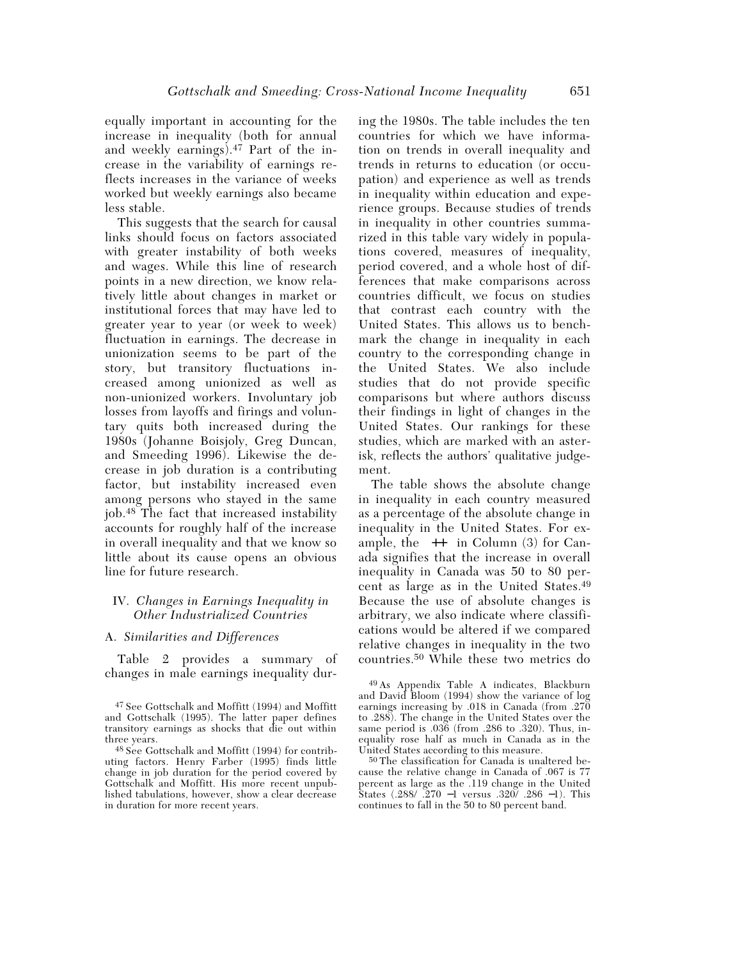equally important in accounting for the increase in inequality (both for annual and weekly earnings).47 Part of the increase in the variability of earnings reflects increases in the variance of weeks worked but weekly earnings also became less stable.

This suggests that the search for causal links should focus on factors associated with greater instability of both weeks and wages. While this line of research points in a new direction, we know relatively little about changes in market or institutional forces that may have led to greater year to year (or week to week) fluctuation in earnings. The decrease in unionization seems to be part of the story, but transitory fluctuations increased among unionized as well as non-unionized workers. Involuntary job losses from layoffs and firings and voluntary quits both increased during the 1980s (Johanne Boisjoly, Greg Duncan, and Smeeding 1996). Likewise the decrease in job duration is a contributing factor, but instability increased even among persons who stayed in the same job.48 The fact that increased instability accounts for roughly half of the increase in overall inequality and that we know so little about its cause opens an obvious line for future research.

## IV. *Changes in Earnings Inequality in Other Industrialized Countries*

#### A. *Similarities and Differences*

Table 2 provides a summary of changes in male earnings inequality during the 1980s. The table includes the ten countries for which we have information on trends in overall inequality and trends in returns to education (or occupation) and experience as well as trends in inequality within education and experience groups. Because studies of trends in inequality in other countries summarized in this table vary widely in populations covered, measures of inequality, period covered, and a whole host of differences that make comparisons across countries difficult, we focus on studies that contrast each country with the United States. This allows us to benchmark the change in inequality in each country to the corresponding change in the United States. We also include studies that do not provide specific comparisons but where authors discuss their findings in light of changes in the United States. Our rankings for these studies, which are marked with an asterisk, reflects the authors' qualitative judgement.

The table shows the absolute change in inequality in each country measured as a percentage of the absolute change in inequality in the United States. For example, the ++ in Column (3) for Canada signifies that the increase in overall inequality in Canada was 50 to 80 percent as large as in the United States.49 Because the use of absolute changes is arbitrary, we also indicate where classifications would be altered if we compared relative changes in inequality in the two countries.50 While these two metrics do

<sup>47</sup> See Gottschalk and Moffitt (1994) and Moffitt and Gottschalk (1995). The latter paper defines transitory earnings as shocks that die out within three years.

<sup>48</sup> See Gottschalk and Moffitt (1994) for contributing factors. Henry Farber (1995) finds little change in job duration for the period covered by Gottschalk and Moffitt. His more recent unpublished tabulations, however, show a clear decrease in duration for more recent years.

<sup>49</sup> As Appendix Table A indicates, Blackburn and David Bloom (1994) show the variance of log earnings increasing by .018 in Canada (from .270 to .288). The change in the United States over the same period is .036 (from .286 to .320). Thus, inequality rose half as much in Canada as in the United States according to this measure.

<sup>50</sup> The classification for Canada is unaltered because the relative change in Canada of .067 is 77 percent as large as the .119 change in the United States (.288/ .270 −1 versus .320/ .286 −1). This continues to fall in the 50 to 80 percent band.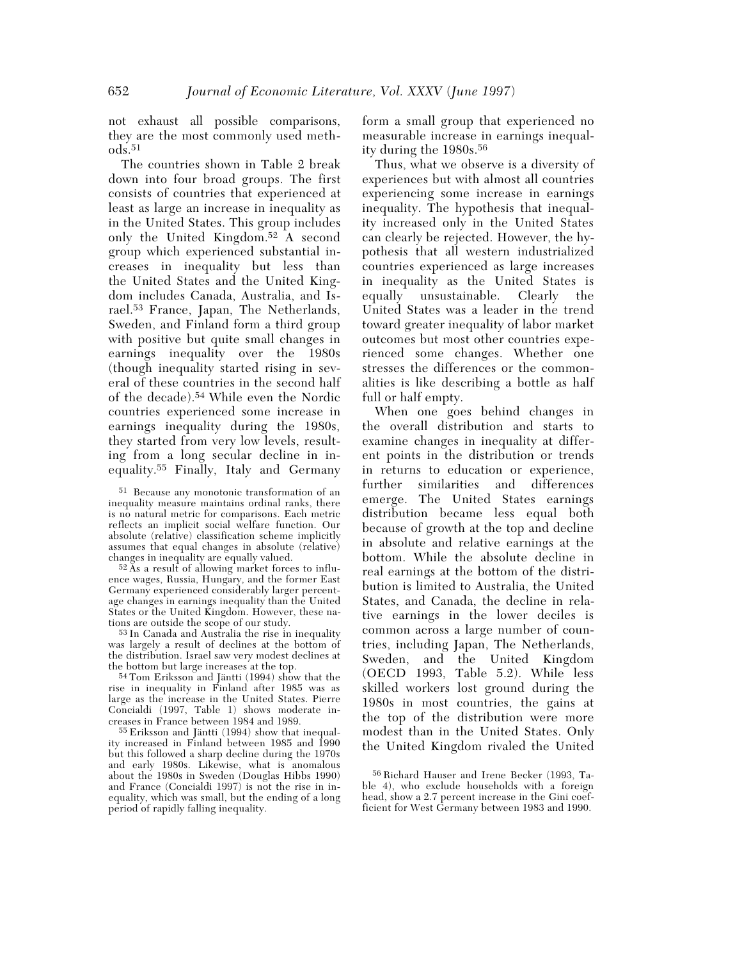not exhaust all possible comparisons, they are the most commonly used meth- $\log 51$ 

The countries shown in Table 2 break down into four broad groups. The first consists of countries that experienced at least as large an increase in inequality as in the United States. This group includes only the United Kingdom.52 A second group which experienced substantial increases in inequality but less than the United States and the United Kingdom includes Canada, Australia, and Israel.53 France, Japan, The Netherlands, Sweden, and Finland form a third group with positive but quite small changes in earnings inequality over the 1980s (though inequality started rising in several of these countries in the second half of the decade).54 While even the Nordic countries experienced some increase in earnings inequality during the 1980s, they started from very low levels, resulting from a long secular decline in inequality.55 Finally, Italy and Germany

51 Because any monotonic transformation of an inequality measure maintains ordinal ranks, there is no natural metric for comparisons. Each metric reflects an implicit social welfare function. Our absolute (relative) classification scheme implicitly assumes that equal changes in absolute (relative) changes in inequality are equally valued.

 $52 \text{ Ås}$  a result of allowing market forces to influence wages, Russia, Hungary, and the former East Germany experienced considerably larger percentage changes in earnings inequality than the United States or the United Kingdom. However, these nations are outside the scope of our study.

53 In Canada and Australia the rise in inequality was largely a result of declines at the bottom of the distribution. Israel saw very modest declines at the bottom but large increases at the top.

54 Tom Eriksson and Jäntti (1994) show that the rise in inequality in Finland after 1985 was as large as the increase in the United States. Pierre Concialdi (1997, Table 1) shows moderate increases in France between 1984 and 1989.

55 Eriksson and Jäntti (1994) show that inequality increased in Finland between 1985 and 1990 but this followed a sharp decline during the 1970s and early 1980s. Likewise, what is anomalous about the 1980s in Sweden (Douglas Hibbs 1990) and France (Concialdi 1997) is not the rise in inequality, which was small, but the ending of a long period of rapidly falling inequality.

form a small group that experienced no measurable increase in earnings inequality during the 1980s.56

Thus, what we observe is a diversity of experiences but with almost all countries experiencing some increase in earnings inequality. The hypothesis that inequality increased only in the United States can clearly be rejected. However, the hypothesis that all western industrialized countries experienced as large increases in inequality as the United States is equally unsustainable. Clearly the United States was a leader in the trend toward greater inequality of labor market outcomes but most other countries experienced some changes. Whether one stresses the differences or the commonalities is like describing a bottle as half full or half empty.

When one goes behind changes in the overall distribution and starts to examine changes in inequality at different points in the distribution or trends in returns to education or experience, further similarities and differences emerge. The United States earnings distribution became less equal both because of growth at the top and decline in absolute and relative earnings at the bottom. While the absolute decline in real earnings at the bottom of the distribution is limited to Australia, the United States, and Canada, the decline in relative earnings in the lower deciles is common across a large number of countries, including Japan, The Netherlands, Sweden, and the United Kingdom (OECD 1993, Table 5.2). While less skilled workers lost ground during the 1980s in most countries, the gains at the top of the distribution were more modest than in the United States. Only the United Kingdom rivaled the United

<sup>56</sup> Richard Hauser and Irene Becker (1993, Table 4), who exclude households with a foreign head, show a 2.7 percent increase in the Gini coefficient for West Germany between 1983 and 1990.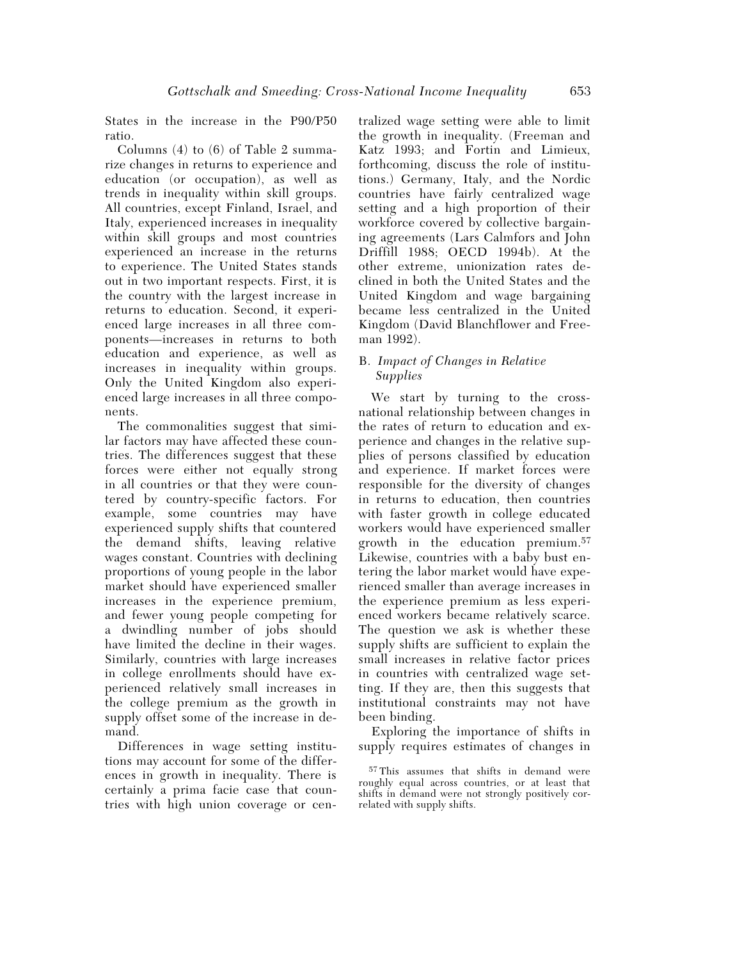States in the increase in the P90/P50 ratio.

Columns  $(4)$  to  $(6)$  of Table 2 summarize changes in returns to experience and education (or occupation), as well as trends in inequality within skill groups. All countries, except Finland, Israel, and Italy, experienced increases in inequality within skill groups and most countries experienced an increase in the returns to experience. The United States stands out in two important respects. First, it is the country with the largest increase in returns to education. Second, it experienced large increases in all three components—increases in returns to both education and experience, as well as increases in inequality within groups. Only the United Kingdom also experienced large increases in all three components.

The commonalities suggest that similar factors may have affected these countries. The differences suggest that these forces were either not equally strong in all countries or that they were countered by country-specific factors. For example, some countries may have experienced supply shifts that countered the demand shifts, leaving relative wages constant. Countries with declining proportions of young people in the labor market should have experienced smaller increases in the experience premium, and fewer young people competing for a dwindling number of jobs should have limited the decline in their wages. Similarly, countries with large increases in college enrollments should have experienced relatively small increases in the college premium as the growth in supply offset some of the increase in demand.

Differences in wage setting institutions may account for some of the differences in growth in inequality. There is certainly a prima facie case that countries with high union coverage or centralized wage setting were able to limit the growth in inequality. (Freeman and Katz 1993; and Fortin and Limieux, forthcoming, discuss the role of institutions.) Germany, Italy, and the Nordic countries have fairly centralized wage setting and a high proportion of their workforce covered by collective bargaining agreements (Lars Calmfors and John Driffill 1988; OECD 1994b). At the other extreme, unionization rates declined in both the United States and the United Kingdom and wage bargaining became less centralized in the United Kingdom (David Blanchflower and Freeman 1992).

## B. *Impact of Changes in Relative Supplies*

We start by turning to the crossnational relationship between changes in the rates of return to education and experience and changes in the relative supplies of persons classified by education and experience. If market forces were responsible for the diversity of changes in returns to education, then countries with faster growth in college educated workers would have experienced smaller growth in the education premium.57 Likewise, countries with a baby bust entering the labor market would have experienced smaller than average increases in the experience premium as less experienced workers became relatively scarce. The question we ask is whether these supply shifts are sufficient to explain the small increases in relative factor prices in countries with centralized wage setting. If they are, then this suggests that institutional constraints may not have been binding.

Exploring the importance of shifts in supply requires estimates of changes in

<sup>57</sup> This assumes that shifts in demand were roughly equal across countries, or at least that shifts in demand were not strongly positively correlated with supply shifts.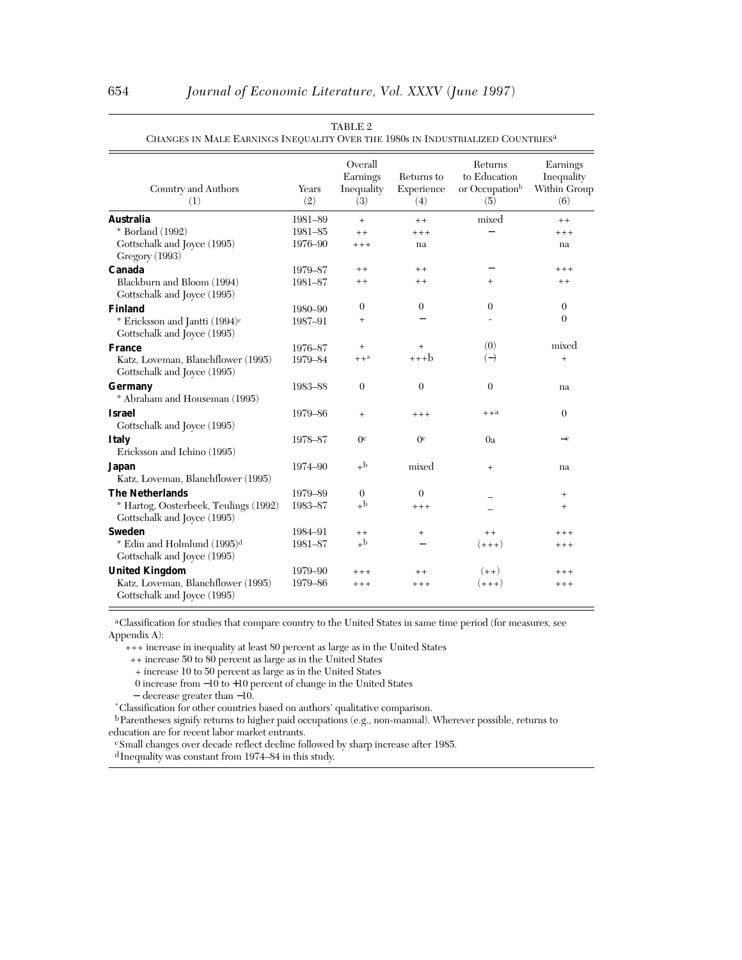| Country and Authors<br>(1)                                                | Years<br>(2) | Overall<br>Earnings<br>Inequality<br>(3) | Returns to<br>Experience<br>(4) | Returns<br>to Education<br>or Occupation <sup>b</sup><br>(5) | Earnings<br>Inequality<br>Within Group<br>(6) |
|---------------------------------------------------------------------------|--------------|------------------------------------------|---------------------------------|--------------------------------------------------------------|-----------------------------------------------|
| <b>Australia</b>                                                          | 1981-89      | $^{+}$                                   | $++$                            | mixed                                                        | $+ +$                                         |
| $\degree$ Borland (1992)                                                  | 1981-85      | $+ +$                                    | $***$                           |                                                              | $++++$                                        |
| Gottschalk and Joyce (1995)<br>Gregory (1993)                             | 1976-90      | $+++$                                    | na                              |                                                              | na                                            |
| Canada                                                                    | 1979-87      | $+ +$                                    | $+ +$                           |                                                              | $++++$                                        |
| Blackburn and Bloom (1994)<br>Gottschalk and Joyce (1995)                 | 1981-87      | $++$                                     | $+ +$                           | $^{+}$                                                       | $+ +$                                         |
| <b>Finland</b>                                                            | 1980-90      | $\theta$                                 | $\theta$                        | $\theta$                                                     | $\theta$                                      |
| * Ericksson and Jantti (1994) <sup>c</sup><br>Gottschalk and Joyce (1995) | 1987-91      | $^{+}$                                   |                                 |                                                              | $\Omega$                                      |
| <b>France</b>                                                             | 1976-87      | $+$                                      | $^{+}$                          | (0)                                                          | mixed                                         |
| Katz, Loveman, Blanchflower (1995)<br>Gottschalk and Joyce (1995)         | 1979-84      | $++^a$                                   | $***b$                          | $(-)$                                                        | $^{+}$                                        |
| Germany<br>* Abraham and Houseman (1995)                                  | 1983-88      | $\theta$                                 | $\overline{0}$                  | $\theta$                                                     | na                                            |
| <b>Israel</b><br>Gottschalk and Joyce (1995)                              | 1979-86      | $^{+}$                                   | $***$                           | $++a$                                                        | $\theta$                                      |
| <b>Italy</b><br>Ericksson and Ichino (1995)                               | 1978-87      | 0 <sup>c</sup>                           | 0 <sup>c</sup>                  | 0a                                                           | $-c$                                          |
| Japan<br>Katz, Loveman, Blanchflower (1995)                               | 1974-90      | $+^{\rm b}$                              | mixed                           | $^{+}$                                                       | na                                            |
| <b>The Netherlands</b>                                                    | 1979-89      | $\theta$                                 | $\theta$                        |                                                              | $^{+}$                                        |
| * Hartog, Oosterbeek, Teulings (1992)<br>Gottschalk and Joyce (1995)      | 1983-87      | $+$ b                                    | $***$                           |                                                              | $^{+}$                                        |
| <b>Sweden</b>                                                             | 1984-91      | $++$                                     | $^{+}$                          | $+ +$                                                        | $++++$                                        |
| * Edin and Holmlund (1995) <sup>d</sup><br>Gottschalk and Joyce (1995)    | 1981-87      | $+^{\rm b}$                              |                                 | $(+++)$                                                      | $++++$                                        |
| <b>United Kingdom</b>                                                     | 1979-90      | $+++$                                    | $+ +$                           | $(++)$                                                       | $+++$                                         |
| Katz, Loveman, Blanchflower (1995)<br>Gottschalk and Joyce (1995)         | 1979-86      | $+++$                                    | $++++$                          | $(+++)$                                                      | $++++$                                        |

| TABLE 2                                                                                     |  |
|---------------------------------------------------------------------------------------------|--|
| CHANGES IN MALE EARNINGS INEQUALITY OVER THE 1980s IN INDUSTRIALIZED COUNTRIES <sup>a</sup> |  |

 a Classification for studies that compare country to the United States in same time period (for measures, see Appendix A):

+++ increase in inequality at least 80 percent as large as in the United States

++ increase 50 to 80 percent as large as in the United States

+ increase 10 to 50 percent as large as in the United States

0 increase from −10 to +10 percent of change in the United States

<sup>−</sup> decrease greater than <sup>−</sup>10. \* Classification for other countries based on authors' qualitative comparison.

 b Parentheses signify returns to higher paid occupations (e.g., non-manual). Wherever possible, returns to education are for recent labor market entrants.

c Small changes over decade reflect decline followed by sharp increase after 1985.

d Inequality was constant from 1974–84 in this study.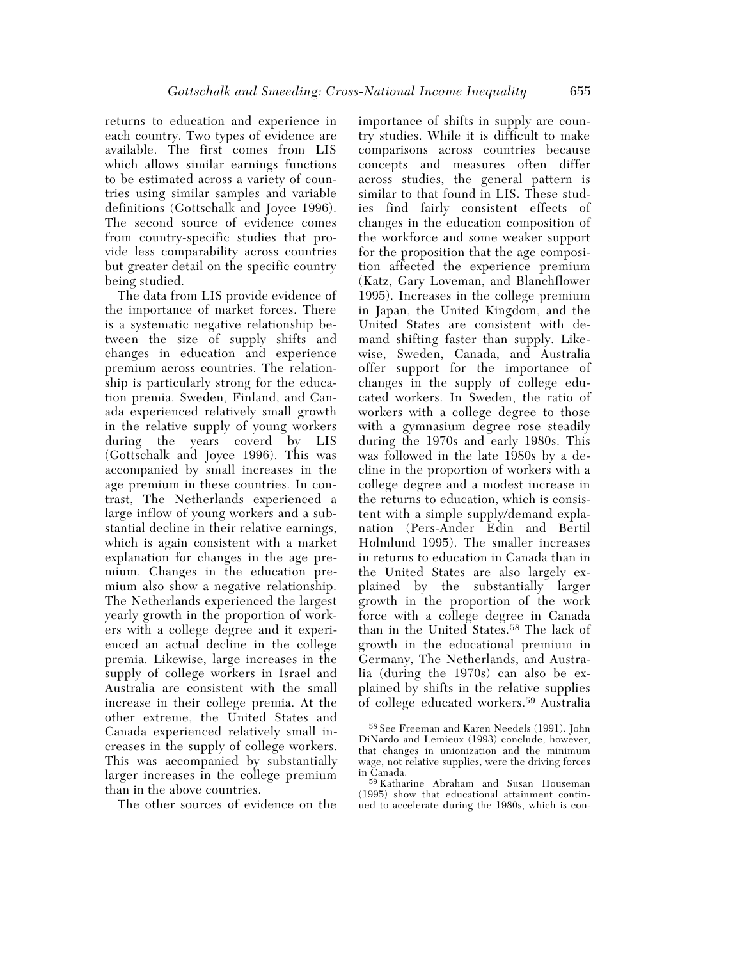returns to education and experience in each country. Two types of evidence are available. The first comes from LIS which allows similar earnings functions to be estimated across a variety of countries using similar samples and variable definitions (Gottschalk and Joyce 1996). The second source of evidence comes from country-specific studies that provide less comparability across countries but greater detail on the specific country being studied.

The data from LIS provide evidence of the importance of market forces. There is a systematic negative relationship between the size of supply shifts and changes in education and experience premium across countries. The relationship is particularly strong for the education premia. Sweden, Finland, and Canada experienced relatively small growth in the relative supply of young workers during the years coverd by LIS (Gottschalk and Joyce 1996). This was accompanied by small increases in the age premium in these countries. In contrast, The Netherlands experienced a large inflow of young workers and a substantial decline in their relative earnings, which is again consistent with a market explanation for changes in the age premium. Changes in the education premium also show a negative relationship. The Netherlands experienced the largest yearly growth in the proportion of workers with a college degree and it experienced an actual decline in the college premia. Likewise, large increases in the supply of college workers in Israel and Australia are consistent with the small increase in their college premia. At the other extreme, the United States and Canada experienced relatively small increases in the supply of college workers. This was accompanied by substantially larger increases in the college premium than in the above countries.

The other sources of evidence on the

importance of shifts in supply are country studies. While it is difficult to make comparisons across countries because concepts and measures often differ across studies, the general pattern is similar to that found in LIS. These studies find fairly consistent effects of changes in the education composition of the workforce and some weaker support for the proposition that the age composition affected the experience premium (Katz, Gary Loveman, and Blanchflower 1995). Increases in the college premium in Japan, the United Kingdom, and the United States are consistent with demand shifting faster than supply. Likewise, Sweden, Canada, and Australia offer support for the importance of changes in the supply of college educated workers. In Sweden, the ratio of workers with a college degree to those with a gymnasium degree rose steadily during the 1970s and early 1980s. This was followed in the late 1980s by a decline in the proportion of workers with a college degree and a modest increase in the returns to education, which is consistent with a simple supply/demand explanation (Pers-Ander Edin and Bertil Holmlund 1995). The smaller increases in returns to education in Canada than in the United States are also largely explained by the substantially larger growth in the proportion of the work force with a college degree in Canada than in the United States.58 The lack of growth in the educational premium in Germany, The Netherlands, and Australia (during the 1970s) can also be explained by shifts in the relative supplies of college educated workers.59 Australia

<sup>58</sup> See Freeman and Karen Needels (1991). John DiNardo and Lemieux (1993) conclude, however, that changes in unionization and the minimum wage, not relative supplies, were the driving forces in Canada.

<sup>59</sup> Katharine Abraham and Susan Houseman (1995) show that educational attainment continued to accelerate during the 1980s, which is con-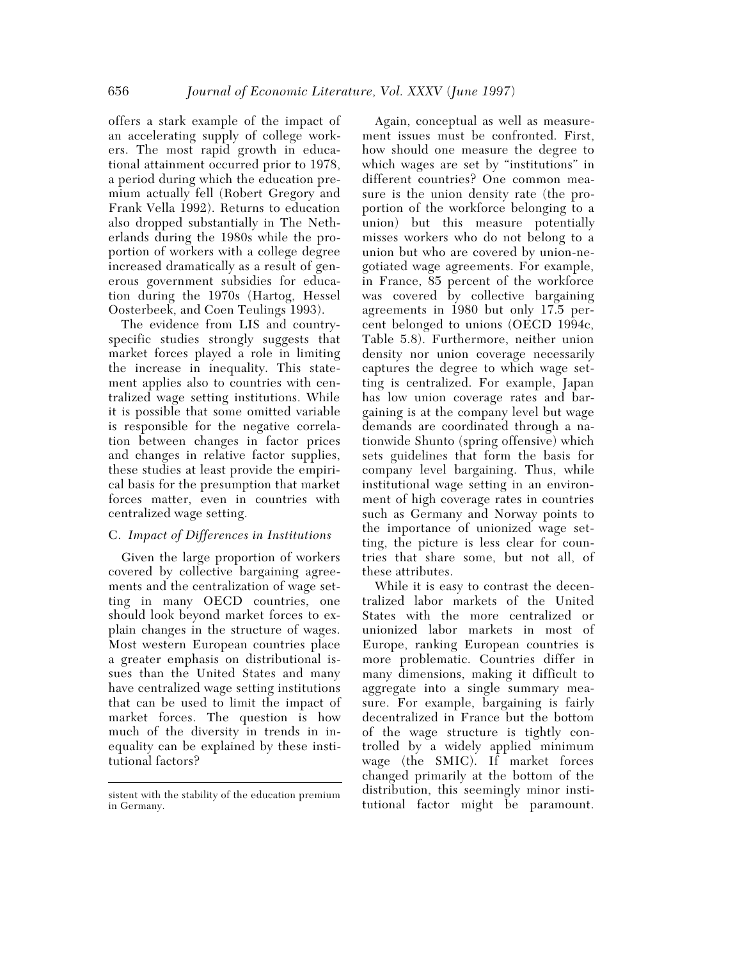offers a stark example of the impact of an accelerating supply of college workers. The most rapid growth in educational attainment occurred prior to 1978, a period during which the education premium actually fell (Robert Gregory and Frank Vella 1992). Returns to education also dropped substantially in The Netherlands during the 1980s while the proportion of workers with a college degree increased dramatically as a result of generous government subsidies for education during the 1970s (Hartog, Hessel Oosterbeek, and Coen Teulings 1993).

The evidence from LIS and countryspecific studies strongly suggests that market forces played a role in limiting the increase in inequality. This statement applies also to countries with centralized wage setting institutions. While it is possible that some omitted variable is responsible for the negative correlation between changes in factor prices and changes in relative factor supplies, these studies at least provide the empirical basis for the presumption that market forces matter, even in countries with centralized wage setting.

# C. *Impact of Differences in Institutions*

Given the large proportion of workers covered by collective bargaining agreements and the centralization of wage setting in many OECD countries, one should look beyond market forces to explain changes in the structure of wages. Most western European countries place a greater emphasis on distributional issues than the United States and many have centralized wage setting institutions that can be used to limit the impact of market forces. The question is how much of the diversity in trends in inequality can be explained by these institutional factors?

Again, conceptual as well as measurement issues must be confronted. First, how should one measure the degree to which wages are set by "institutions" in different countries? One common measure is the union density rate (the proportion of the workforce belonging to a union) but this measure potentially misses workers who do not belong to a union but who are covered by union-negotiated wage agreements. For example, in France, 85 percent of the workforce was covered by collective bargaining agreements in 1980 but only 17.5 percent belonged to unions (OECD 1994c, Table 5.8). Furthermore, neither union density nor union coverage necessarily captures the degree to which wage setting is centralized. For example, Japan has low union coverage rates and bargaining is at the company level but wage demands are coordinated through a nationwide Shunto (spring offensive) which sets guidelines that form the basis for company level bargaining. Thus, while institutional wage setting in an environment of high coverage rates in countries such as Germany and Norway points to the importance of unionized wage setting, the picture is less clear for countries that share some, but not all, of these attributes.

While it is easy to contrast the decentralized labor markets of the United States with the more centralized or unionized labor markets in most of Europe, ranking European countries is more problematic. Countries differ in many dimensions, making it difficult to aggregate into a single summary measure. For example, bargaining is fairly decentralized in France but the bottom of the wage structure is tightly controlled by a widely applied minimum wage (the SMIC). If market forces changed primarily at the bottom of the distribution, this seemingly minor insti-

sistent with the stability of the education premium<br>in Germany.<br>tutional factor might be paramount. in Germany.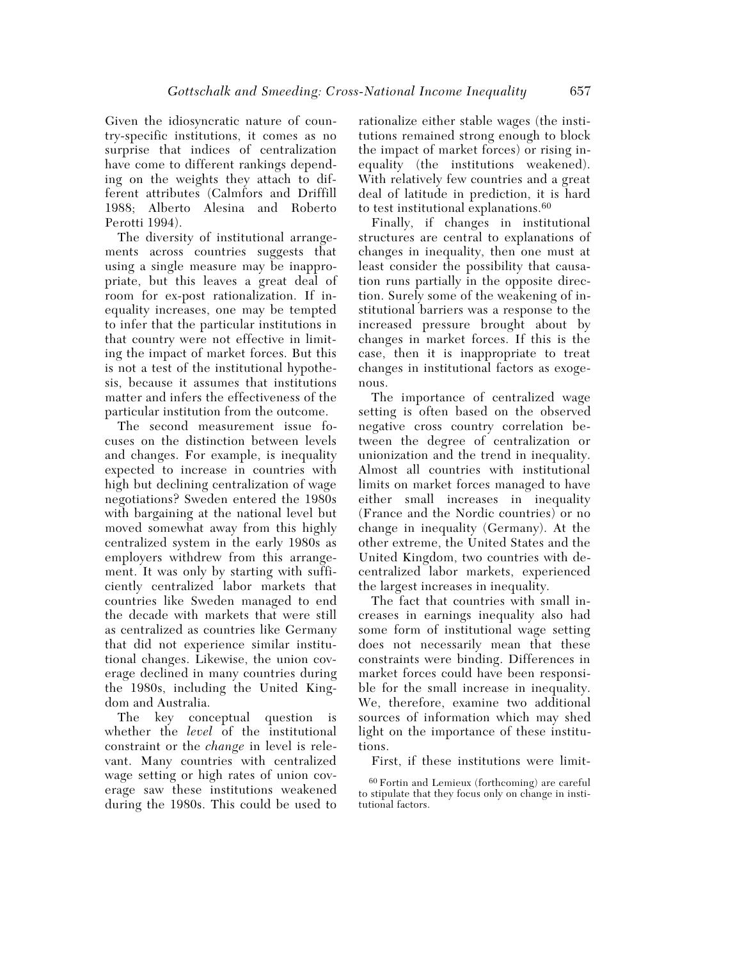Given the idiosyncratic nature of country-specific institutions, it comes as no surprise that indices of centralization have come to different rankings depending on the weights they attach to different attributes (Calmfors and Driffill 1988; Alberto Alesina and Roberto Perotti 1994).

The diversity of institutional arrangements across countries suggests that using a single measure may be inappropriate, but this leaves a great deal of room for ex-post rationalization. If inequality increases, one may be tempted to infer that the particular institutions in that country were not effective in limiting the impact of market forces. But this is not a test of the institutional hypothesis, because it assumes that institutions matter and infers the effectiveness of the particular institution from the outcome.

The second measurement issue focuses on the distinction between levels and changes. For example, is inequality expected to increase in countries with high but declining centralization of wage negotiations? Sweden entered the 1980s with bargaining at the national level but moved somewhat away from this highly centralized system in the early 1980s as employers withdrew from this arrangement. It was only by starting with sufficiently centralized labor markets that countries like Sweden managed to end the decade with markets that were still as centralized as countries like Germany that did not experience similar institutional changes. Likewise, the union coverage declined in many countries during the 1980s, including the United Kingdom and Australia.

The key conceptual question is whether the *level* of the institutional constraint or the *change* in level is relevant. Many countries with centralized wage setting or high rates of union coverage saw these institutions weakened during the 1980s. This could be used to rationalize either stable wages (the institutions remained strong enough to block the impact of market forces) or rising inequality (the institutions weakened). With relatively few countries and a great deal of latitude in prediction, it is hard to test institutional explanations.60

Finally, if changes in institutional structures are central to explanations of changes in inequality, then one must at least consider the possibility that causation runs partially in the opposite direction. Surely some of the weakening of institutional barriers was a response to the increased pressure brought about by changes in market forces. If this is the case, then it is inappropriate to treat changes in institutional factors as exogenous.

The importance of centralized wage setting is often based on the observed negative cross country correlation between the degree of centralization or unionization and the trend in inequality. Almost all countries with institutional limits on market forces managed to have either small increases in inequality (France and the Nordic countries) or no change in inequality (Germany). At the other extreme, the United States and the United Kingdom, two countries with decentralized labor markets, experienced the largest increases in inequality.

The fact that countries with small increases in earnings inequality also had some form of institutional wage setting does not necessarily mean that these constraints were binding. Differences in market forces could have been responsible for the small increase in inequality. We, therefore, examine two additional sources of information which may shed light on the importance of these institutions.

First, if these institutions were limit-

<sup>60</sup> Fortin and Lemieux (forthcoming) are careful to stipulate that they focus only on change in institutional factors.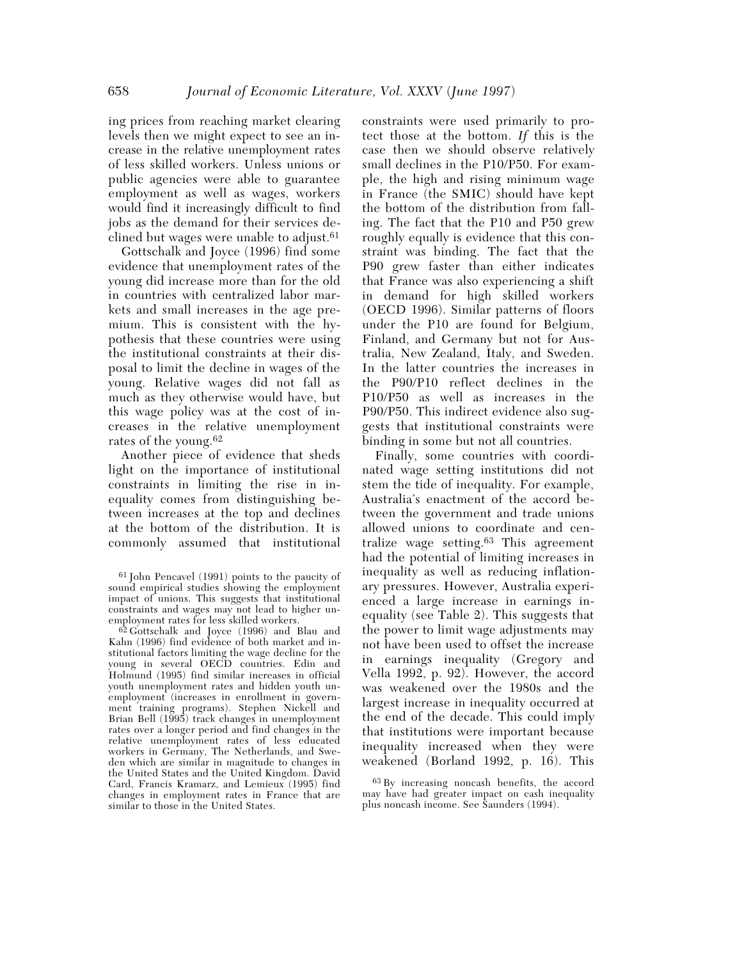ing prices from reaching market clearing levels then we might expect to see an increase in the relative unemployment rates of less skilled workers. Unless unions or public agencies were able to guarantee employment as well as wages, workers would find it increasingly difficult to find jobs as the demand for their services declined but wages were unable to adjust.61

Gottschalk and Joyce (1996) find some evidence that unemployment rates of the young did increase more than for the old in countries with centralized labor markets and small increases in the age premium. This is consistent with the hypothesis that these countries were using the institutional constraints at their disposal to limit the decline in wages of the young. Relative wages did not fall as much as they otherwise would have, but this wage policy was at the cost of increases in the relative unemployment rates of the young.62

Another piece of evidence that sheds light on the importance of institutional constraints in limiting the rise in inequality comes from distinguishing between increases at the top and declines at the bottom of the distribution. It is commonly assumed that institutional

61 John Pencavel (1991) points to the paucity of sound empirical studies showing the employment impact of unions. This suggests that institutional constraints and wages may not lead to higher unemployment rates for less skilled workers.

62 Gottschalk and Joyce (1996) and Blau and Kahn (1996) find evidence of both market and institutional factors limiting the wage decline for the young in several OECD countries. Edin and Holmund (1995) find similar increases in official youth unemployment rates and hidden youth unemployment (increases in enrollment in government training programs). Stephen Nickell and Brian Bell (1995) track changes in unemployment rates over a longer period and find changes in the relative unemployment rates of less educated workers in Germany, The Netherlands, and Sweden which are similar in magnitude to changes in the United States and the United Kingdom. David Card, Francis Kramarz, and Lemieux (1995) find changes in employment rates in France that are similar to those in the United States.

constraints were used primarily to protect those at the bottom. *If* this is the case then we should observe relatively small declines in the P10/P50. For example, the high and rising minimum wage in France (the SMIC) should have kept the bottom of the distribution from falling. The fact that the P10 and P50 grew roughly equally is evidence that this constraint was binding. The fact that the P90 grew faster than either indicates that France was also experiencing a shift in demand for high skilled workers (OECD 1996). Similar patterns of floors under the P10 are found for Belgium, Finland, and Germany but not for Australia, New Zealand, Italy, and Sweden. In the latter countries the increases in the P90/P10 reflect declines in the P10/P50 as well as increases in the P90/P50. This indirect evidence also suggests that institutional constraints were binding in some but not all countries.

Finally, some countries with coordinated wage setting institutions did not stem the tide of inequality. For example, Australia's enactment of the accord between the government and trade unions allowed unions to coordinate and centralize wage setting.63 This agreement had the potential of limiting increases in inequality as well as reducing inflationary pressures. However, Australia experienced a large increase in earnings inequality (see Table 2). This suggests that the power to limit wage adjustments may not have been used to offset the increase in earnings inequality (Gregory and Vella 1992, p. 92). However, the accord was weakened over the 1980s and the largest increase in inequality occurred at the end of the decade. This could imply that institutions were important because inequality increased when they were weakened (Borland 1992, p. 16). This

<sup>63</sup> By increasing noncash benefits, the accord may have had greater impact on cash inequality plus noncash income. See Saunders (1994).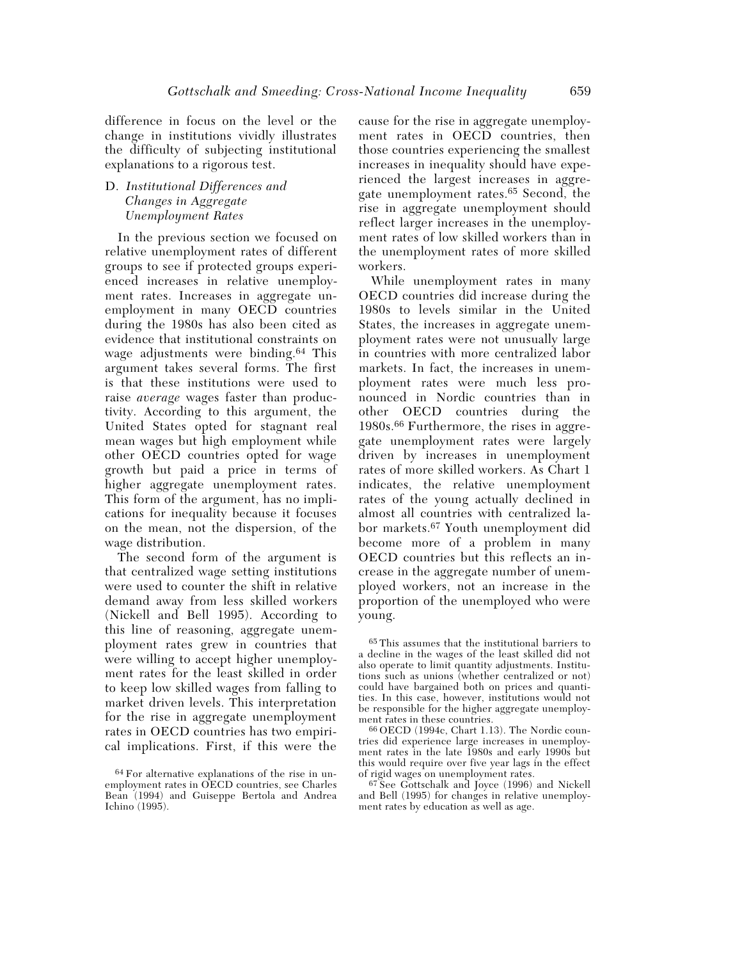difference in focus on the level or the change in institutions vividly illustrates the difficulty of subjecting institutional explanations to a rigorous test.

## D. *Institutional Differences and Changes in Aggregate Unemployment Rates*

In the previous section we focused on relative unemployment rates of different groups to see if protected groups experienced increases in relative unemployment rates. Increases in aggregate unemployment in many OECD countries during the 1980s has also been cited as evidence that institutional constraints on wage adjustments were binding.64 This argument takes several forms. The first is that these institutions were used to raise *average* wages faster than productivity. According to this argument, the United States opted for stagnant real mean wages but high employment while other OECD countries opted for wage growth but paid a price in terms of higher aggregate unemployment rates. This form of the argument, has no implications for inequality because it focuses on the mean, not the dispersion, of the wage distribution.

The second form of the argument is that centralized wage setting institutions were used to counter the shift in relative demand away from less skilled workers (Nickell and Bell 1995). According to this line of reasoning, aggregate unemployment rates grew in countries that were willing to accept higher unemployment rates for the least skilled in order to keep low skilled wages from falling to market driven levels. This interpretation for the rise in aggregate unemployment rates in OECD countries has two empirical implications. First, if this were the

cause for the rise in aggregate unemployment rates in OECD countries, then those countries experiencing the smallest increases in inequality should have experienced the largest increases in aggregate unemployment rates.65 Second, the rise in aggregate unemployment should reflect larger increases in the unemployment rates of low skilled workers than in the unemployment rates of more skilled workers.

While unemployment rates in many OECD countries did increase during the 1980s to levels similar in the United States, the increases in aggregate unemployment rates were not unusually large in countries with more centralized labor markets. In fact, the increases in unemployment rates were much less pronounced in Nordic countries than in other OECD countries during the 1980s.66 Furthermore, the rises in aggregate unemployment rates were largely driven by increases in unemployment rates of more skilled workers. As Chart 1 indicates, the relative unemployment rates of the young actually declined in almost all countries with centralized labor markets.67 Youth unemployment did become more of a problem in many OECD countries but this reflects an increase in the aggregate number of unemployed workers, not an increase in the proportion of the unemployed who were young.

65 This assumes that the institutional barriers to a decline in the wages of the least skilled did not also operate to limit quantity adjustments. Institutions such as unions (whether centralized or not) could have bargained both on prices and quantities. In this case, however, institutions would not be responsible for the higher aggregate unemployment rates in these countries.

66 OECD (1994c, Chart 1.13). The Nordic countries did experience large increases in unemployment rates in the late 1980s and early 1990s but this would require over five year lags in the effect of rigid wages on unemployment rates.

67 See Gottschalk and Joyce (1996) and Nickell and Bell (1995) for changes in relative unemployment rates by education as well as age.

<sup>64</sup> For alternative explanations of the rise in unemployment rates in OECD countries, see Charles Bean (1994) and Guiseppe Bertola and Andrea Ichino (1995).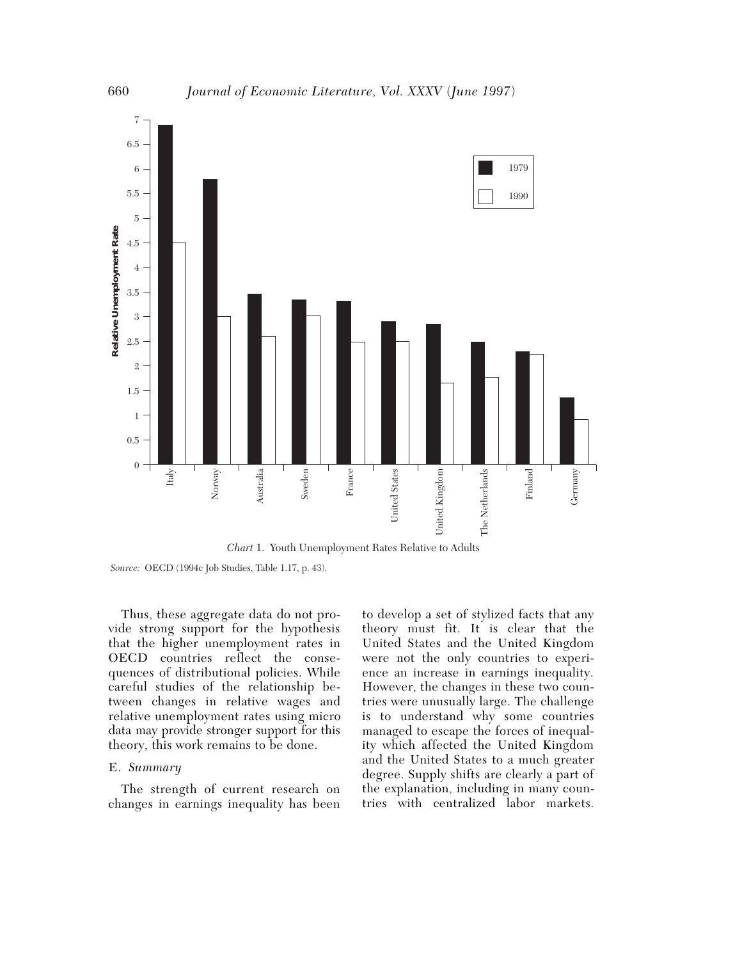

*Chart* 1. Youth Unemployment Rates Relative to Adults

*Source:* OECD (1994c Job Studies, Table 1.17, p. 43).

Thus, these aggregate data do not provide strong support for the hypothesis that the higher unemployment rates in OECD countries reflect the consequences of distributional policies. While careful studies of the relationship between changes in relative wages and relative unemployment rates using micro data may provide stronger support for this theory, this work remains to be done.

#### E. *Summary*

The strength of current research on changes in earnings inequality has been

to develop a set of stylized facts that any theory must fit. It is clear that the United States and the United Kingdom were not the only countries to experience an increase in earnings inequality. However, the changes in these two countries were unusually large. The challenge is to understand why some countries managed to escape the forces of inequality which affected the United Kingdom and the United States to a much greater degree. Supply shifts are clearly a part of the explanation, including in many countries with centralized labor markets.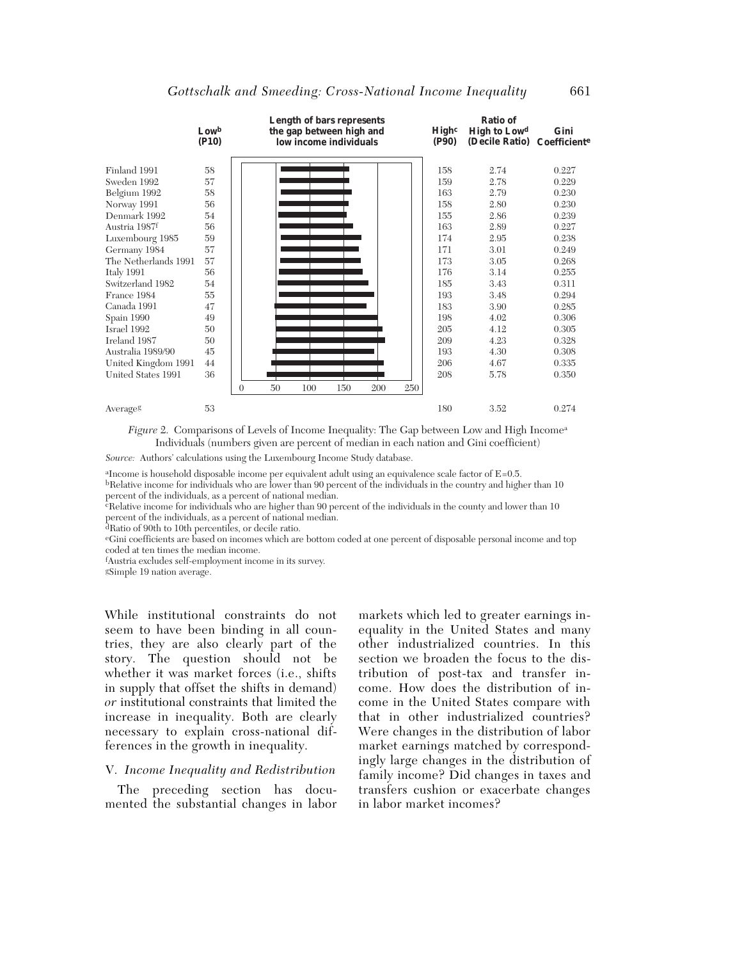|                      |                  |          |    | Length of bars represents                          |     |     |     |                            | Ratio of                              |                      |
|----------------------|------------------|----------|----|----------------------------------------------------|-----|-----|-----|----------------------------|---------------------------------------|----------------------|
|                      | Lowb<br>$($ P10) |          |    | the gap between high and<br>low income individuals |     |     |     | High <sup>c</sup><br>(P90) | <b>High to Lowd</b><br>(Decile Ratio) | Gini<br>Coefficiente |
|                      |                  |          |    |                                                    |     |     |     |                            |                                       |                      |
| Finland 1991         | 58               |          |    |                                                    |     |     |     | 158                        | 2.74                                  | 0.227                |
| Sweden 1992          | 57               |          |    |                                                    |     |     |     | 159                        | 2.78                                  | 0.229                |
| Belgium 1992         | 58               |          |    |                                                    |     |     |     | 163                        | 2.79                                  | 0.230                |
| Norway 1991          | 56               |          |    |                                                    |     |     |     | 158                        | 2.80                                  | 0.230                |
| Denmark 1992         | 54               |          |    |                                                    |     |     |     | 155                        | 2.86                                  | 0.239                |
| Austria 1987f        | 56               |          |    |                                                    |     |     |     | 163                        | 2.89                                  | 0.227                |
| Luxembourg 1985      | 59               |          |    |                                                    |     |     |     | 174                        | 2.95                                  | 0.238                |
| Germany 1984         | 57               |          |    |                                                    |     |     |     | 171                        | 3.01                                  | 0.249                |
| The Netherlands 1991 | 57               |          |    |                                                    |     |     |     | 173                        | 3.05                                  | 0.268                |
| Italy 1991           | 56               |          |    |                                                    |     |     |     | 176                        | 3.14                                  | 0.255                |
| Switzerland 1982     | 54               |          |    |                                                    |     |     |     | 185                        | 3.43                                  | 0.311                |
| France 1984          | 55               |          |    |                                                    |     |     |     | 193                        | 3.48                                  | 0.294                |
| Canada 1991          | 47               |          |    |                                                    |     |     |     | 183                        | 3.90                                  | 0.285                |
| Spain 1990           | 49               |          |    |                                                    |     |     |     | 198                        | 4.02                                  | 0.306                |
| Israel 1992          | 50               |          |    |                                                    |     |     |     | 205                        | 4.12                                  | 0.305                |
| Ireland 1987         | 50               |          |    |                                                    |     |     |     | 209                        | 4.23                                  | 0.328                |
| Australia 1989/90    | 45               |          |    |                                                    |     |     |     | 193                        | 4.30                                  | 0.308                |
| United Kingdom 1991  | 44               |          |    |                                                    |     |     |     | 206                        | 4.67                                  | 0.335                |
| United States 1991   | 36               |          |    |                                                    |     |     |     | 208                        | 5.78                                  | 0.350                |
|                      |                  | $\theta$ | 50 | 100                                                | 150 | 200 | 250 |                            |                                       |                      |
| Averageg             | 53               |          |    |                                                    |     |     |     | 180                        | 3.52                                  | 0.274                |

*Figure* 2. Comparisons of Levels of Income Inequality: The Gap between Low and High Income<sup>a</sup> Individuals (numbers given are percent of median in each nation and Gini coefficient)

*Source:* Authors' calculations using the Luxembourg Income Study database.

aIncome is household disposable income per equivalent adult using an equivalence scale factor of E=0.5. bRelative income for individuals who are lower than 90 percent of the individuals in the country and higher than 10 percent of the individuals, as a percent of national median.

 $\epsilon_{\text{Relative income}}$  for individuals who are higher than 90 percent of the individuals in the county and lower than 10 percent of the individuals, as a percent of national median.

dRatio of 90th to 10th percentiles, or decile ratio.

eGini coefficients are based on incomes which are bottom coded at one percent of disposable personal income and top coded at ten times the median income.

f Austria excludes self-employment income in its survey.

gSimple 19 nation average.

While institutional constraints do not seem to have been binding in all countries, they are also clearly part of the story. The question should not be whether it was market forces (i.e., shifts in supply that offset the shifts in demand) *or* institutional constraints that limited the increase in inequality. Both are clearly necessary to explain cross-national differences in the growth in inequality.

#### V. *Income Inequality and Redistribution*

The preceding section has documented the substantial changes in labor markets which led to greater earnings inequality in the United States and many other industrialized countries. In this section we broaden the focus to the distribution of post-tax and transfer income. How does the distribution of income in the United States compare with that in other industrialized countries? Were changes in the distribution of labor market earnings matched by correspondingly large changes in the distribution of family income? Did changes in taxes and transfers cushion or exacerbate changes in labor market incomes?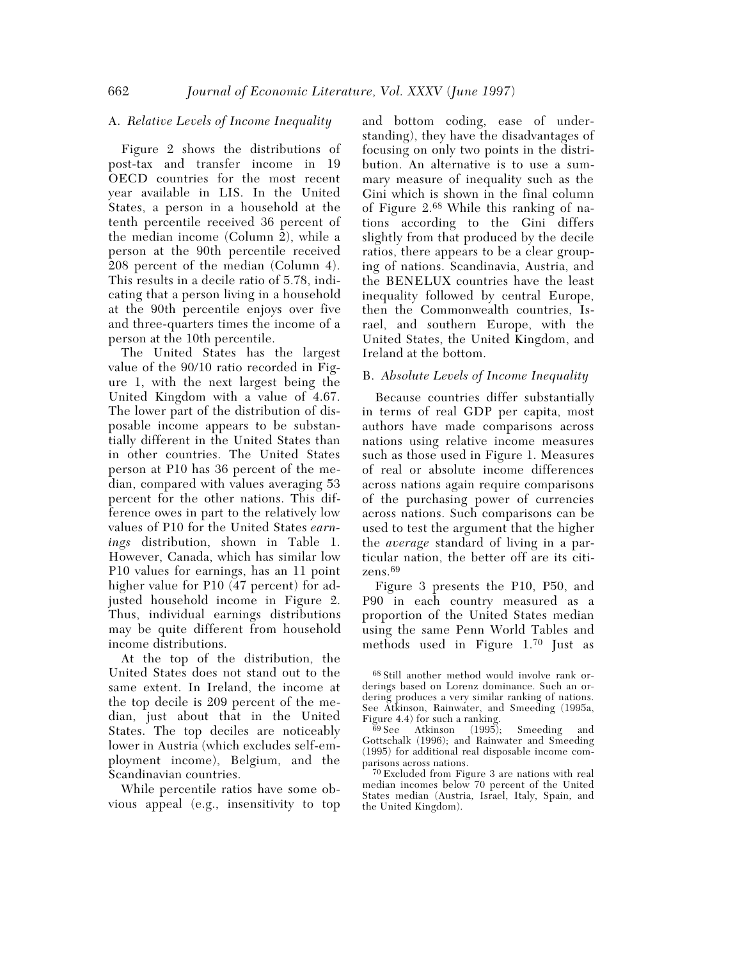## A. *Relative Levels of Income Inequality*

Figure 2 shows the distributions of post-tax and transfer income in 19 OECD countries for the most recent year available in LIS. In the United States, a person in a household at the tenth percentile received 36 percent of the median income (Column 2), while a person at the 90th percentile received 208 percent of the median (Column 4). This results in a decile ratio of 5.78, indicating that a person living in a household at the 90th percentile enjoys over five and three-quarters times the income of a person at the 10th percentile.

The United States has the largest value of the 90/10 ratio recorded in Figure 1, with the next largest being the United Kingdom with a value of 4.67. The lower part of the distribution of disposable income appears to be substantially different in the United States than in other countries. The United States person at P10 has 36 percent of the median, compared with values averaging 53 percent for the other nations. This difference owes in part to the relatively low values of P10 for the United States *earnings* distribution, shown in Table 1. However, Canada, which has similar low P10 values for earnings, has an 11 point higher value for P10 (47 percent) for adjusted household income in Figure 2. Thus, individual earnings distributions may be quite different from household income distributions.

At the top of the distribution, the United States does not stand out to the same extent. In Ireland, the income at the top decile is 209 percent of the median, just about that in the United States. The top deciles are noticeably lower in Austria (which excludes self-employment income), Belgium, and the Scandinavian countries.

While percentile ratios have some obvious appeal (e.g., insensitivity to top and bottom coding, ease of understanding), they have the disadvantages of focusing on only two points in the distribution. An alternative is to use a summary measure of inequality such as the Gini which is shown in the final column of Figure 2.68 While this ranking of nations according to the Gini differs slightly from that produced by the decile ratios, there appears to be a clear grouping of nations. Scandinavia, Austria, and the BENELUX countries have the least inequality followed by central Europe, then the Commonwealth countries, Israel, and southern Europe, with the United States, the United Kingdom, and Ireland at the bottom.

## B. *Absolute Levels of Income Inequality*

Because countries differ substantially in terms of real GDP per capita, most authors have made comparisons across nations using relative income measures such as those used in Figure 1. Measures of real or absolute income differences across nations again require comparisons of the purchasing power of currencies across nations. Such comparisons can be used to test the argument that the higher the *average* standard of living in a particular nation, the better off are its citizens.69

Figure 3 presents the P10, P50, and P90 in each country measured as a proportion of the United States median using the same Penn World Tables and methods used in Figure 1.70 Just as

<sup>68</sup> Still another method would involve rank orderings based on Lorenz dominance. Such an ordering produces a very similar ranking of nations. See Atkinson, Rainwater, and Smeeding (1995a, Figure 4.4) for such a ranking.<br> $69 \text{ See}$  Atkinson (1995);

Smeeding and Gottschalk (1996); and Rainwater and Smeeding (1995) for additional real disposable income comparisons across nations.

<sup>70</sup> Excluded from Figure 3 are nations with real median incomes below 70 percent of the United States median (Austria, Israel, Italy, Spain, and the United Kingdom).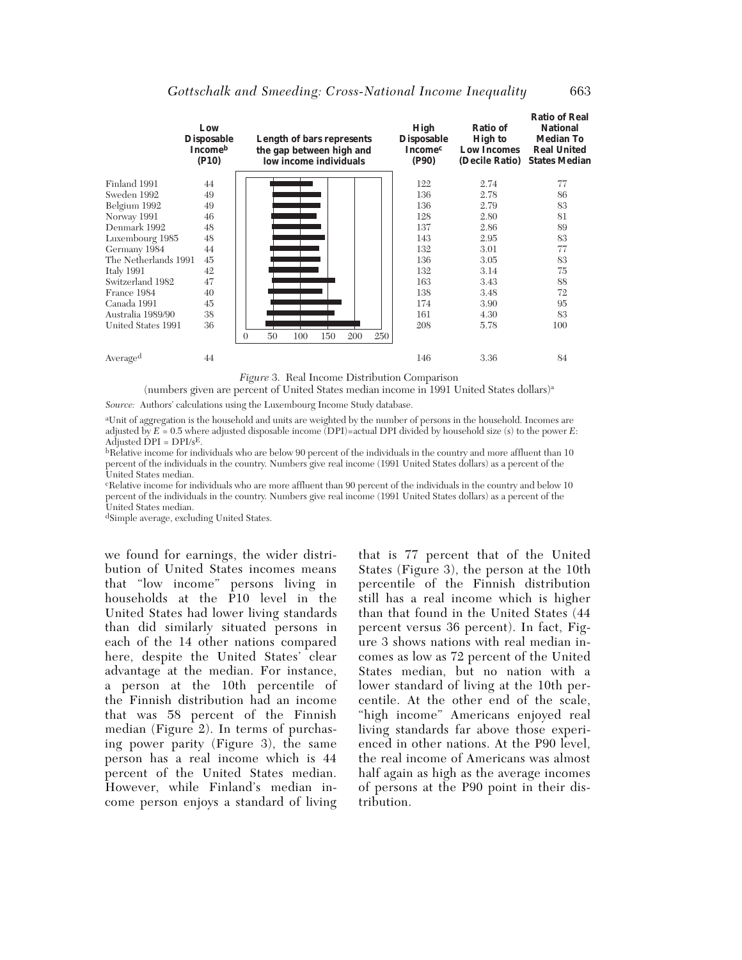|                      | Low<br><b>Disposable</b><br>Incomeb<br>$($ P10) |          |    |     | <b>Length of bars represents</b><br>the gap between high and<br>low income individuals |     |     | <b>High</b><br><b>Disposable</b><br><b>Income</b> <sup>c</sup><br>(P90) | Ratio of<br><b>High to</b><br><b>Low Incomes</b><br>(Decile Ratio) | <b>Ratio of Real</b><br><b>National</b><br><b>Median To</b><br><b>Real United</b><br><b>States Median</b> |
|----------------------|-------------------------------------------------|----------|----|-----|----------------------------------------------------------------------------------------|-----|-----|-------------------------------------------------------------------------|--------------------------------------------------------------------|-----------------------------------------------------------------------------------------------------------|
| Finland 1991         | 44                                              |          |    |     |                                                                                        |     |     | 122                                                                     | 2.74                                                               | 77                                                                                                        |
| Sweden 1992          | 49                                              |          |    |     |                                                                                        |     |     | 136                                                                     | 2.78                                                               | 86                                                                                                        |
| Belgium 1992         | 49                                              |          |    |     |                                                                                        |     |     | 136                                                                     | 2.79                                                               | 83                                                                                                        |
| Norway 1991          | 46                                              |          |    |     |                                                                                        |     |     | 128                                                                     | 2.80                                                               | 81                                                                                                        |
| Denmark 1992         | 48                                              |          |    |     |                                                                                        |     |     | 137                                                                     | 2.86                                                               | 89                                                                                                        |
| Luxembourg 1985      | 48                                              |          |    |     |                                                                                        |     |     | 143                                                                     | 2.95                                                               | 83                                                                                                        |
| Germany 1984         | 44                                              |          |    |     |                                                                                        |     |     | 132                                                                     | 3.01                                                               | 77                                                                                                        |
| The Netherlands 1991 | 45                                              |          |    |     |                                                                                        |     |     | 136                                                                     | 3.05                                                               | 83                                                                                                        |
| Italy 1991           | 42                                              |          |    |     |                                                                                        |     |     | 132                                                                     | 3.14                                                               | 75                                                                                                        |
| Switzerland 1982     | 47                                              |          |    |     |                                                                                        |     |     | 163                                                                     | 3.43                                                               | 88                                                                                                        |
| France 1984          | 40                                              |          |    |     |                                                                                        |     |     | 138                                                                     | 3.48                                                               | 72                                                                                                        |
| Canada 1991          | 45                                              |          |    |     |                                                                                        |     |     | 174                                                                     | 3.90                                                               | 95                                                                                                        |
| Australia 1989/90    | 38                                              |          |    |     |                                                                                        |     |     | 161                                                                     | 4.30                                                               | 83                                                                                                        |
| United States 1991   | 36                                              |          |    |     |                                                                                        |     |     | 208                                                                     | 5.78                                                               | 100                                                                                                       |
|                      |                                                 | $\Omega$ | 50 | 100 | 150                                                                                    | 200 | 250 |                                                                         |                                                                    |                                                                                                           |
| Averaged             | 44                                              |          |    |     |                                                                                        |     |     | 146                                                                     | 3.36                                                               | 84                                                                                                        |
|                      |                                                 |          |    |     |                                                                                        |     |     |                                                                         |                                                                    |                                                                                                           |

*Figure* 3. Real Income Distribution Comparison

(numbers given are percent of United States median income in 1991 United States dollars)a

*Source:* Authors' calculations using the Luxembourg Income Study database.

aUnit of aggregation is the household and units are weighted by the number of persons in the household. Incomes are adjusted by  $E = 0.5$  where adjusted disposable income (DPI)=actual DPI divided by household size (s) to the power *E*: Adjusted  $\text{DPI} = \text{DPI/sE}$ .

bRelative income for individuals who are below 90 percent of the individuals in the country and more affluent than 10 percent of the individuals in the country. Numbers give real income (1991 United States dollars) as a percent of the United States median.

cRelative income for individuals who are more affluent than 90 percent of the individuals in the country and below 10 percent of the individuals in the country. Numbers give real income (1991 United States dollars) as a percent of the United States median.

dSimple average, excluding United States.

we found for earnings, the wider distribution of United States incomes means that "low income" persons living in households at the P10 level in the United States had lower living standards than did similarly situated persons in each of the 14 other nations compared here, despite the United States' clear advantage at the median. For instance, a person at the 10th percentile of the Finnish distribution had an income that was 58 percent of the Finnish median (Figure 2). In terms of purchasing power parity (Figure 3), the same person has a real income which is 44 percent of the United States median. However, while Finland's median income person enjoys a standard of living

that is 77 percent that of the United States (Figure 3), the person at the 10th percentile of the Finnish distribution still has a real income which is higher than that found in the United States (44 percent versus 36 percent). In fact, Figure 3 shows nations with real median incomes as low as 72 percent of the United States median, but no nation with a lower standard of living at the 10th percentile. At the other end of the scale, "high income" Americans enjoyed real living standards far above those experienced in other nations. At the P90 level. the real income of Americans was almost half again as high as the average incomes of persons at the P90 point in their distribution.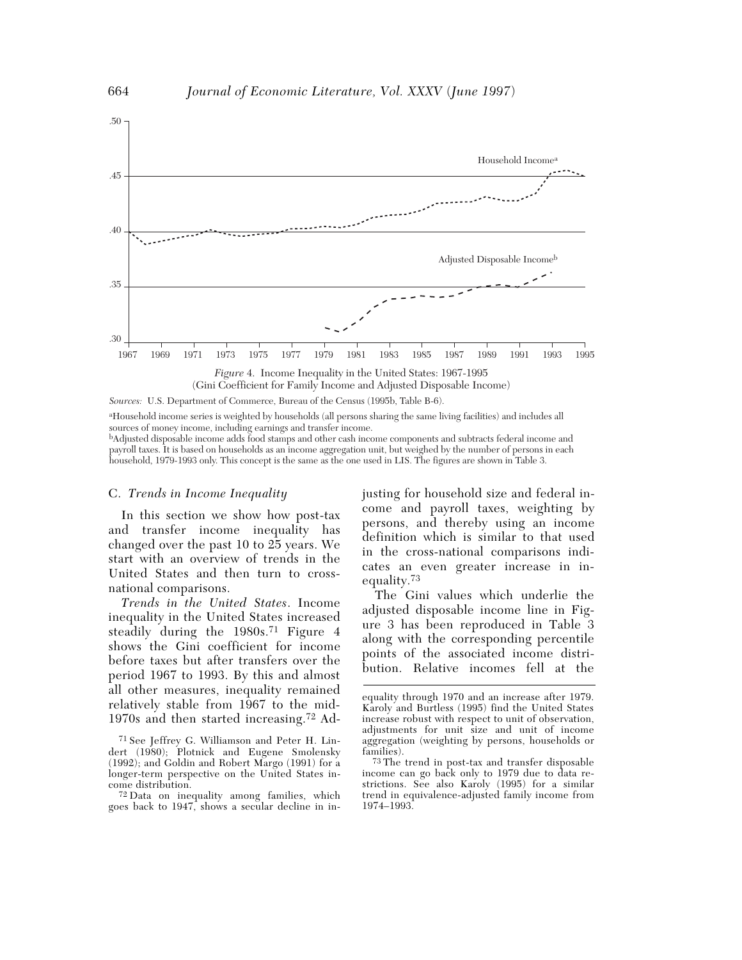

*Sources:* U.S. Department of Commerce, Bureau of the Census (1995b, Table B-6).

aHousehold income series is weighted by households (all persons sharing the same living facilities) and includes all sources of money income, including earnings and transfer income.

bAdjusted disposable income adds food stamps and other cash income components and subtracts federal income and payroll taxes. It is based on households as an income aggregation unit, but weighed by the number of persons in each household, 1979-1993 only. This concept is the same as the one used in LIS. The figures are shown in Table 3.

#### C. *Trends in Income Inequality*

In this section we show how post-tax and transfer income inequality has changed over the past 10 to 25 years. We start with an overview of trends in the United States and then turn to crossnational comparisons.

*Trends in the United States*. Income inequality in the United States increased steadily during the 1980s.71 Figure 4 shows the Gini coefficient for income before taxes but after transfers over the period 1967 to 1993. By this and almost all other measures, inequality remained relatively stable from 1967 to the mid-1970s and then started increasing.72 Adjusting for household size and federal income and payroll taxes, weighting by persons, and thereby using an income definition which is similar to that used in the cross-national comparisons indicates an even greater increase in inequality.73

The Gini values which underlie the adjusted disposable income line in Figure 3 has been reproduced in Table 3 along with the corresponding percentile points of the associated income distribution. Relative incomes fell at the

<sup>71</sup> See Jeffrey G. Williamson and Peter H. Lindert (1980); Plotnick and Eugene Smolensky (1992); and Goldin and Robert Margo (1991) for a longer-term perspective on the United States income distribution.

<sup>72</sup> Data on inequality among families, which goes back to 1947, shows a secular decline in in-

equality through 1970 and an increase after 1979. Karoly and Burtless (1995) find the United States increase robust with respect to unit of observation, adjustments for unit size and unit of income aggregation (weighting by persons, households or families).

<sup>73</sup> The trend in post-tax and transfer disposable income can go back only to 1979 due to data restrictions. See also Karoly (1995) for a similar trend in equivalence-adjusted family income from 1974–1993.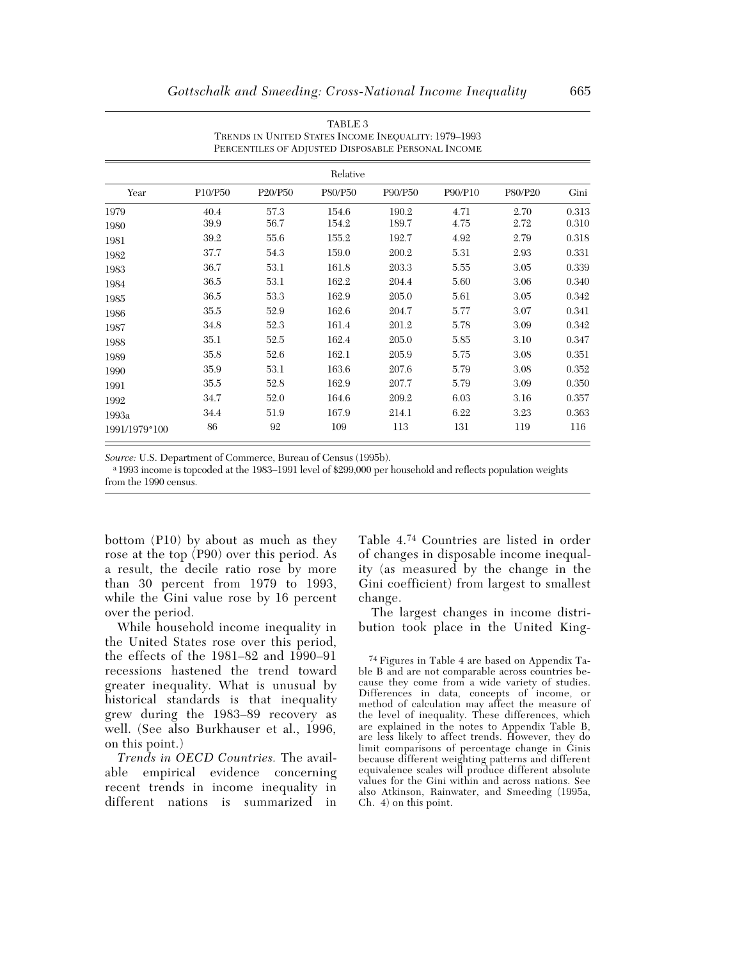|               | PERCENTILES OF ADJUSTED DISPOSABLE PERSONAL INCOME |         |         |         |         |         |       |  |  |  |
|---------------|----------------------------------------------------|---------|---------|---------|---------|---------|-------|--|--|--|
|               | Relative                                           |         |         |         |         |         |       |  |  |  |
| Year          | P10/P50                                            | P20/P50 | P80/P50 | P90/P50 | P90/P10 | P80/P20 | Gini  |  |  |  |
| 1979          | 40.4                                               | 57.3    | 154.6   | 190.2   | 4.71    | 2.70    | 0.313 |  |  |  |
| 1980          | 39.9                                               | 56.7    | 154.2   | 189.7   | 4.75    | 2.72    | 0.310 |  |  |  |
| 1981          | 39.2                                               | 55.6    | 155.2   | 192.7   | 4.92    | 2.79    | 0.318 |  |  |  |
| 1982          | 37.7                                               | 54.3    | 159.0   | 200.2   | 5.31    | 2.93    | 0.331 |  |  |  |
| 1983          | 36.7                                               | 53.1    | 161.8   | 203.3   | 5.55    | 3.05    | 0.339 |  |  |  |
| 1984          | 36.5                                               | 53.1    | 162.2   | 204.4   | 5.60    | 3.06    | 0.340 |  |  |  |
| 1985          | 36.5                                               | 53.3    | 162.9   | 205.0   | 5.61    | 3.05    | 0.342 |  |  |  |
| 1986          | 35.5                                               | 52.9    | 162.6   | 204.7   | 5.77    | 3.07    | 0.341 |  |  |  |
| 1987          | 34.8                                               | 52.3    | 161.4   | 201.2   | 5.78    | 3.09    | 0.342 |  |  |  |
| 1988          | 35.1                                               | 52.5    | 162.4   | 205.0   | 5.85    | 3.10    | 0.347 |  |  |  |
| 1989          | 35.8                                               | 52.6    | 162.1   | 205.9   | 5.75    | 3.08    | 0.351 |  |  |  |
| 1990          | 35.9                                               | 53.1    | 163.6   | 207.6   | 5.79    | 3.08    | 0.352 |  |  |  |
| 1991          | 35.5                                               | 52.8    | 162.9   | 207.7   | 5.79    | 3.09    | 0.350 |  |  |  |
| 1992          | 34.7                                               | 52.0    | 164.6   | 209.2   | 6.03    | 3.16    | 0.357 |  |  |  |
| 1993a         | 34.4                                               | 51.9    | 167.9   | 214.1   | 6.22    | 3.23    | 0.363 |  |  |  |
| 1991/1979*100 | 86                                                 | 92      | 109     | 113     | 131     | 119     | 116   |  |  |  |

TABLE 3 TRENDS IN UNITED STATES INCOME INEQUALITY: 1979–1993 PERCENTILES OF ADJUSTED DISPOSABLE PERSONAL INCOME

*Source:* U.S. Department of Commerce, Bureau of Census (1995b).

a 1993 income is topcoded at the 1983–1991 level of \$299,000 per household and reflects population weights from the 1990 census.

bottom (P10) by about as much as they rose at the top (P90) over this period. As a result, the decile ratio rose by more than 30 percent from 1979 to 1993, while the Gini value rose by 16 percent over the period.

While household income inequality in the United States rose over this period, the effects of the 1981–82 and 1990–91 recessions hastened the trend toward greater inequality. What is unusual by historical standards is that inequality grew during the 1983–89 recovery as well. (See also Burkhauser et al., 1996, on this point.)

*Trends in OECD Countries.* The available empirical evidence concerning recent trends in income inequality in different nations is summarized in

Table 4.74 Countries are listed in order of changes in disposable income inequality (as measured by the change in the Gini coefficient) from largest to smallest change.

The largest changes in income distribution took place in the United King-

74 Figures in Table 4 are based on Appendix Table B and are not comparable across countries because they come from a wide variety of studies. Differences in data, concepts of income, or method of calculation may affect the measure of the level of inequality. These differences, which are explained in the notes to Appendix Table B, are less likely to affect trends. However, they do limit comparisons of percentage change in Ginis because different weighting patterns and different equivalence scales will produce different absolute values for the Gini within and across nations. See also Atkinson, Rainwater, and Smeeding (1995a, Ch. 4) on this point.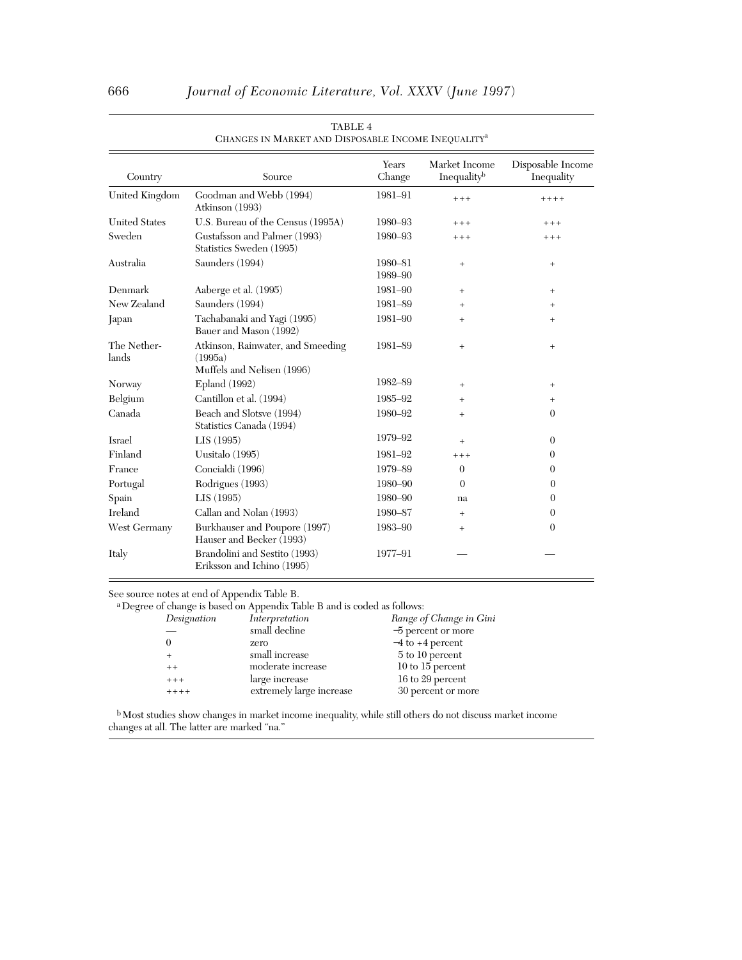|                      |                                                                            | Years   | Market Income                    | Disposable Income |
|----------------------|----------------------------------------------------------------------------|---------|----------------------------------|-------------------|
| Country              | Source                                                                     | Change  | Inequalityb                      | Inequality        |
| United Kingdom       | Goodman and Webb (1994)<br>Atkinson (1993)                                 | 1981-91 | $***$                            | $++++$            |
| <b>United States</b> | U.S. Bureau of the Census (1995A)                                          | 1980-93 | $+++$                            | $+++$             |
| Sweden               | Gustafsson and Palmer (1993)<br>Statistics Sweden (1995)                   | 1980-93 | $***$                            | $+++$             |
| Australia            | Saunders (1994)                                                            | 1980-81 | $\begin{array}{c} + \end{array}$ | $+$               |
|                      |                                                                            | 1989-90 |                                  |                   |
| Denmark              | Aaberge et al. (1995)                                                      | 1981-90 | $^{+}$                           | $^{+}$            |
| New Zealand          | Saunders (1994)                                                            | 1981-89 | $\ddot{}$                        | $^{+}$            |
| Japan                | Tachabanaki and Yagi (1995)<br>Bauer and Mason (1992)                      | 1981-90 | $^{+}$                           | $^{+}$            |
| The Nether-<br>lands | Atkinson, Rainwater, and Smeeding<br>(1995a)<br>Muffels and Nelisen (1996) | 1981-89 | $\ddot{}$                        | $^{+}$            |
| Norway               | <b>Epland</b> (1992)                                                       | 1982-89 | $^{+}$                           | $^{+}$            |
| Belgium              | Cantillon et al. (1994)                                                    | 1985-92 | $^{+}$                           | $^{+}$            |
| Canada               | Beach and Slotsve (1994)<br>Statistics Canada (1994)                       | 1980-92 | $+$                              | 0                 |
| Israel               | LIS(1995)                                                                  | 1979-92 | $^{+}$                           | $\overline{0}$    |
| Finland              | Uusitalo (1995)                                                            | 1981-92 | $++++$                           | $\theta$          |
| France               | Concialdi (1996)                                                           | 1979-89 | $\theta$                         | 0                 |
| Portugal             | Rodrigues (1993)                                                           | 1980-90 | $\Omega$                         | $\theta$          |
| Spain                | LIS(1995)                                                                  | 1980-90 | na                               | $\Omega$          |
| Ireland              | Callan and Nolan (1993)                                                    | 1980-87 | $^{+}$                           | $\theta$          |
| West Germany         | Burkhauser and Poupore (1997)<br>Hauser and Becker (1993)                  | 1983-90 | $\ddot{}$                        | $\overline{0}$    |
| Italy                | Brandolini and Sestito (1993)<br>Eriksson and Ichino (1995)                | 1977-91 |                                  |                   |

#### TABLE 4 CHANGES IN MARKET AND DISPOSABLE INCOME INEQUALITYa

See source notes at end of Appendix Table B.

a Degree of change is based on Appendix Table B and is coded as follows:

| Designation | Interpretation           | Range of Change in Gini |
|-------------|--------------------------|-------------------------|
|             | small decline            | $-5$ percent or more    |
|             | zero                     | $-4$ to $+4$ percent    |
|             | small increase           | 5 to 10 percent         |
| $+ +$       | moderate increase        | $10$ to 15 percent      |
| $++++$      | large increase           | 16 to 29 percent        |
| $+++++$     | extremely large increase | 30 percent or more      |
|             |                          |                         |

b Most studies show changes in market income inequality, while still others do not discuss market income changes at all. The latter are marked "na."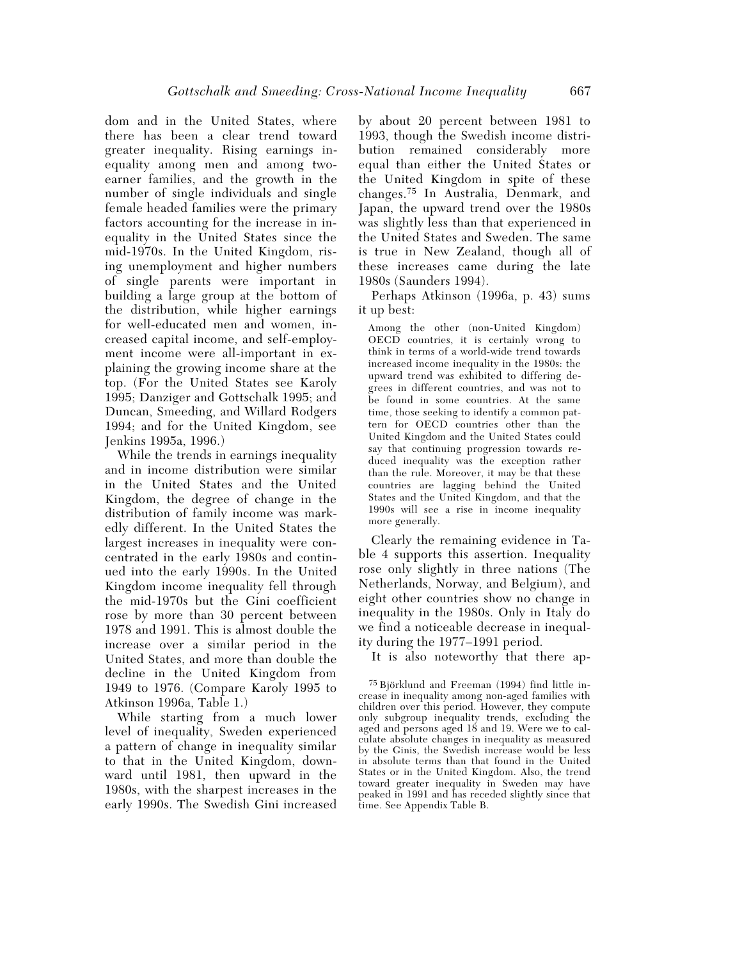dom and in the United States, where there has been a clear trend toward greater inequality. Rising earnings inequality among men and among twoearner families, and the growth in the number of single individuals and single female headed families were the primary factors accounting for the increase in inequality in the United States since the mid-1970s. In the United Kingdom, rising unemployment and higher numbers of single parents were important in building a large group at the bottom of the distribution, while higher earnings for well-educated men and women, increased capital income, and self-employment income were all-important in explaining the growing income share at the top. (For the United States see Karoly 1995; Danziger and Gottschalk 1995; and Duncan, Smeeding, and Willard Rodgers 1994; and for the United Kingdom, see Jenkins 1995a, 1996.)

While the trends in earnings inequality and in income distribution were similar in the United States and the United Kingdom, the degree of change in the distribution of family income was markedly different. In the United States the largest increases in inequality were concentrated in the early 1980s and continued into the early 1990s. In the United Kingdom income inequality fell through the mid-1970s but the Gini coefficient rose by more than 30 percent between 1978 and 1991. This is almost double the increase over a similar period in the United States, and more than double the decline in the United Kingdom from 1949 to 1976. (Compare Karoly 1995 to Atkinson 1996a, Table 1.)

While starting from a much lower level of inequality, Sweden experienced a pattern of change in inequality similar to that in the United Kingdom, downward until 1981, then upward in the 1980s, with the sharpest increases in the early 1990s. The Swedish Gini increased

by about 20 percent between 1981 to 1993, though the Swedish income distribution remained considerably more equal than either the United States or the United Kingdom in spite of these changes.75 In Australia, Denmark, and Japan, the upward trend over the 1980s was slightly less than that experienced in the United States and Sweden. The same is true in New Zealand, though all of these increases came during the late 1980s (Saunders 1994).

Perhaps Atkinson (1996a, p. 43) sums it up best:

Among the other (non-United Kingdom) OECD countries, it is certainly wrong to think in terms of a world-wide trend towards increased income inequality in the 1980s: the upward trend was exhibited to differing degrees in different countries, and was not to be found in some countries. At the same time, those seeking to identify a common pattern for OECD countries other than the United Kingdom and the United States could say that continuing progression towards reduced inequality was the exception rather than the rule. Moreover, it may be that these countries are lagging behind the United States and the United Kingdom, and that the 1990s will see a rise in income inequality more generally.

Clearly the remaining evidence in Table 4 supports this assertion. Inequality rose only slightly in three nations (The Netherlands, Norway, and Belgium), and eight other countries show no change in inequality in the 1980s. Only in Italy do we find a noticeable decrease in inequality during the 1977–1991 period.

It is also noteworthy that there ap-

75 Björklund and Freeman (1994) find little increase in inequality among non-aged families with children over this period. However, they compute only subgroup inequality trends, excluding the aged and persons aged 18 and 19. Were we to calculate absolute changes in inequality as measured by the Ginis, the Swedish increase would be less in absolute terms than that found in the United States or in the United Kingdom. Also, the trend toward greater inequality in Sweden may have peaked in 1991 and has receded slightly since that time. See Appendix Table B.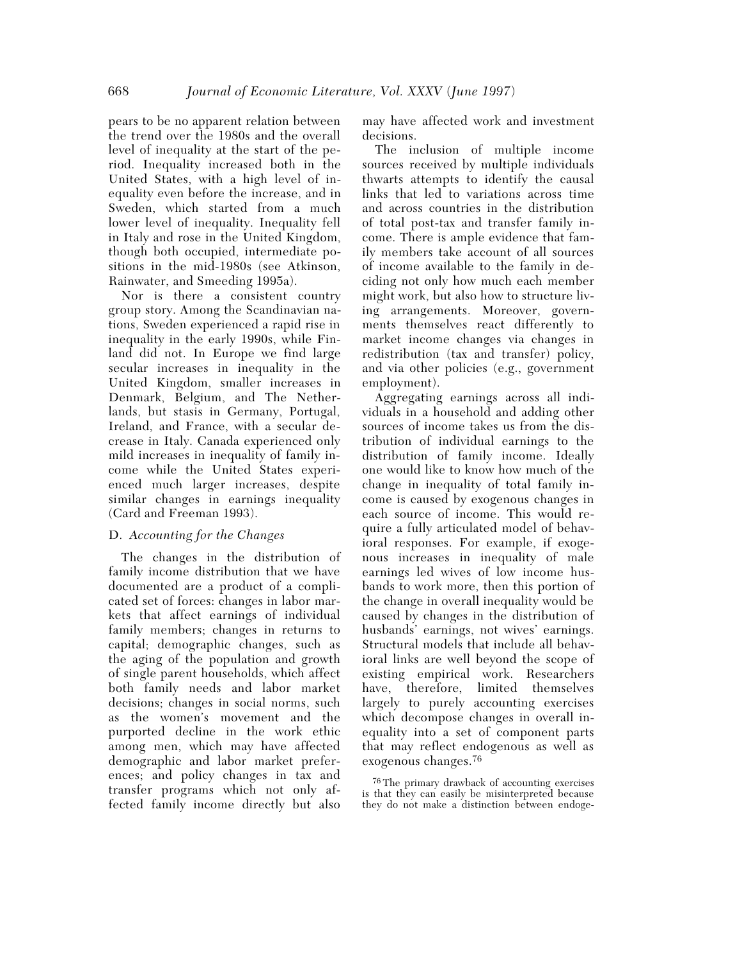pears to be no apparent relation between the trend over the 1980s and the overall level of inequality at the start of the period. Inequality increased both in the United States, with a high level of inequality even before the increase, and in Sweden, which started from a much lower level of inequality. Inequality fell in Italy and rose in the United Kingdom, though both occupied, intermediate positions in the mid-1980s (see Atkinson, Rainwater, and Smeeding 1995a).

Nor is there a consistent country group story. Among the Scandinavian nations, Sweden experienced a rapid rise in inequality in the early 1990s, while Finland did not. In Europe we find large secular increases in inequality in the United Kingdom, smaller increases in Denmark, Belgium, and The Netherlands, but stasis in Germany, Portugal, Ireland, and France, with a secular decrease in Italy. Canada experienced only mild increases in inequality of family income while the United States experienced much larger increases, despite similar changes in earnings inequality (Card and Freeman 1993).

# D. *Accounting for the Changes*

The changes in the distribution of family income distribution that we have documented are a product of a complicated set of forces: changes in labor markets that affect earnings of individual family members; changes in returns to capital; demographic changes, such as the aging of the population and growth of single parent households, which affect both family needs and labor market decisions; changes in social norms, such as the women's movement and the purported decline in the work ethic among men, which may have affected demographic and labor market preferences; and policy changes in tax and transfer programs which not only affected family income directly but also may have affected work and investment decisions.

The inclusion of multiple income sources received by multiple individuals thwarts attempts to identify the causal links that led to variations across time and across countries in the distribution of total post-tax and transfer family income. There is ample evidence that family members take account of all sources of income available to the family in deciding not only how much each member might work, but also how to structure living arrangements. Moreover, governments themselves react differently to market income changes via changes in redistribution (tax and transfer) policy, and via other policies (e.g., government employment).

Aggregating earnings across all individuals in a household and adding other sources of income takes us from the distribution of individual earnings to the distribution of family income. Ideally one would like to know how much of the change in inequality of total family income is caused by exogenous changes in each source of income. This would require a fully articulated model of behavioral responses. For example, if exogenous increases in inequality of male earnings led wives of low income husbands to work more, then this portion of the change in overall inequality would be caused by changes in the distribution of husbands' earnings, not wives' earnings. Structural models that include all behavioral links are well beyond the scope of existing empirical work. Researchers have, therefore, limited themselves largely to purely accounting exercises which decompose changes in overall inequality into a set of component parts that may reflect endogenous as well as exogenous changes.76

76 The primary drawback of accounting exercises is that they can easily be misinterpreted because they do not make a distinction between endoge-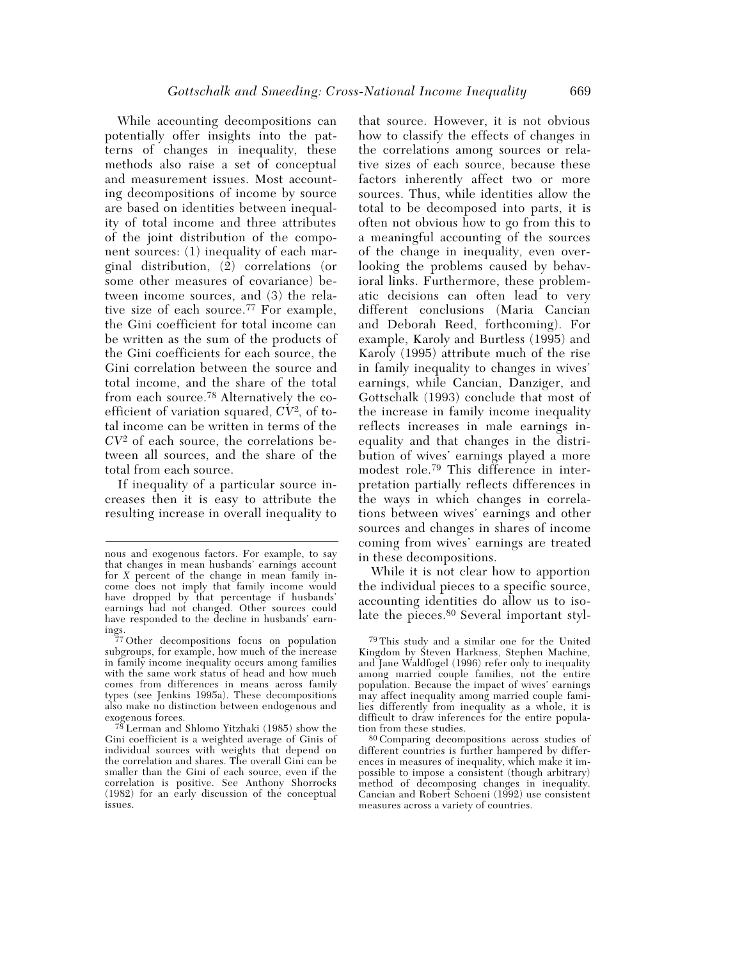While accounting decompositions can potentially offer insights into the patterns of changes in inequality, these methods also raise a set of conceptual and measurement issues. Most accounting decompositions of income by source are based on identities between inequality of total income and three attributes of the joint distribution of the component sources: (1) inequality of each marginal distribution,  $\overline{2}$  correlations (or some other measures of covariance) between income sources, and (3) the relative size of each source.77 For example, the Gini coefficient for total income can be written as the sum of the products of the Gini coefficients for each source, the Gini correlation between the source and total income, and the share of the total from each source.78 Alternatively the coefficient of variation squared, *CV*2, of total income can be written in terms of the *CV*2 of each source, the correlations between all sources, and the share of the total from each source.

If inequality of a particular source increases then it is easy to attribute the resulting increase in overall inequality to

that source. However, it is not obvious how to classify the effects of changes in the correlations among sources or relative sizes of each source, because these factors inherently affect two or more sources. Thus, while identities allow the total to be decomposed into parts, it is often not obvious how to go from this to a meaningful accounting of the sources of the change in inequality, even overlooking the problems caused by behavioral links. Furthermore, these problematic decisions can often lead to very different conclusions (Maria Cancian and Deborah Reed, forthcoming). For example, Karoly and Burtless (1995) and Karoly (1995) attribute much of the rise in family inequality to changes in wives' earnings, while Cancian, Danziger, and Gottschalk (1993) conclude that most of the increase in family income inequality reflects increases in male earnings inequality and that changes in the distribution of wives' earnings played a more modest role.79 This difference in interpretation partially reflects differences in the ways in which changes in correlations between wives' earnings and other sources and changes in shares of income coming from wives' earnings are treated in these decompositions.

While it is not clear how to apportion the individual pieces to a specific source, accounting identities do allow us to isolate the pieces.<sup>80</sup> Several important styl-

nous and exogenous factors. For example, to say that changes in mean husbands' earnings account for *X* percent of the change in mean family income does not imply that family income would have dropped by that percentage if husbands' earnings had not changed. Other sources could have responded to the decline in husbands' earnings.

<sup>77</sup> Other decompositions focus on population subgroups, for example, how much of the increase in family income inequality occurs among families with the same work status of head and how much comes from differences in means across family types (see Jenkins 1995a). These decompositions also make no distinction between endogenous and exogenous forces.

<sup>78</sup> Lerman and Shlomo Yitzhaki (1985) show the Gini coefficient is a weighted average of Ginis of individual sources with weights that depend on the correlation and shares. The overall Gini can be smaller than the Gini of each source, even if the correlation is positive. See Anthony Shorrocks (1982) for an early discussion of the conceptual issues.

<sup>79</sup> This study and a similar one for the United Kingdom by Steven Harkness, Stephen Machine, and Jane Waldfogel (1996) refer only to inequality among married couple families, not the entire population. Because the impact of wives' earnings may affect inequality among married couple families differently from inequality as a whole, it is difficult to draw inferences for the entire population from these studies.

<sup>80</sup> Comparing decompositions across studies of different countries is further hampered by differences in measures of inequality, which make it impossible to impose a consistent (though arbitrary) method of decomposing changes in inequality. Cancian and Robert Schoeni (1992) use consistent measures across a variety of countries.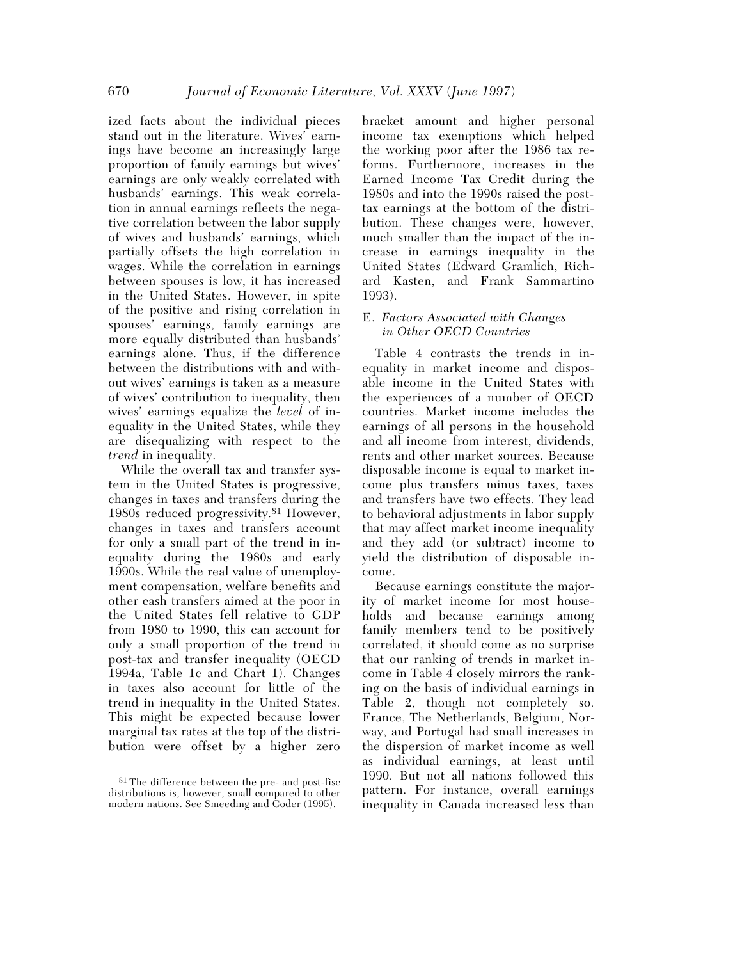ized facts about the individual pieces stand out in the literature. Wives' earnings have become an increasingly large proportion of family earnings but wives' earnings are only weakly correlated with husbands' earnings. This weak correlation in annual earnings reflects the negative correlation between the labor supply of wives and husbands' earnings, which partially offsets the high correlation in wages. While the correlation in earnings between spouses is low, it has increased in the United States. However, in spite of the positive and rising correlation in spouses' earnings, family earnings are more equally distributed than husbands' earnings alone. Thus, if the difference between the distributions with and without wives' earnings is taken as a measure of wives' contribution to inequality, then wives' earnings equalize the *level* of inequality in the United States, while they are disequalizing with respect to the *trend* in inequality.

While the overall tax and transfer system in the United States is progressive, changes in taxes and transfers during the 1980s reduced progressivity.81 However, changes in taxes and transfers account for only a small part of the trend in inequality during the 1980s and early 1990s. While the real value of unemployment compensation, welfare benefits and other cash transfers aimed at the poor in the United States fell relative to GDP from 1980 to 1990, this can account for only a small proportion of the trend in post-tax and transfer inequality (OECD 1994a, Table 1c and Chart 1). Changes in taxes also account for little of the trend in inequality in the United States. This might be expected because lower marginal tax rates at the top of the distribution were offset by a higher zero bracket amount and higher personal income tax exemptions which helped the working poor after the 1986 tax reforms. Furthermore, increases in the Earned Income Tax Credit during the 1980s and into the 1990s raised the posttax earnings at the bottom of the distribution. These changes were, however, much smaller than the impact of the increase in earnings inequality in the United States (Edward Gramlich, Richard Kasten, and Frank Sammartino 1993).

## E. *Factors Associated with Changes in Other OECD Countries*

Table 4 contrasts the trends in inequality in market income and disposable income in the United States with the experiences of a number of OECD countries. Market income includes the earnings of all persons in the household and all income from interest, dividends, rents and other market sources. Because disposable income is equal to market income plus transfers minus taxes, taxes and transfers have two effects. They lead to behavioral adjustments in labor supply that may affect market income inequality and they add (or subtract) income to yield the distribution of disposable income.

Because earnings constitute the majority of market income for most households and because earnings among family members tend to be positively correlated, it should come as no surprise that our ranking of trends in market income in Table 4 closely mirrors the ranking on the basis of individual earnings in Table 2, though not completely so. France, The Netherlands, Belgium, Norway, and Portugal had small increases in the dispersion of market income as well as individual earnings, at least until 1990. But not all nations followed this pattern. For instance, overall earnings inequality in Canada increased less than

<sup>81</sup> The difference between the pre- and post-fisc distributions is, however, small compared to other modern nations. See Smeeding and Coder (1995).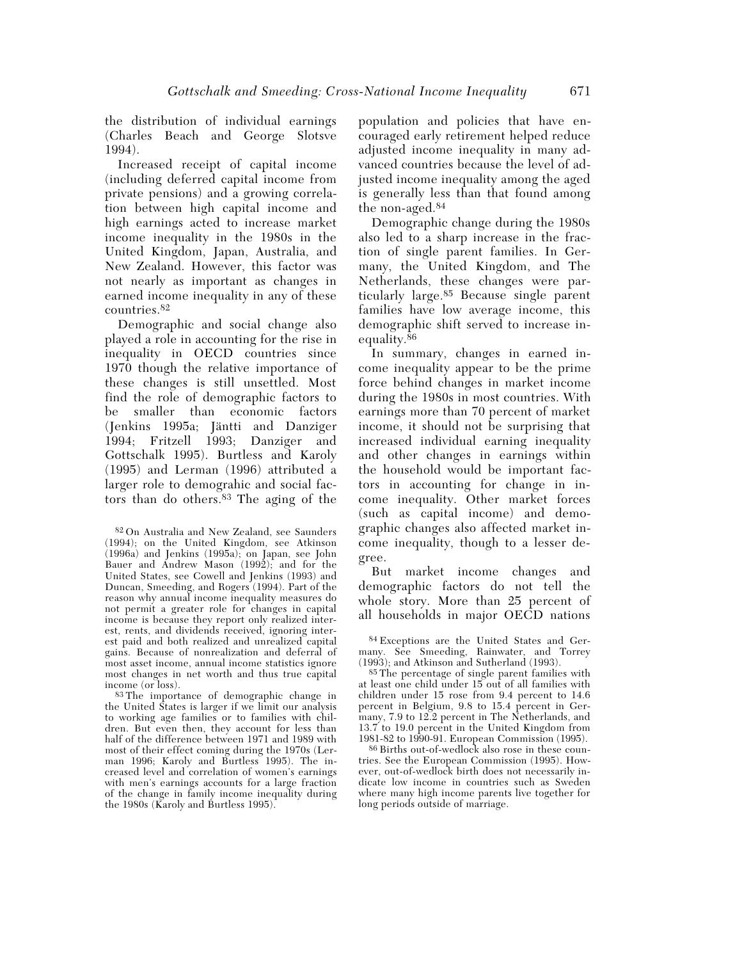the distribution of individual earnings (Charles Beach and George Slotsve 1994).

Increased receipt of capital income (including deferred capital income from private pensions) and a growing correlation between high capital income and high earnings acted to increase market income inequality in the 1980s in the United Kingdom, Japan, Australia, and New Zealand. However, this factor was not nearly as important as changes in earned income inequality in any of these countries.82

Demographic and social change also played a role in accounting for the rise in inequality in OECD countries since 1970 though the relative importance of these changes is still unsettled. Most find the role of demographic factors to be smaller than economic factors (Jenkins 1995a; Jäntti and Danziger 1994; Fritzell 1993; Danziger and Gottschalk 1995). Burtless and Karoly (1995) and Lerman (1996) attributed a larger role to demograhic and social factors than do others.83 The aging of the

83 The importance of demographic change in the United States is larger if we limit our analysis to working age families or to families with children. But even then, they account for less than half of the difference between 1971 and 1989 with most of their effect coming during the 1970s (Lerman 1996; Karoly and Burtless 1995). The increased level and correlation of women's earnings with men's earnings accounts for a large fraction of the change in family income inequality during the 1980s (Karoly and Burtless 1995).

population and policies that have encouraged early retirement helped reduce adjusted income inequality in many advanced countries because the level of adjusted income inequality among the aged is generally less than that found among the non-aged.84

Demographic change during the 1980s also led to a sharp increase in the fraction of single parent families. In Germany, the United Kingdom, and The Netherlands, these changes were particularly large.85 Because single parent families have low average income, this demographic shift served to increase inequality.<sup>86</sup>

In summary, changes in earned income inequality appear to be the prime force behind changes in market income during the 1980s in most countries. With earnings more than 70 percent of market income, it should not be surprising that increased individual earning inequality and other changes in earnings within the household would be important factors in accounting for change in income inequality. Other market forces (such as capital income) and demographic changes also affected market income inequality, though to a lesser degree.

But market income changes and demographic factors do not tell the whole story. More than 25 percent of all households in major OECD nations

84 Exceptions are the United States and Germany. See Smeeding, Rainwater, and Torrey (1993); and Atkinson and Sutherland (1993).

85 The percentage of single parent families with at least one child under 15 out of all families with children under 15 rose from 9.4 percent to 14.6 percent in Belgium, 9.8 to 15.4 percent in Germany, 7.9 to 12.2 percent in The Netherlands, and 13.7 to 19.0 percent in the United Kingdom from 1981-82 to 1990-91. European Commission (1995).

86 Births out-of-wedlock also rose in these countries. See the European Commission (1995). However, out-of-wedlock birth does not necessarily indicate low income in countries such as Sweden where many high income parents live together for long periods outside of marriage.

<sup>82</sup> On Australia and New Zealand, see Saunders (1994); on the United Kingdom, see Atkinson (1996a) and Jenkins (1995a); on Japan, see John Bauer and Andrew Mason (1992); and for the United States, see Cowell and Jenkins (1993) and Duncan, Smeeding, and Rogers (1994). Part of the reason why annual income inequality measures do not permit a greater role for changes in capital income is because they report only realized interest, rents, and dividends received, ignoring interest paid and both realized and unrealized capital gains. Because of nonrealization and deferral of most asset income, annual income statistics ignore most changes in net worth and thus true capital income (or loss).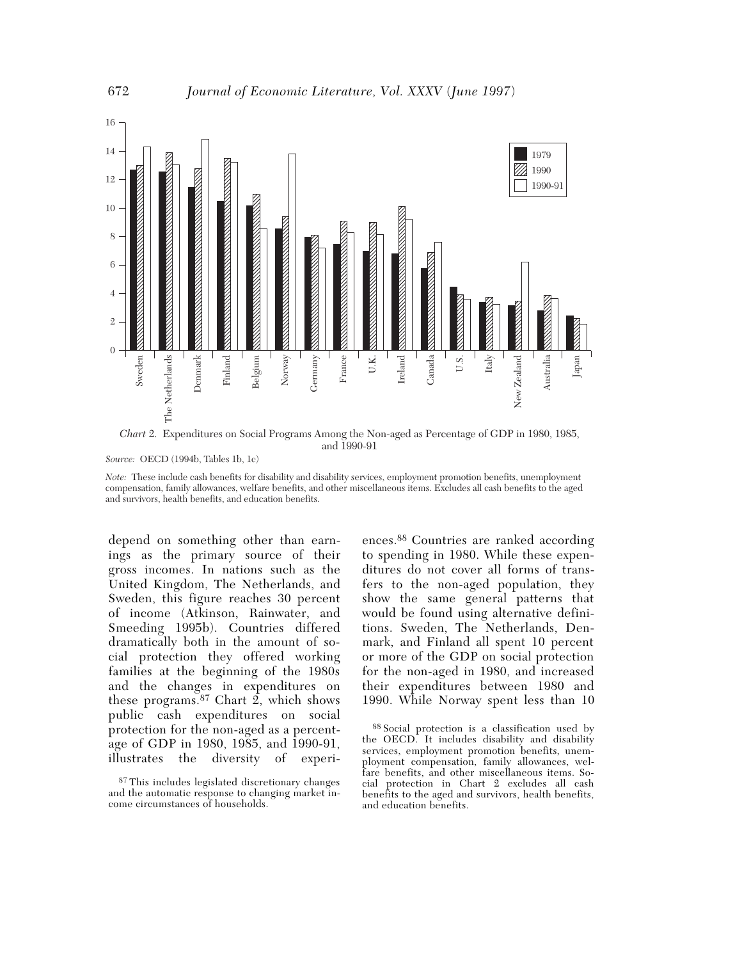

*Chart* 2. Expenditures on Social Programs Among the Non-aged as Percentage of GDP in 1980, 1985, and 1990-91

*Source:* OECD (1994b, Tables 1b, 1c)

*Note:* These include cash benefits for disability and disability services, employment promotion benefits, unemployment compensation, family allowances, welfare benefits, and other miscellaneous items. Excludes all cash benefits to the aged and survivors, health benefits, and education benefits.

depend on something other than earnings as the primary source of their gross incomes. In nations such as the United Kingdom, The Netherlands, and Sweden, this figure reaches 30 percent of income (Atkinson, Rainwater, and Smeeding 1995b). Countries differed dramatically both in the amount of social protection they offered working families at the beginning of the 1980s and the changes in expenditures on these programs.<sup>87</sup> Chart 2, which shows public cash expenditures on social protection for the non-aged as a percentage of GDP in 1980, 1985, and 1990-91, illustrates the diversity of experi-

ences.88 Countries are ranked according to spending in 1980. While these expenditures do not cover all forms of transfers to the non-aged population, they show the same general patterns that would be found using alternative definitions. Sweden, The Netherlands, Denmark, and Finland all spent 10 percent or more of the GDP on social protection for the non-aged in 1980, and increased their expenditures between 1980 and 1990. While Norway spent less than 10

88 Social protection is a classification used by the OECD. It includes disability and disability services, employment promotion benefits, unemployment compensation, family allowances, welfare benefits, and other miscellaneous items. Social protection in Chart 2 excludes all cash benefits to the aged and survivors, health benefits, and education benefits.

<sup>87</sup> This includes legislated discretionary changes and the automatic response to changing market income circumstances of households.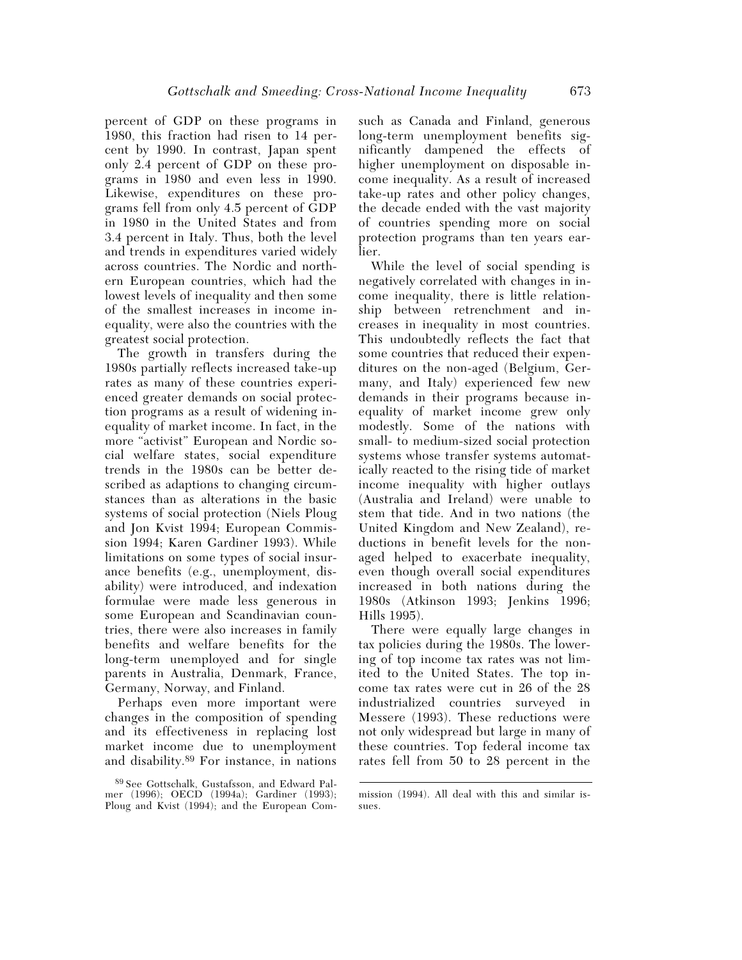percent of GDP on these programs in 1980, this fraction had risen to 14 percent by 1990. In contrast, Japan spent only 2.4 percent of GDP on these programs in 1980 and even less in 1990. Likewise, expenditures on these programs fell from only 4.5 percent of GDP in 1980 in the United States and from 3.4 percent in Italy. Thus, both the level and trends in expenditures varied widely across countries. The Nordic and northern European countries, which had the lowest levels of inequality and then some of the smallest increases in income inequality, were also the countries with the greatest social protection.

The growth in transfers during the 1980s partially reflects increased take-up rates as many of these countries experienced greater demands on social protection programs as a result of widening inequality of market income. In fact, in the more "activist" European and Nordic social welfare states, social expenditure trends in the 1980s can be better described as adaptions to changing circumstances than as alterations in the basic systems of social protection (Niels Ploug and Jon Kvist 1994; European Commission 1994; Karen Gardiner 1993). While limitations on some types of social insurance benefits (e.g., unemployment, disability) were introduced, and indexation formulae were made less generous in some European and Scandinavian countries, there were also increases in family benefits and welfare benefits for the long-term unemployed and for single parents in Australia, Denmark, France, Germany, Norway, and Finland.

Perhaps even more important were changes in the composition of spending and its effectiveness in replacing lost market income due to unemployment and disability.89 For instance, in nations such as Canada and Finland, generous long-term unemployment benefits significantly dampened the effects of higher unemployment on disposable income inequality. As a result of increased take-up rates and other policy changes, the decade ended with the vast majority of countries spending more on social protection programs than ten years earlier.

While the level of social spending is negatively correlated with changes in income inequality, there is little relationship between retrenchment and increases in inequality in most countries. This undoubtedly reflects the fact that some countries that reduced their expenditures on the non-aged (Belgium, Germany, and Italy) experienced few new demands in their programs because inequality of market income grew only modestly. Some of the nations with small- to medium-sized social protection systems whose transfer systems automatically reacted to the rising tide of market income inequality with higher outlays (Australia and Ireland) were unable to stem that tide. And in two nations (the United Kingdom and New Zealand), reductions in benefit levels for the nonaged helped to exacerbate inequality, even though overall social expenditures increased in both nations during the 1980s (Atkinson 1993; Jenkins 1996; Hills 1995).

There were equally large changes in tax policies during the 1980s. The lowering of top income tax rates was not limited to the United States. The top income tax rates were cut in 26 of the 28 industrialized countries surveyed in Messere (1993). These reductions were not only widespread but large in many of these countries. Top federal income tax rates fell from 50 to 28 percent in the

<sup>89</sup> See Gottschalk, Gustafsson, and Edward Palmer (1996); OECD (1994a); Gardiner (1993); Ploug and Kvist (1994); and the European Com-

mission (1994). All deal with this and similar issues.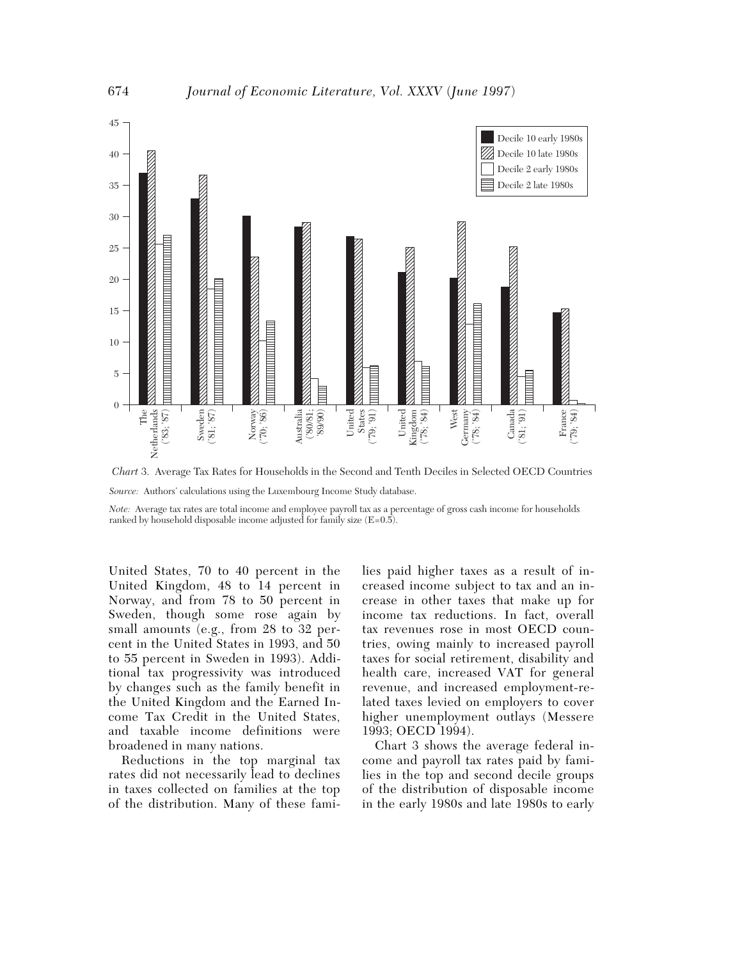

*Chart* 3. Average Tax Rates for Households in the Second and Tenth Deciles in Selected OECD Countries *Source:* Authors' calculations using the Luxembourg Income Study database.

*Note:* Average tax rates are total income and employee payroll tax as a percentage of gross cash income for households ranked by household disposable income adjusted for family size  $(E=0.5)$ .

United States, 70 to 40 percent in the United Kingdom, 48 to 14 percent in Norway, and from 78 to 50 percent in Sweden, though some rose again by small amounts (e.g., from 28 to 32 percent in the United States in 1993, and 50 to 55 percent in Sweden in 1993). Additional tax progressivity was introduced by changes such as the family benefit in the United Kingdom and the Earned Income Tax Credit in the United States, and taxable income definitions were broadened in many nations.

Reductions in the top marginal tax rates did not necessarily lead to declines in taxes collected on families at the top of the distribution. Many of these families paid higher taxes as a result of increased income subject to tax and an increase in other taxes that make up for income tax reductions. In fact, overall tax revenues rose in most OECD countries, owing mainly to increased payroll taxes for social retirement, disability and health care, increased VAT for general revenue, and increased employment-related taxes levied on employers to cover higher unemployment outlays (Messere 1993; OECD 1994).

Chart 3 shows the average federal income and payroll tax rates paid by families in the top and second decile groups of the distribution of disposable income in the early 1980s and late 1980s to early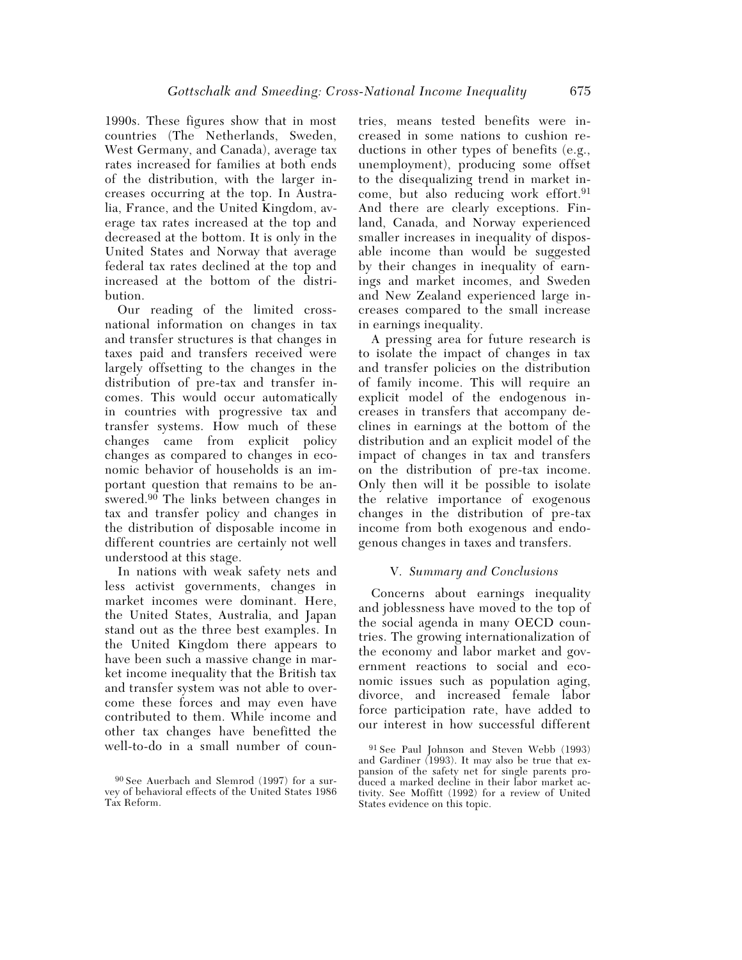1990s. These figures show that in most countries (The Netherlands, Sweden, West Germany, and Canada), average tax rates increased for families at both ends of the distribution, with the larger increases occurring at the top. In Australia, France, and the United Kingdom, average tax rates increased at the top and decreased at the bottom. It is only in the United States and Norway that average federal tax rates declined at the top and increased at the bottom of the distribution.

Our reading of the limited crossnational information on changes in tax and transfer structures is that changes in taxes paid and transfers received were largely offsetting to the changes in the distribution of pre-tax and transfer incomes. This would occur automatically in countries with progressive tax and transfer systems. How much of these changes came from explicit policy changes as compared to changes in economic behavior of households is an important question that remains to be answered.<sup>90</sup> The links between changes in tax and transfer policy and changes in the distribution of disposable income in different countries are certainly not well understood at this stage.

In nations with weak safety nets and less activist governments, changes in market incomes were dominant. Here, the United States, Australia, and Japan stand out as the three best examples. In the United Kingdom there appears to have been such a massive change in market income inequality that the British tax and transfer system was not able to overcome these forces and may even have contributed to them. While income and other tax changes have benefitted the well-to-do in a small number of countries, means tested benefits were increased in some nations to cushion reductions in other types of benefits (e.g., unemployment), producing some offset to the disequalizing trend in market income, but also reducing work effort.<sup>91</sup> And there are clearly exceptions. Finland, Canada, and Norway experienced smaller increases in inequality of disposable income than would be suggested by their changes in inequality of earnings and market incomes, and Sweden and New Zealand experienced large increases compared to the small increase in earnings inequality.

A pressing area for future research is to isolate the impact of changes in tax and transfer policies on the distribution of family income. This will require an explicit model of the endogenous increases in transfers that accompany declines in earnings at the bottom of the distribution and an explicit model of the impact of changes in tax and transfers on the distribution of pre-tax income. Only then will it be possible to isolate the relative importance of exogenous changes in the distribution of pre-tax income from both exogenous and endogenous changes in taxes and transfers.

#### V. *Summary and Conclusions*

Concerns about earnings inequality and joblessness have moved to the top of the social agenda in many OECD countries. The growing internationalization of the economy and labor market and government reactions to social and economic issues such as population aging, divorce, and increased female labor force participation rate, have added to our interest in how successful different

<sup>90</sup> See Auerbach and Slemrod (1997) for a survey of behavioral effects of the United States 1986 Tax Reform.

<sup>91</sup> See Paul Johnson and Steven Webb (1993) and Gardiner (1993). It may also be true that expansion of the safety net for single parents produced a marked decline in their labor market activity. See Moffitt (1992) for a review of United States evidence on this topic.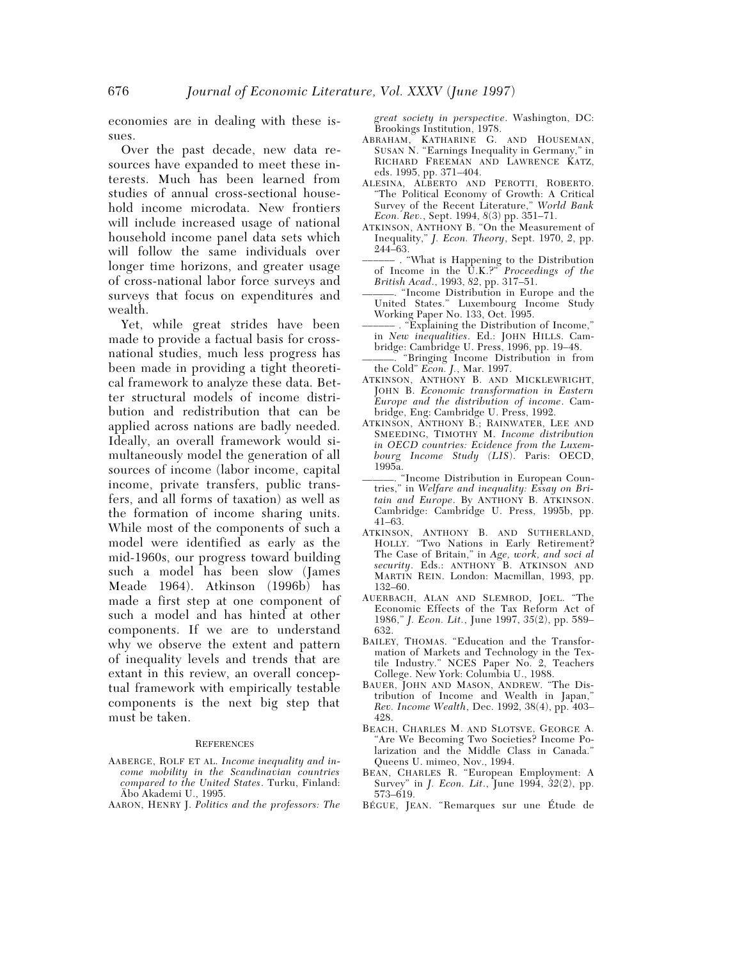economies are in dealing with these issues.

Over the past decade, new data resources have expanded to meet these interests. Much has been learned from studies of annual cross-sectional household income microdata. New frontiers will include increased usage of national household income panel data sets which will follow the same individuals over longer time horizons, and greater usage of cross-national labor force surveys and surveys that focus on expenditures and wealth.

Yet, while great strides have been made to provide a factual basis for crossnational studies, much less progress has been made in providing a tight theoretical framework to analyze these data. Better structural models of income distribution and redistribution that can be applied across nations are badly needed. Ideally, an overall framework would simultaneously model the generation of all sources of income (labor income, capital income, private transfers, public transfers, and all forms of taxation) as well as the formation of income sharing units. While most of the components of such a model were identified as early as the mid-1960s, our progress toward building such a model has been slow (James Meade 1964). Atkinson (1996b) has made a first step at one component of such a model and has hinted at other components. If we are to understand why we observe the extent and pattern of inequality levels and trends that are extant in this review, an overall conceptual framework with empirically testable components is the next big step that must be taken.

#### **REFERENCES**

- AABERGE, ROLF ET AL. *Income inequality and income mobility in the Scandinavian countries compared to the United States*. Turku, Finland: Äbo Akademi U., 1995.
- AARON, HENRY J. *Politics and the professors: The*

*great society in perspective*. Washington, DC: Brookings Institution, 1978.

- ABRAHAM, KATHARINE G. AND HOUSEMAN, SUSAN N. "Earnings Inequality in Germany," in RICHARD FREEMAN AND LAWRENCE KATZ, eds. 1995, pp. 371–404.
- ALESINA, ALBERTO AND PEROTTI, ROBERTO. "The Political Economy of Growth: A Critical Survey of the Recent Literature," *World Bank Econ. Rev.*, Sept. 1994, *8*(3) pp. 351–71.
- ATKINSON, ANTHONY B. "On the Measurement of Inequality," *J. Econ. Theory*, Sept. 1970, *2*, pp. 244–63.
- –––––– . "What is Happening to the Distribution of Income in the U.K.?" *Proceedings of the British Acad*., 1993, *82*, pp. 317–51.
- ———. "Income Distribution in Europe and the United States." Luxembourg Income Study Working Paper No. 133, Oct. 1995.
- . "Explaining the Distribution of Income," in *New inequalities*. Ed.: JOHN HILLS. Cambridge: Cambridge U. Press, 1996, pp. 19–48.
- "Bringing Income Distribution in from the Cold" *Econ. J.*, Mar. 1997.
- ATKINSON, ANTHONY B. AND MICKLEWRIGHT, JOHN B. *Economic transformation in Eastern Europe and the distribution of income*. Cambridge, Eng: Cambridge U. Press, 1992.
- ATKINSON, ANTHONY B.; RAINWATER, LEE AND SMEEDING, TIMOTHY M. *Income distribution in OECD countries: Evidence from the Luxembourg Income Study (LIS*). Paris: OECD, 1995a.
- ———. "Income Distribution in European Countries," in *Welfare and inequality: Essay on Britain and Europe*. By ANTHONY B. ATKINSON. Cambridge: Cambridge U. Press, 1995b, pp. 41–63.
- ATKINSON, ANTHONY B. AND SUTHERLAND, HOLLY. "Two Nations in Early Retirement? The Case of Britain," in *Age, work, and soci al security*. Eds.: ANTHONY B. ATKINSON AND MARTIN REIN. London: Macmillan, 1993, pp. 132–60.
- AUERBACH, ALAN AND SLEMROD, JOEL. "The Economic Effects of the Tax Reform Act of 1986," *J. Econ. Lit.*, June 1997, *35*(2), pp. 589– 632.
- BAILEY, THOMAS. "Education and the Transformation of Markets and Technology in the Textile Industry." NCES Paper No. 2, Teachers College. New York: Columbia U., 1988.
- BAUER, JOHN AND MASON, ANDREW. "The Distribution of Income and Wealth in Japan," *Rev. Income Wealth*, Dec. 1992, 38(4), pp. 403– 428.
- BEACH, CHARLES M. AND SLOTSVE, GEORGE A. "Are We Becoming Two Societies? Income Polarization and the Middle Class in Canada." Queens U. mimeo, Nov., 1994.
- BEAN, CHARLES R. "European Employment: A Survey" in *J. Econ. Lit*., June 1994, *32*(2), pp. 573–619.
- BÉGUE, JEAN. "Remarques sur une Étude de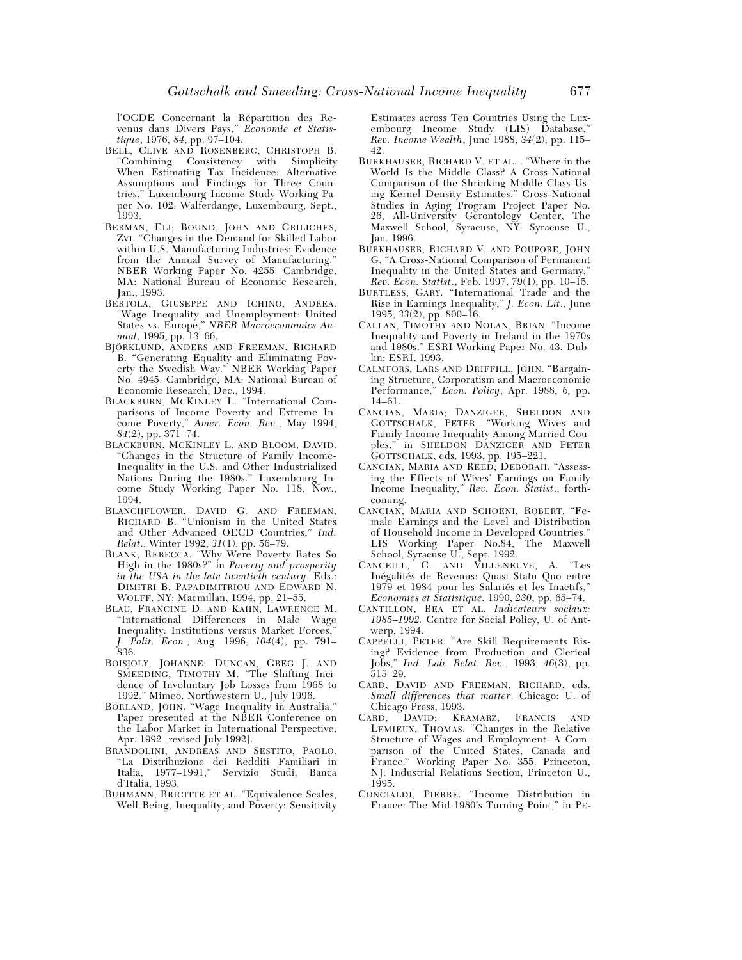l'OCDE Concernant la Répartition des Revenus dans Divers Pays," *Economie et Statistique*, 1976, *84*, pp. 97–104.

- BELL, CLIVE AND ROSENBERG, CHRISTOPH B.<br>"Combining Consistency with Simplicity" "Combining Consistency with Simplicity When Estimating Tax Incidence: Alternative Assumptions and Findings for Three Countries." Luxembourg Income Study Working Paper No. 102. Walferdange, Luxembourg, Sept., 1993.
- BERMAN, ELI; BOUND, JOHN AND GRILICHES, ZVI. "Changes in the Demand for Skilled Labor within U.S. Manufacturing Industries: Evidence from the Annual Survey of Manufacturing." NBER Working Paper No. 4255. Cambridge, MA: National Bureau of Economic Research, Jan., 1993.
- BERTOLA, GIUSEPPE AND ICHINO, ANDREA. "Wage Inequality and Unemployment: United States vs. Europe," *NBER Macroeconomics Annual*, 1995, pp. 13–66.
- BJÖRKLUND, ANDERS AND FREEMAN, RICHARD B. "Generating Equality and Eliminating Poverty the Swedish Way." NBER Working Paper No. 4945. Cambridge, MA: National Bureau of Economic Research, Dec., 1994.
- BLACKBURN, MCKINLEY L. "International Comparisons of Income Poverty and Extreme Income Poverty," *Amer. Econ. Rev.*, May 1994, *84*(2), pp. 371–74.
- BLACKBURN, MCKINLEY L. AND BLOOM, DAVID. "Changes in the Structure of Family Income-Inequality in the U.S. and Other Industrialized Nations During the 1980s." Luxembourg Income Study Working Paper No. 118, Nov., 1994.
- BLANCHFLOWER, DAVID G. AND FREEMAN, RICHARD B. "Unionism in the United States and Other Advanced OECD Countries," *Ind. Relat*., Winter 1992, *31*(1), pp. 56–79.
- BLANK, REBECCA. "Why Were Poverty Rates So High in the 1980s?" in *Poverty and prosperity in the USA in the late twentieth century*. Eds.: DIMITRI B. PAPADIMITRIOU AND EDWARD N. WOLFF. NY: Macmillan, 1994, pp. 21–55.
- BLAU, FRANCINE D. AND KAHN, LAWRENCE M. "International Differences in Male Wage Inequality: Institutions versus Market Forces," *J. Polit. Econ*., Aug. 1996, *104*(4), pp. 791– 836.
- BOISJOLY, JOHANNE; DUNCAN, GREG J. AND SMEEDING, TIMOTHY M. "The Shifting Incidence of Involuntary Job Losses from 1968 to 1992." Mimeo. Northwestern U., July 1996.
- BORLAND, JOHN. "Wage Inequality in Australia." Paper presented at the NBER Conference on the Labor Market in International Perspective, Apr. 1992 [revised July 1992].
- BRANDOLINI, ANDREAS AND SESTITO, PAOLO. "La Distribuzione dei Redditi Familiari in Italia, 1977–1991," Servizio Studi, Banca d'Italia, 1993.
- BUHMANN, BRIGITTE ET AL. "Equivalence Scales, Well-Being, Inequality, and Poverty: Sensitivity

Estimates across Ten Countries Using the Luxembourg Income Study (LIS) Database," *Rev. Income Wealth*, June 1988, *34*(2), pp. 115– 42.

- BURKHAUSER, RICHARD V. ET AL. . "Where in the World Is the Middle Class? A Cross-National Comparison of the Shrinking Middle Class Using Kernel Density Estimates." Cross-National Studies in Aging Program Project Paper No. 26, All-University Gerontology Center, The Maxwell School, Syracuse, NY: Syracuse U., Jan. 1996.
- BURKHAUSER, RICHARD V. AND POUPORE, JOHN G. "A Cross-National Comparison of Permanent Inequality in the United States and Germany," *Rev. Econ. Statist*., Feb. 1997, *79*(1), pp. 10–15.
- BURTLESS, GARY. "International Trade and the Rise in Earnings Inequality," *J. Econ. Lit*., June 1995, *33*(2), pp. 800–16.
- CALLAN, TIMOTHY AND NOLAN, BRIAN. "Income Inequality and Poverty in Ireland in the 1970s and 1980s." ESRI Working Paper No. 43. Dublin: ESRI, 1993.
- CALMFORS, LARS AND DRIFFILL, JOHN. "Bargaining Structure, Corporatism and Macroeconomic Performance," *Econ. Policy*, Apr. 1988, *6,* pp. 14–61.
- CANCIAN, MARIA; DANZIGER, SHELDON AND GOTTSCHALK, PETER. "Working Wives and Family Income Inequality Among Married Couples," in SHELDON DANZIGER AND PETER GOTTSCHALK, eds. 1993, pp. 195–221.
- CANCIAN, MARIA AND REED, DEBORAH. "Assessing the Effects of Wives' Earnings on Family Income Inequality," *Rev. Econ. Statist*., forthcoming.
- CANCIAN, MARIA AND SCHOENI, ROBERT. "Female Earnings and the Level and Distribution of Household Income in Developed Countries." LIS Working Paper No.84, The Maxwell School, Syracuse U., Sept. 1992.
- CANCEILL, G. AND VILLENEUVE, A. "Les Inégalités de Revenus: Quasi Statu Quo entre 1979 et 1984 pour les Salariés et les Inactifs," *Economies et Statistique,* 1990, *230*, pp. 65–74.
- CANTILLON, BEA ET AL. *Indicateurs sociaux: 1985–1992.* Centre for Social Policy, U. of Antwerp, 1994.
- CAPPELLI, PETER. "Are Skill Requirements Rising? Evidence from Production and Clerical Jobs," *Ind. Lab. Relat. Rev.*, 1993, *46*(3), pp. 515–29.
- CARD, DAVID AND FREEMAN, RICHARD, eds. *Small differences that matter*. Chicago: U. of Chicago Press, 1993.
- CARD, DAVID; KRAMARZ, FRANCIS AND LEMIEUX, THOMAS. "Changes in the Relative Structure of Wages and Employment: A Comparison of the United States, Canada and France." Working Paper No. 355. Princeton, NJ: Industrial Relations Section, Princeton U., 1995.
- CONCIALDI, PIERRE. "Income Distribution in France: The Mid-1980's Turning Point," in PE-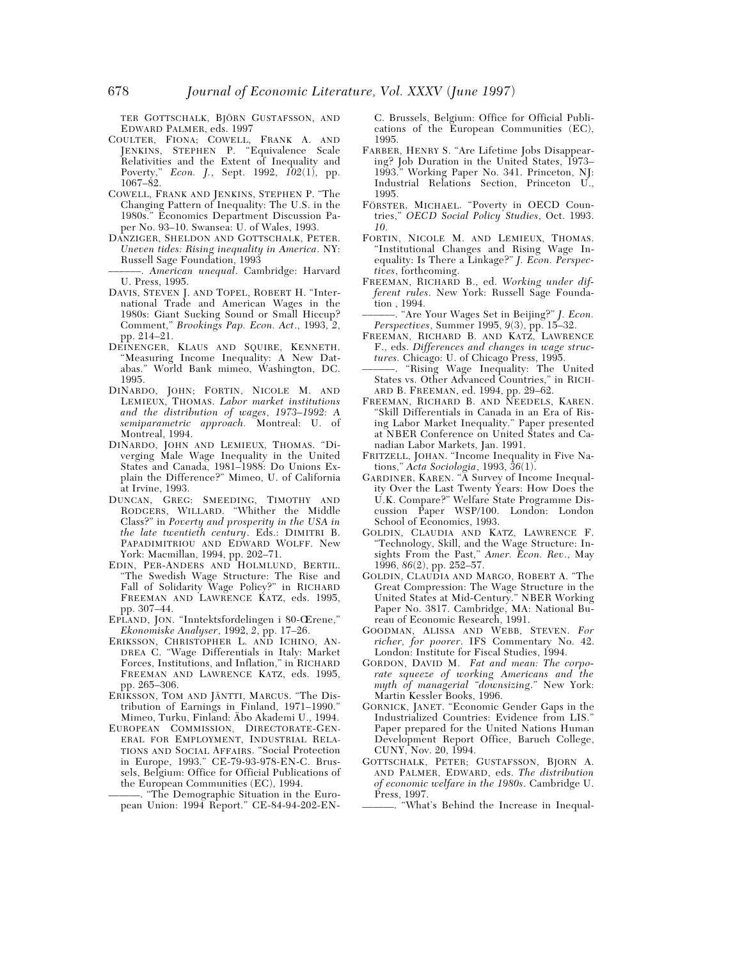TER GOTTSCHALK, BJÖRN GUSTAFSSON, AND EDWARD PALMER, eds. 1997

- COULTER, FIONA; COWELL, FRANK A. AND JENKINS, STEPHEN P. "Equivalence Scale Relativities and the Extent of Inequality and Poverty," *Econ. J.*, Sept. 1992, *102*(1), pp. 1067–82.
- COWELL, FRANK AND JENKINS, STEPHEN P. "The Changing Pattern of Inequality: The U.S. in the 1980s." Economics Department Discussion Paper No. 93–10. Swansea: U. of Wales, 1993.
- DANZIGER, SHELDON AND GOTTSCHALK, PETER. *Uneven tides: Rising inequality in America*. NY: Russell Sage Foundation, 1993
- ––––––. *American unequal*. Cambridge: Harvard U. Press, 1995.
- DAVIS, STEVEN J. AND TOPEL, ROBERT H. "International Trade and American Wages in the 1980s: Giant Sucking Sound or Small Hiccup? Comment," *Brookings Pap. Econ. Act*., 1993, *2*, pp. 214–21.
- DEINENGER, KLAUS AND SQUIRE, KENNETH. "Measuring Income Inequality: A New Databas." World Bank mimeo, Washington, DC. 1995.
- DINARDO, JOHN; FORTIN, NICOLE M. AND LEMIEUX, THOMAS. *Labor market institutions and the distribution of wages*, *1973–1992: A semiparametric approach.* Montreal: U. of Montreal, 1994.
- DINARDO, JOHN AND LEMIEUX, THOMAS. "Diverging Male Wage Inequality in the United States and Canada, 1981–1988: Do Unions Explain the Difference?" Mimeo, U. of California at Irvine, 1993.
- DUNCAN, GREG: SMEEDING, TIMOTHY AND RODGERS, WILLARD. "Whither the Middle Class?" in *Poverty and prosperity in the USA in the late twentieth century*. Eds.: DIMITRI B. PAPADIMITRIOU AND EDWARD WOLFF. New York: Macmillan, 1994, pp. 202–71.
- EDIN, PER-ANDERS AND HOLMLUND, BERTIL. "The Swedish Wage Structure: The Rise and Fall of Solidarity Wage Policy?" in RICHARD FREEMAN AND LAWRENCE KATZ, eds. 1995, pp. 307–44.
- EPLAND, JON. "Inntektsfordelingen i 80-Œrene," *Ekonomiske Analyser*, 1992, *2*, pp. 17–26.
- ERIKSSON, CHRISTOPHER L. AND ICHINO, AN-DREA C. "Wage Differentials in Italy: Market Forces, Institutions, and Inflation," in RICHARD FREEMAN AND LAWRENCE KATZ, eds. 1995, pp. 265–306.
- ERIKSSON, TOM AND JÄNTTI, MARCUS. "The Distribution of Earnings in Finland, 1971–1990." Mimeo, Turku, Finland: Äbo Akademi U., 1994.
- EUROPEAN COMMISSION, DIRECTORATE-GEN-ERAL FOR EMPLOYMENT, INDUSTRIAL RELA-TIONS AND SOCIAL AFFAIRS. "Social Protection in Europe, 1993." CE-79-93-978-EN-C. Brussels, Belgium: Office for Official Publications of the European Communities (EC), 1994.

———. "The Demographic Situation in the European Union: 1994 Report." CE-84-94-202-EN- C. Brussels, Belgium: Office for Official Publications of the European Communities (EC), 1995.

- FARBER, HENRY S. "Are Lifetime Jobs Disappearing? Job Duration in the United States, 1973– 1993." Working Paper No. 341. Princeton, NJ: Industrial Relations Section, Princeton U., 1995.
- FÖRSTER, MICHAEL. "Poverty in OECD Countries," *OECD Social Policy Studies*, Oct. 1993. *10*.
- FORTIN, NICOLE M. AND LEMIEUX, THOMAS. "Institutional Changes and Rising Wage Inequality: Is There a Linkage?" *J. Econ. Perspectives*, forthcoming.
- FREEMAN, RICHARD B., ed. *Working under different rules*. New York: Russell Sage Foundation , 1994.
- ––––––. "Are Your Wages Set in Beijing?" *J. Econ. Perspectives*, Summer 1995, *9*(3), pp. 15–32.
- FREEMAN, RICHARD B. AND KATZ, LAWRENCE F., eds. *Differences and changes in wage structures.* Chicago: U. of Chicago Press, 1995.
- ––––––. "Rising Wage Inequality: The United States vs. Other Advanced Countries," in RICH-ARD B. FREEMAN, ed. 1994, pp. 29–62.
- FREEMAN, RICHARD B. AND NEEDELS, KAREN. "Skill Differentials in Canada in an Era of Rising Labor Market Inequality." Paper presented at NBER Conference on United States and Canadian Labor Markets, Jan. 1991.
- FRITZELL, JOHAN. "Income Inequality in Five Nations," *Acta Sociologia*, 1993, *36*(1).
- GARDINER, KAREN. "A Survey of Income Inequality Over the Last Twenty Years: How Does the U.K. Compare?" Welfare State Programme Discussion Paper WSP/100. London: London School of Economics, 1993.
- GOLDIN, CLAUDIA AND KATZ, LAWRENCE F. "Technology, Skill, and the Wage Structure: Insights From the Past," *Amer. Econ. Rev*., May 1996, *86*(2), pp. 252–57.
- GOLDIN, CLAUDIA AND MARGO, ROBERT A. "The Great Compression: The Wage Structure in the United States at Mid-Century." NBER Working Paper No. 3817. Cambridge, MA: National Bureau of Economic Research, 1991.
- GOODMAN, ALISSA AND WEBB, STEVEN. *For richer, for poorer*. IFS Commentary No. 42. London: Institute for Fiscal Studies, 1994.
- GORDON, DAVID M. *Fat and mean: The corporate squeeze of working Americans and the myth of managerial "downsizing*." New York: Martin Kessler Books, 1996.
- GORNICK, JANET. "Economic Gender Gaps in the Industrialized Countries: Evidence from LIS." Paper prepared for the United Nations Human Development Report Office, Baruch College, CUNY, Nov. 20, 1994.
- GOTTSCHALK, PETER; GUSTAFSSON, BJORN A. AND PALMER, EDWARD, eds. *The distribution of economic welfare in the 1980s*. Cambridge U. Press, 1997.
	- ———. "What's Behind the Increase in Inequal-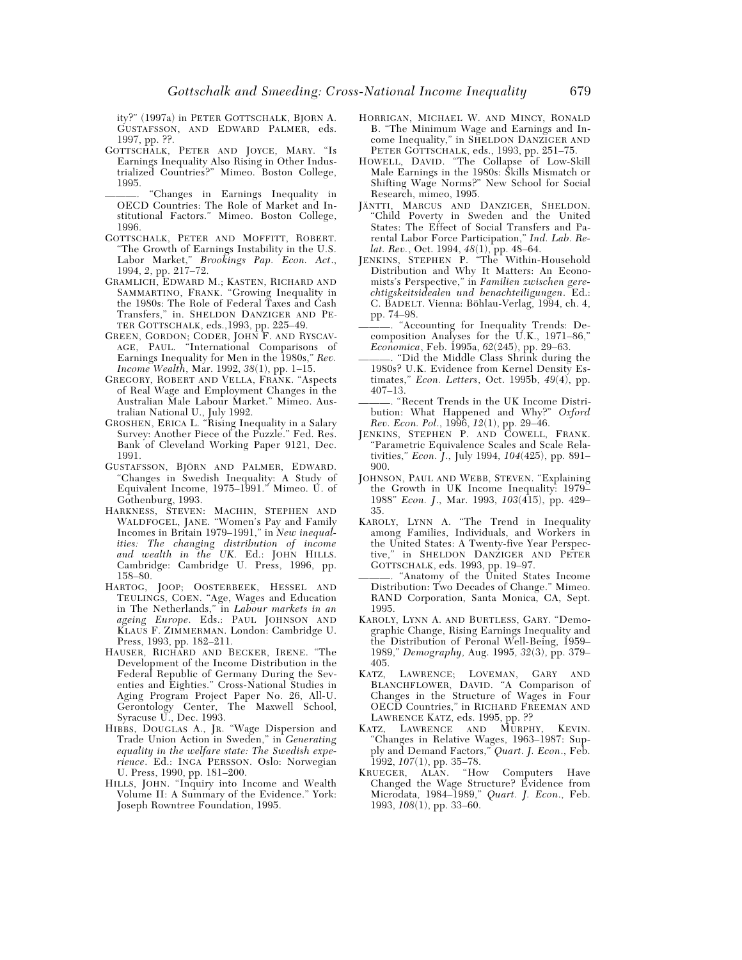ity?" (1997a) in PETER GOTTSCHALK, BJORN A. GUSTAFSSON, AND EDWARD PALMER, eds. 1997, pp. ??.

- GOTTSCHALK, PETER AND JOYCE, MARY. "Is Earnings Inequality Also Rising in Other Industrialized Countries?" Mimeo. Boston College, 1995.
	- "Changes in Earnings Inequality in OECD Countries: The Role of Market and Institutional Factors." Mimeo. Boston College, 1996.
- GOTTSCHALK, PETER AND MOFFITT, ROBERT. "The Growth of Earnings Instability in the U.S. Labor Market," *Brookings Pap. Econ. Act*., 1994, *2*, pp. 217–72.
- GRAMLICH, EDWARD M.; KASTEN, RICHARD AND SAMMARTINO, FRANK. "Growing Inequality in the 1980s: The Role of Federal Taxes and Cash Transfers," in. SHELDON DANZIGER AND PE-TER GOTTSCHALK, eds.,1993, pp. 225–49.
- GREEN, GORDON; CODER, JOHN F. AND RYSCAV-AGE, PAUL. "International Comparisons of Earnings Inequality for Men in the 1980s," *Rev. Income Wealth*, Mar. 1992, *38*(1), pp. 1–15.
- GREGORY, ROBERT AND VELLA, FRANK. "Aspects of Real Wage and Employment Changes in the Australian Male Labour Market." Mimeo. Australian National U., July 1992.
- GROSHEN, ERICA L. "Rising Inequality in a Salary Survey: Another Piece of the Puzzle." Fed. Res. Bank of Cleveland Working Paper 9121, Dec. 1991.
- GUSTAFSSON, BJÖRN AND PALMER, EDWARD. "Changes in Swedish Inequality: A Study of Equivalent Income, 1975–1991." Mimeo. U. of Gothenburg, 1993.
- HARKNESS, STEVEN: MACHIN, STEPHEN AND WALDFOGEL, JANE. "Women's Pay and Family Incomes in Britain 1979–1991," in *New inequalities: The changing distribution of income and wealth in the UK*. Ed.: JOHN HILLS. Cambridge: Cambridge U. Press, 1996, pp. 158–80.
- HARTOG, JOOP; OOSTERBEEK, HESSEL AND TEULINGS, COEN. "Age, Wages and Education in The Netherlands," in *Labour markets in an ageing Europe*. Eds.: PAUL JOHNSON AND KLAUS F. ZIMMERMAN. London: Cambridge U. Press, 1993, pp. 182–211.
- HAUSER, RICHARD AND BECKER, IRENE. "The Development of the Income Distribution in the Federal Republic of Germany During the Seventies and Eighties." Cross-National Studies in Aging Program Project Paper No. 26, All-U. Gerontology Center, The Maxwell School, Syracuse U., Dec. 1993.
- HIBBS, DOUGLAS A., JR. "Wage Dispersion and Trade Union Action in Sweden," in *Generating equality in the welfare state: The Swedish experience*. Ed.: INGA PERSSON. Oslo: Norwegian U. Press, 1990, pp. 181–200.
- HILLS, JOHN. "Inquiry into Income and Wealth Volume II: A Summary of the Evidence." York: Joseph Rowntree Foundation, 1995.
- HORRIGAN, MICHAEL W. AND MINCY, RONALD B. "The Minimum Wage and Earnings and Income Inequality," in SHELDON DANZIGER AND PETER GOTTSCHALK, eds., 1993, pp. 251–75.
- HOWELL, DAVID. "The Collapse of Low-Skill Male Earnings in the 1980s: Skills Mismatch or Shifting Wage Norms?" New School for Social Research, mimeo, 1995.
- JÄNTTI, MARCUS AND DANZIGER, SHELDON. "Child Poverty in Sweden and the United States: The Effect of Social Transfers and Parental Labor Force Participation," *Ind. Lab. Relat. Rev.*, Oct. 1994, *48*(1), pp. 48–64.
- JENKINS, STEPHEN P. "The Within-Household Distribution and Why It Matters: An Economists's Perspective," in *Familien zwischen gerechtigskeitsidealen und benachteiligungen*. Ed.: C. BADELT. Vienna: Böhlau-Verlag, 1994, ch. 4, pp. 74–98.
- Accounting for Inequality Trends: Decomposition Analyses for the U.K., 1971–86," *Economica*, Feb. 1995a, *62*(245), pp. 29–63.
- ———. "Did the Middle Class Shrink during the 1980s? U.K. Evidence from Kernel Density Estimates," *Econ. Letters*, Oct. 1995b, *49*(4), pp. 407–13.
- ———. "Recent Trends in the UK Income Distribution: What Happened and Why?" *Oxford Rev. Econ. Pol*., 1996, *12*(1), pp. 29–46.
- JENKINS, STEPHEN P. AND COWELL, FRANK. "Parametric Equivalence Scales and Scale Relativities," *Econ. J*., July 1994, *104*(425), pp. 891– 900.
- JOHNSON, PAUL AND WEBB, STEVEN. "Explaining the Growth in UK Income Inequality: 1979– 1988" *Econ. J*., Mar. 1993, *103*(415), pp. 429– 35.
- KAROLY, LYNN A. "The Trend in Inequality among Families, Individuals, and Workers in the United States: A Twenty-five Year Perspective," in SHELDON DANZIGER AND PETER GOTTSCHALK, eds. 1993, pp. 19–97.
- ———. "Anatomy of the United States Income Distribution: Two Decades of Change." Mimeo. RAND Corporation, Santa Monica, CA, Sept. 1995.
- KAROLY, LYNN A. AND BURTLESS, GARY. "Demographic Change, Rising Earnings Inequality and the Distribution of Peronal Well-Being, 1959– 1989," *Demography,* Aug. 1995, *32*(3), pp. 379– 405.
- KATZ, LAWRENCE; LOVEMAN, GARY AND BLANCHFLOWER, DAVID. "A Comparison of Changes in the Structure of Wages in Four OECD Countries," in RICHARD FREEMAN AND LAWRENCE KATZ, eds. 1995, pp. ??
- KATZ, LAWRENCE AND MURPHY, KEVIN. "Changes in Relative Wages, 1963–1987: Supply and Demand Factors," *Quart. J. Econ*., Feb. 1992, *107*(1), pp. 35–78.
- KRUEGER, ALAN. "How Computers Have Changed the Wage Structure? Evidence from Microdata, 1984–1989," *Quart. J. Econ*., Feb. 1993, *108*(1), pp. 33–60.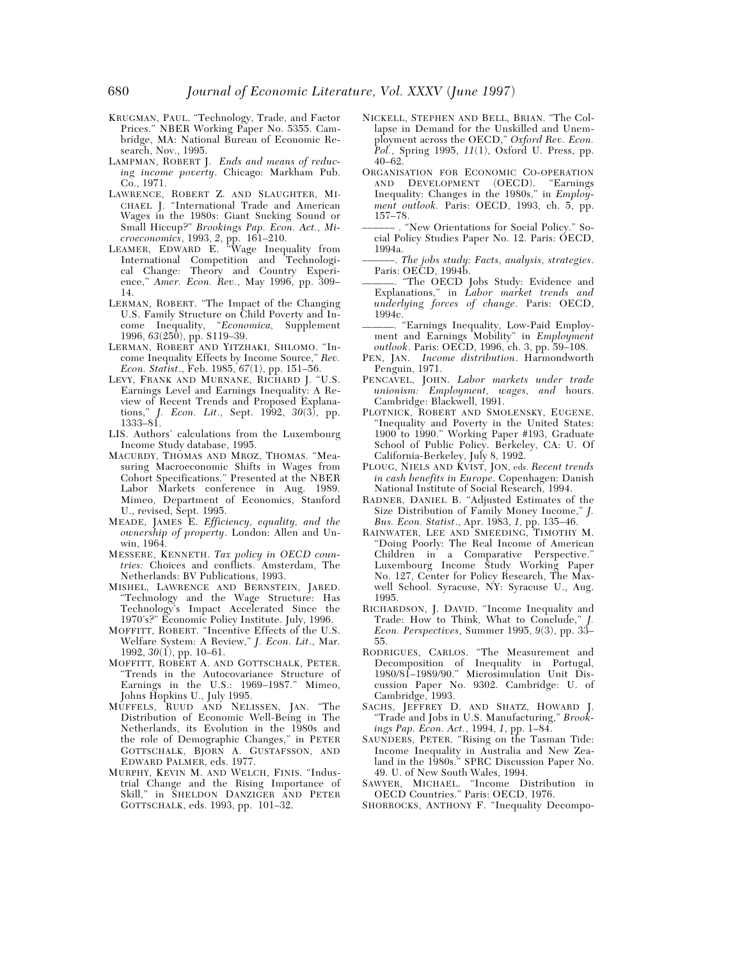- KRUGMAN, PAUL. "Technology, Trade, and Factor Prices." NBER Working Paper No. 5355. Cambridge, MA: National Bureau of Economic Research, Nov., 1995.
- LAMPMAN, ROBERT J. *Ends and means of reducing income poverty*. Chicago: Markham Pub. Co., 1971.
- LAWRENCE, ROBERT Z. AND SLAUGHTER, MI-CHAEL J. "International Trade and American Wages in the 1980s: Giant Sucking Sound or Small Hiccup?" *Brookings Pap. Econ. Act., Microeconomics*, 1993, *2*, pp. 161–210.
- LEAMER, EDWARD E. "Wage Inequality from International Competition and Technological Change: Theory and Country Experience," *Amer. Econ. Rev.*, May 1996, pp. 309– 14.
- LERMAN, ROBERT. "The Impact of the Changing U.S. Family Structure on Child Poverty and Income Inequality, "*Economica,* Supplement 1996, *63*(250), pp. S119–39.
- LERMAN, ROBERT AND YITZHAKI, SHLOMO. "Income Inequality Effects by Income Source," *Rev. Econ. Statist*., Feb. 1985, *67*(1), pp. 151–56.
- LEVY, FRANK AND MURNANE, RICHARD J. "U.S. Earnings Level and Earnings Inequality: A Review of Recent Trends and Proposed Explanations," *J. Econ. Lit*., Sept. 1992, *30*(3), pp. 1333–81.
- LIS. Authors' calculations from the Luxembourg Income Study database, 1995.
- MACURDY, THOMAS AND MROZ, THOMAS. "Measuring Macroeconomic Shifts in Wages from Cohort Specifications." Presented at the NBER Labor Markets conference in Aug. 1989. Mimeo, Department of Economics, Stanford U., revised, Sept. 1995.
- MEADE, JAMES E. *Efficiency, equality, and the ownership of property*. London: Allen and Unwin, 1964.
- MESSERE, KENNETH. *Tax policy in OECD countries:* Choices and conflicts. Amsterdam, The Netherlands: BV Publications, 1993.
- MISHEL, LAWRENCE AND BERNSTEIN, JARED. "Technology and the Wage Structure: Has Technology's Impact Accelerated Since the 1970's?" Economic Policy Institute. July, 1996.
- MOFFITT, ROBERT. "Incentive Effects of the U.S. Welfare System: A Review," *J. Econ. Lit*., Mar. 1992, *30*(1), pp. 10–61.
- MOFFITT, ROBERT A. AND GOTTSCHALK, PETER. "Trends in the Autocovariance Structure of Earnings in the U.S.: 1969–1987." Mimeo, Johns Hopkins U., July 1995.
- MUFFELS, RUUD AND NELISSEN, JAN. "The Distribution of Economic Well-Being in The Netherlands, its Evolution in the 1980s and the role of Demographic Changes," in PETER GOTTSCHALK, BJORN A. GUSTAFSSON, AND EDWARD PALMER, eds. 1977.
- MURPHY, KEVIN M. AND WELCH, FINIS. "Industrial Change and the Rising Importance of Skill," in SHELDON DANZIGER AND PETER GOTTSCHALK, eds. 1993, pp. 101–32.
- NICKELL, STEPHEN AND BELL, BRIAN. "The Collapse in Demand for the Unskilled and Unemployment across the OECD," *Oxford Rev. Econ. Pol.*, Spring 1995, *11*(1), Oxford U. Press, pp. 40–62.
- ORGANISATION FOR ECONOMIC CO-OPERATION<br>AND DEVELOPMENT (OECD). "Earnings AND DEVELOPMENT (OECD). Inequality: Changes in the 1980s," in *Employment outlook.* Paris: OECD, 1993, ch. 5, pp. 157–78.
- –––––– . "New Orientations for Social Policy." Social Policy Studies Paper No. 12. Paris: OECD, 1994a.
- ––––––. *The jobs study: Facts, analysis, strategies*. Paris: OECD, 1994b.
- ———. "The OECD Jobs Study: Evidence and Explanations," in *Labor market trends and underlying forces of change*. Paris: OECD, 1994c.
- . "Earnings Inequality, Low-Paid Employment and Earnings Mobility" in *Employment outlook*. Paris: OECD, 1996, ch. 3, pp. 59–108.
- PEN, JAN. *Income distribution*. Harmondworth Penguin, 1971.
- PENCAVEL, JOHN. *Labor markets under trade unionism: Employment, wages, and* hours. Cambridge: Blackwell, 1991.
- PLOTNICK, ROBERT AND SMOLENSKY, EUGENE. "Inequality and Poverty in the United States: 1900 to 1990." Working Paper #193, Graduate School of Public Policy. Berkeley, CA: U. Of California-Berkeley, July 8, 1992.
- PLOUG, NIELS AND KVIST, JON, eds. *Recent trends in cash benefits in Europe*. Copenhagen: Danish National Institute of Social Research, 1994.
- RADNER, DANIEL B. "Adjusted Estimates of the Size Distribution of Family Money Income," *J. Bus. Econ. Statist*., Apr. 1983, *1,* pp. 135–46.
- RAINWATER, LEE AND SMEEDING, TIMOTHY M. "Doing Poorly: The Real Income of American Children in a Comparative Perspective." Luxembourg Income Study Working Paper No. 127, Center for Policy Research, The Maxwell School. Syracuse, NY: Syracuse U., Aug. 1995.
- RICHARDSON, J. DAVID. "Income Inequality and Trade: How to Think, What to Conclude," *J. Econ. Perspectives*, Summer 1995, *9*(3), pp. 33– 55.
- RODRIGUES, CARLOS. "The Measurement and Decomposition of Inequality in Portugal, 1980/81–1989/90." Microsimulation Unit Discussion Paper No. 9302. Cambridge: U. of Cambridge, 1993.
- SACHS, JEFFREY D. AND SHATZ, HOWARD J. "Trade and Jobs in U.S. Manufacturing," *Brookings Pap. Econ. Act.*, 1994, *1*, pp. 1–84.
- SAUNDERS, PETER. "Rising on the Tasman Tide: Income Inequality in Australia and New Zealand in the 1980s." SPRC Discussion Paper No. 49. U. of New South Wales, 1994.
- SAWYER, MICHAEL. "Income Distribution in OECD Countries." Paris: OECD, 1976.
- SHORROCKS, ANTHONY F. "Inequality Decompo-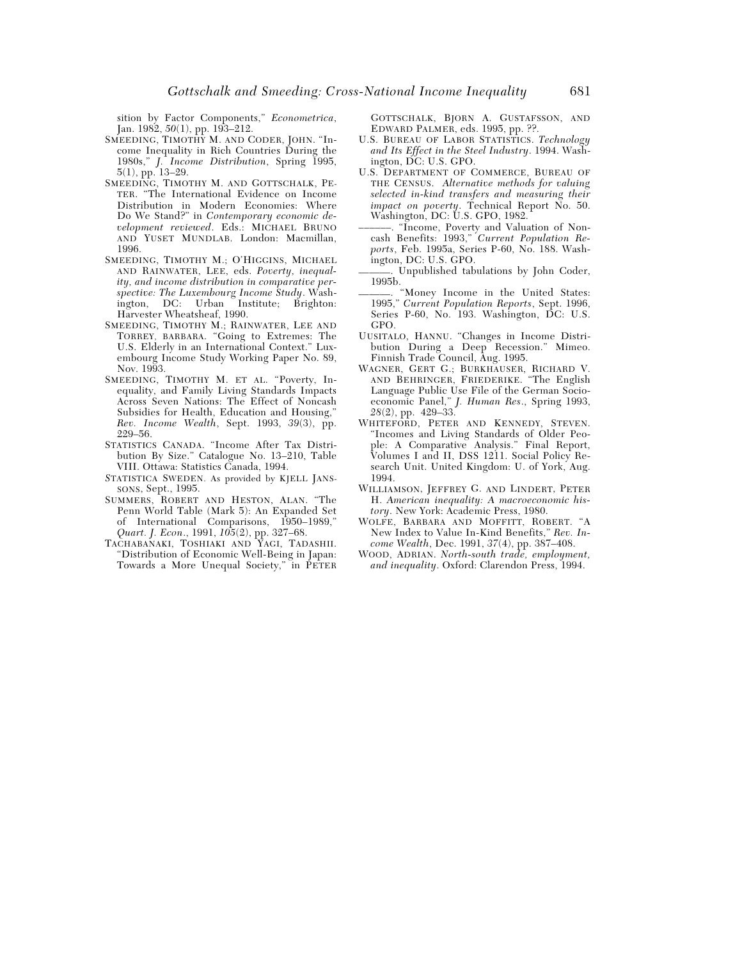sition by Factor Components," *Econometrica*, Jan. 1982, *50*(1), pp. 193–212.

- SMEEDING, TIMOTHY M. AND CODER, JOHN. "Income Inequality in Rich Countries During the 1980s," *J. Income Distribution*, Spring 1995, 5(1), pp. 13–29.
- SMEEDING, TIMOTHY M. AND GOTTSCHALK, PE-TER. "The International Evidence on Income Distribution in Modern Economies: Where Do We Stand?" in *Contemporary economic development reviewed*. Eds.: MICHAEL BRUNO AND YUSET MUNDLAB. London: Macmillan, 1996.
- SMEEDING, TIMOTHY M.; O'HIGGINS, MICHAEL AND RAINWATER, LEE, eds. *Poverty, inequality, and income distribution in comparative perspective: The Luxembourg Income Study*. Wash-Institute; Brighton: Harvester Wheatsheaf, 1990.
- SMEEDING, TIMOTHY M.; RAINWATER, LEE AND TORREY, BARBARA. "Going to Extremes: The U.S. Elderly in an International Context." Luxembourg Income Study Working Paper No. 89, Nov. 1993.
- SMEEDING, TIMOTHY M. ET AL. "Poverty, Inequality, and Family Living Standards Impacts Across Seven Nations: The Effect of Noncash Subsidies for Health, Education and Housing," *Rev. Income Wealth*, Sept. 1993, *39*(3), pp. 229–56.
- STATISTICS CANADA. "Income After Tax Distribution By Size." Catalogue No. 13–210, Table VIII. Ottawa: Statistics Canada, 1994.
- *S*TATISTICA SWEDEN. As provided by KJELL JANS-SONS, Sept., 1995.
- SUMMERS, ROBERT AND HESTON, ALAN. "The Penn World Table (Mark 5): An Expanded Set of International Comparisons, 1950–1989," *Quart. J. Econ*., 1991, *105*(2), pp. 327–68.
- TACHABANAKI, TOSHIAKI AND YAGI, TADASHII. "Distribution of Economic Well-Being in Japan: Towards a More Unequal Society," in PETER

GOTTSCHALK, BJORN A. GUSTAFSSON, AND EDWARD PALMER, eds. 1995, pp. ??.

- U.S. BUREAU OF LABOR STATISTICS. *Technology and Its Effect in the Steel Industry*. 1994. Washington, DC: U.S. GPO.
- U.S. DEPARTMENT OF COMMERCE, BUREAU OF THE CENSUS. *Alternative methods for valuing selected in-kind transfers and measuring their impact on poverty*. Technical Report No. 50. Washington, DC: U.S. GPO, 1982.
- ––––––. "Income, Poverty and Valuation of Noncash Benefits: 1993," *Current Population Reports*, Feb. 1995a, Series P-60, No. 188. Washington, DC: U.S. GPO.
- ———. Unpublished tabulations by John Coder, 1995b.
- ———. "Money Income in the United States: 1995," *Current Population Reports*, Sept. 1996, Series P-60, No. 193. Washington, DC: U.S. GPO.
- UUSITALO, HANNU. "Changes in Income Distribution During a Deep Recession." Mimeo. Finnish Trade Council, Aug. 1995.
- WAGNER, GERT G.; BURKHAUSER, RICHARD V. AND BEHRINGER, FRIEDERIKE. "The English Language Public Use File of the German Socioeconomic Panel," *J. Human Res*., Spring 1993, *28*(2), pp. 429–33.
- WHITEFORD, PETER AND KENNEDY, STEVEN. "Incomes and Living Standards of Older People: A Comparative Analysis." Final Report, Volumes I and II, DSS 1211. Social Policy Research Unit. United Kingdom: U. of York, Aug. 1994.
- WILLIAMSON, JEFFREY G. AND LINDERT, PETER H. *American inequality: A macroeconomic history*. New York: Academic Press, 1980.
- WOLFE, BARBARA AND MOFFITT, ROBERT. "A New Index to Value In-Kind Benefits," *Rev. Income Wealth*, Dec. 1991, *37*(4), pp. 387–408.
- WOOD, ADRIAN. *North-south trade, employment, and inequality*. Oxford: Clarendon Press, 1994.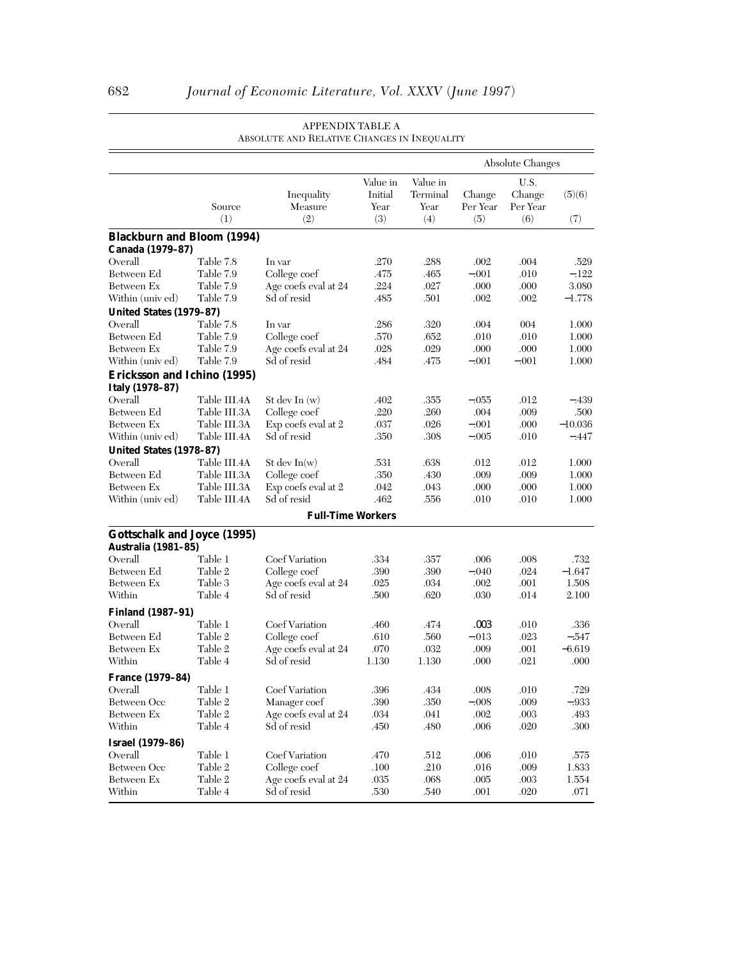|                                    |                        |                              |                                    |                                     |                           | <b>Absolute Changes</b>           |                 |
|------------------------------------|------------------------|------------------------------|------------------------------------|-------------------------------------|---------------------------|-----------------------------------|-----------------|
|                                    | Source<br>(1)          | Inequality<br>Measure<br>(2) | Value in<br>Initial<br>Year<br>(3) | Value in<br>Terminal<br>Year<br>(4) | Change<br>Per Year<br>(5) | U.S.<br>Change<br>Per Year<br>(6) | (5)(6)<br>(7)   |
| <b>Blackburn and Bloom (1994)</b>  |                        |                              |                                    |                                     |                           |                                   |                 |
| Canada (1979-87)                   |                        |                              |                                    |                                     |                           |                                   |                 |
| Overall<br>Between Ed              | Table 7.8<br>Table 7.9 | In var<br>College coef       | .270<br>.475                       | .288<br>.465                        | .002<br>$-.001$           | .004<br>.010                      | .529<br>$-.122$ |
| Between Ex                         | Table 7.9              | Age coefs eval at 24         | .224                               | .027                                | .000                      | .000                              | 3.080           |
| Within (univ ed)                   | Table 7.9              | Sd of resid                  | .485                               | .501                                | .002                      | .002                              | $-1.778$        |
| United States (1979-87)            |                        |                              |                                    |                                     |                           |                                   |                 |
| Overall                            | Table 7.8              | In var                       | .286                               | .320                                | .004                      | 004                               | 1.000           |
| Between Ed                         | Table 7.9              | College coef                 | .570                               | .652                                | .010                      | .010                              | 1.000           |
| Between Ex                         | Table 7.9              | Age coefs eval at 24         | .028                               | .029                                | .000                      | .000                              | 1.000           |
| Within (univ ed)                   | Table 7.9              | Sd of resid                  | .484                               | .475                                | $-.001$                   | $-.001$                           | 1.000           |
| Ericksson and Ichino (1995)        |                        |                              |                                    |                                     |                           |                                   |                 |
| Italy (1978-87)                    |                        |                              |                                    |                                     |                           |                                   |                 |
| Overall                            | Table III.4A           | St dev In $(w)$              | .402                               | .355                                | $-.055$                   | .012                              | $-.439$         |
| Between Ed                         | Table III.3A           | College coef                 | .220                               | .260                                | .004                      | .009                              | .500            |
| Between Ex                         | Table III.3A           | Exp coefs eval at 2          | .037                               | .026                                | $-.001$                   | .000                              | $-10.036$       |
| Within (univ ed)                   | Table III.4A           | Sd of resid                  | .350                               | .308                                | $-.005$                   | .010                              | -.447           |
| United States (1978-87)            |                        |                              |                                    |                                     |                           |                                   |                 |
| Overall                            | Table III.4A           | St dev $In(w)$               | .531                               | .638                                | .012                      | .012                              | 1.000           |
| Between Ed                         | Table III.3A           | College coef                 | .350                               | .430                                | .009                      | .009                              | 1.000           |
| Between Ex                         | Table III.3A           | Exp coefs eval at 2          | .042                               | .043                                | .000                      | .000                              | 1.000           |
| Within (univ ed)                   | Table III.4A           | Sd of resid                  | .462                               | .556                                | .010                      | .010                              | 1.000           |
|                                    |                        | <b>Full-Time Workers</b>     |                                    |                                     |                           |                                   |                 |
| <b>Gottschalk and Joyce (1995)</b> |                        |                              |                                    |                                     |                           |                                   |                 |
| Australia (1981-85)                |                        |                              |                                    |                                     |                           |                                   |                 |
| Overall                            | Table 1                | Coef Variation               | .334                               | .357                                | .006                      | .008                              | .732            |
| Between Ed                         | Table 2                | College coef                 | .390                               | .390                                | $-.040$                   | .024                              | $-1.647$        |
| Between Ex                         | Table 3                | Age coefs eval at 24         | .025                               | .034                                | .002                      | .001                              | 1.508           |
| Within                             | Table 4                | Sd of resid                  | .500                               | .620                                | .030                      | .014                              | 2.100           |
| <b>Finland (1987-91)</b>           |                        |                              |                                    |                                     |                           |                                   |                 |
| Overall                            | Table 1                | Coef Variation               | .460                               | .474                                | .003                      | .010                              | .336            |
| Between Ed                         | Table 2                | College coef                 | .610                               | .560                                | $-.013$                   | .023                              | $-.547$         |
| Between Ex                         | Table 2                | Age coefs eval at 24         | .070                               | .032                                | .009                      | .001                              | $-6.619$        |
| Within                             | Table 4                | Sd of resid                  | 1.130                              | 1.130                               | .000                      | .021                              | .000            |
| France (1979-84)                   |                        |                              |                                    |                                     |                           |                                   |                 |
| Overall                            | Table 1                | Coef Variation               | .396                               | .434                                | .008                      | .010                              | .729            |
| Between Occ                        | Table 2                | Manager coef                 | .390                               | .350                                | $-.008$                   | .009                              | $-.933$         |
| Between Ex                         | Table 2                | Age coefs eval at 24         | .034                               | .041                                | .002                      | .003                              | .493            |
| Within                             | Table 4                | Sd of resid                  | .450                               | .480                                | .006                      | .020                              | .300            |
| <b>Israel</b> (1979-86)            |                        |                              |                                    |                                     |                           |                                   |                 |
| Overall                            | Table 1                | Coef Variation               | .470                               | .512                                | .006                      | .010                              | .575            |
| Between Occ                        | Table 2                | College coef                 | .100                               | .210                                | .016                      | .009                              | 1.833           |
| Between Ex                         | Table 2                | Age coefs eval at 24         | .035                               | .068                                | .005                      | .003                              | 1.554           |
| Within                             | Table 4                | Sd of resid                  | .530                               | .540                                | .001                      | .020                              | .071            |
|                                    |                        |                              |                                    |                                     |                           |                                   |                 |

#### APPENDIX TABLE A ABSOLUTE AND RELATIVE CHANGES IN INEQUALITY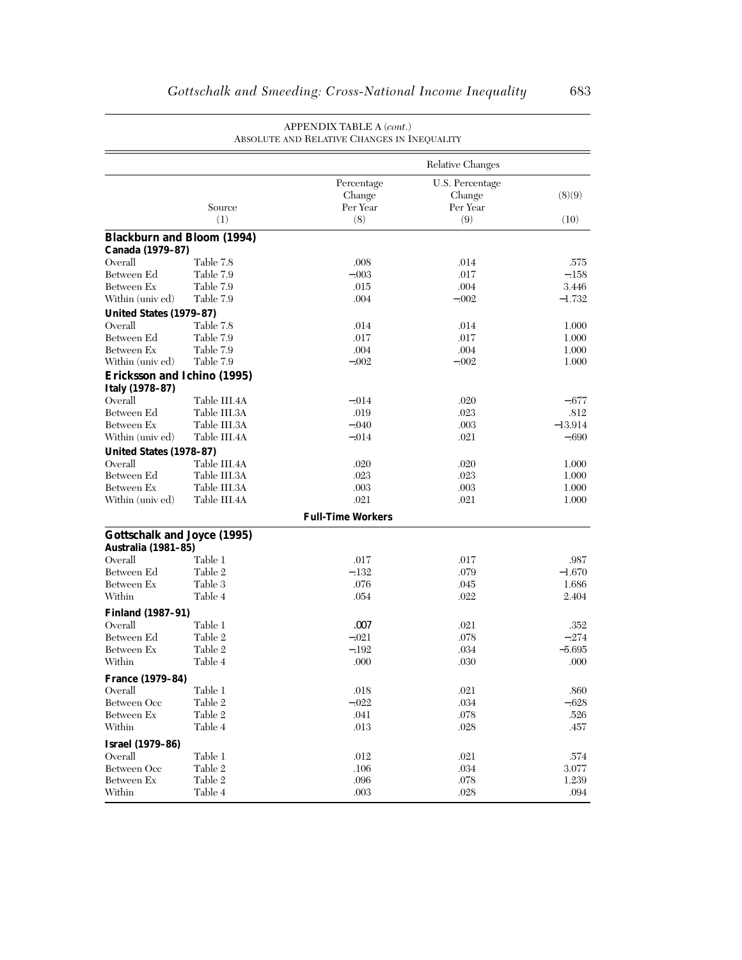|                                                           |               | ABSOLUTE AND RELATIVE CHANGES IN INEQUALITY |                                              |                 |
|-----------------------------------------------------------|---------------|---------------------------------------------|----------------------------------------------|-----------------|
|                                                           |               |                                             | Relative Changes                             |                 |
|                                                           | Source<br>(1) | Percentage<br>Change<br>Per Year<br>(8)     | U.S. Percentage<br>Change<br>Per Year<br>(9) | (8)(9)<br>(10)  |
| <b>Blackburn and Bloom (1994)</b>                         |               |                                             |                                              |                 |
| Canada (1979-87)                                          |               |                                             |                                              |                 |
| Overall                                                   | Table 7.8     | .008                                        | .014                                         | .575            |
| Between Ed                                                | Table 7.9     | $-.003$                                     | .017                                         | $-.158$         |
| Between Ex                                                | Table 7.9     | .015                                        | .004                                         | 3.446           |
| Within (univ ed)                                          | Table 7.9     | .004                                        | $-.002$                                      | $-1.732$        |
| United States (1979-87)                                   |               |                                             |                                              |                 |
| Overall                                                   | Table 7.8     | .014                                        | .014                                         | 1.000           |
| Between Ed                                                | Table 7.9     | .017                                        | .017                                         | 1.000           |
| Between Ex                                                | Table 7.9     | .004                                        | .004                                         | 1.000           |
| Within (univ ed)                                          | Table 7.9     | $-.002$                                     | $-.002$                                      | 1.000           |
| Ericksson and Ichino (1995)                               |               |                                             |                                              |                 |
| Italy (1978-87)                                           |               |                                             |                                              |                 |
| Overall                                                   | Table III.4A  | $-.014$                                     | .020                                         | -.677           |
| Between Ed                                                | Table III.3A  | .019                                        | .023                                         | .812            |
| Between Ex                                                | Table III.3A  | $-.040$                                     | .003                                         | $-13.914$       |
| Within (univ ed)                                          | Table III.4A  | $-.014$                                     | .021                                         | $-.690$         |
| United States (1978-87)                                   |               |                                             |                                              |                 |
| Overall                                                   | Table III.4A  | .020                                        | .020                                         | 1.000           |
| Between Ed                                                | Table III.3A  | .023                                        | .023                                         | 1.000           |
| Between Ex                                                | Table III.3A  | .003                                        | .003                                         | 1.000           |
| Within (univ ed)                                          | Table III.4A  | .021                                        | .021                                         | 1.000           |
|                                                           |               | <b>Full-Time Workers</b>                    |                                              |                 |
|                                                           |               |                                             |                                              |                 |
| <b>Gottschalk and Joyce (1995)</b><br>Australia (1981-85) |               |                                             |                                              |                 |
| Overall                                                   | Table 1       | .017                                        | .017                                         | .987            |
| Between Ed                                                | Table 2       | $-.132$                                     | .079                                         | $-1.670$        |
| Between Ex                                                | Table 3       | .076                                        | .045                                         | 1.686           |
| Within                                                    | Table 4       | .054                                        | .022                                         | 2.404           |
|                                                           |               |                                             |                                              |                 |
| <b>Finland (1987-91)</b><br>Overall                       | Table 1       |                                             |                                              |                 |
| Between Ed                                                | Table 2       | .007<br>$-.021$                             | .021<br>.078                                 | .352<br>$-.274$ |
| Between Ex                                                | Table 2       | $-.192$                                     | .034                                         | $-5.695$        |
| Within                                                    | Table 4       | .000                                        | .030                                         | .000            |
|                                                           |               |                                             |                                              |                 |
| <b>France (1979–84)</b>                                   |               |                                             |                                              |                 |
| Overall                                                   | Table 1       | .018                                        | .021                                         | .860            |
| Between Occ                                               | Table 2       | $-.022$                                     | .034                                         | $-.628$         |
| Between Ex                                                | Table 2       | .041                                        | .078                                         | .526            |
| Within                                                    | Table 4       | .013                                        | .028                                         | .457            |
| <b>Israel</b> (1979-86)                                   |               |                                             |                                              |                 |
| Overall                                                   | Table 1       | .012                                        | .021                                         | .574            |
| Between Occ                                               | Table 2       | .106                                        | .034                                         | 3.077           |
| Between Ex                                                | Table 2       | .096                                        | .078                                         | 1.239           |
| Within                                                    | Table 4       | .003                                        | .028                                         | .094            |

#### APPENDIX TABLE A (*cont*.) ABSOLUTE AND RELATIVE CHANGES IN INEQUALITY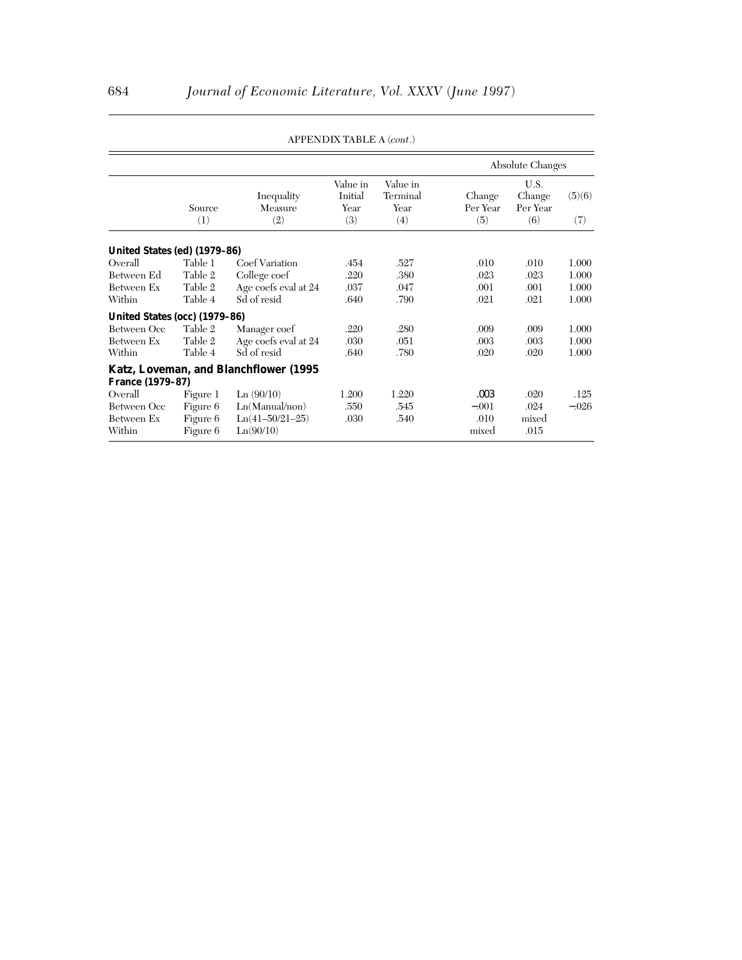|                                                |                                              |                                                               |                                    |                                     | <b>Absolute Changes</b>          |                                   |                 |
|------------------------------------------------|----------------------------------------------|---------------------------------------------------------------|------------------------------------|-------------------------------------|----------------------------------|-----------------------------------|-----------------|
|                                                | Source<br>(1)                                | Inequality<br>Measure<br>(2)                                  | Value in<br>Initial<br>Year<br>(3) | Value in<br>Terminal<br>Year<br>(4) | Change<br>Per Year<br>(5)        | U.S.<br>Change<br>Per Year<br>(6) | (5)(6)<br>(7)   |
| United States (ed) (1979-86)                   |                                              |                                                               |                                    |                                     |                                  |                                   |                 |
| Overall                                        | Table 1                                      | Coef Variation                                                | .454                               | .527                                | .010                             | .010                              | 1.000           |
| Between Ed                                     | Table 2                                      | College coef                                                  | .220                               | .380                                | .023                             | .023                              | 1.000           |
| Between Ex                                     | Table 2                                      | Age coefs eval at 24                                          | .037                               | .047                                | .001                             | .001                              | 1.000           |
| Within                                         | Table 4                                      | Sd of resid                                                   | .640                               | .790                                | .021                             | .021                              | 1.000           |
| United States (occ) (1979-86)                  |                                              |                                                               |                                    |                                     |                                  |                                   |                 |
| Between Occ                                    | Table 2                                      | Manager coef                                                  | .220                               | .280                                | .009                             | .009                              | 1.000           |
| Between Ex                                     | Table 2                                      | Age coefs eval at 24                                          | .030                               | .051                                | .003                             | .003                              | 1.000           |
| Within                                         | Table 4                                      | Sd of resid                                                   | .640                               | .780                                | .020                             | .020                              | 1.000           |
|                                                |                                              | <b>Katz, Loveman, and Blanchflower (1995)</b>                 |                                    |                                     |                                  |                                   |                 |
| <b>France (1979-87)</b>                        |                                              |                                                               |                                    |                                     |                                  |                                   |                 |
| Overall<br>Between Occ<br>Between Ex<br>Within | Figure 1<br>Figure 6<br>Figure 6<br>Figure 6 | Ln(90/10)<br>Ln(Manual/non)<br>$Ln(41-50/21-25)$<br>Ln(90/10) | 1.200<br>.550<br>.030              | 1.220<br>.545<br>.540               | .003<br>$-.001$<br>.010<br>mixed | .020<br>.024<br>mixed<br>.015     | .125<br>$-.026$ |

APPENDIX TABLE A (*cont*.)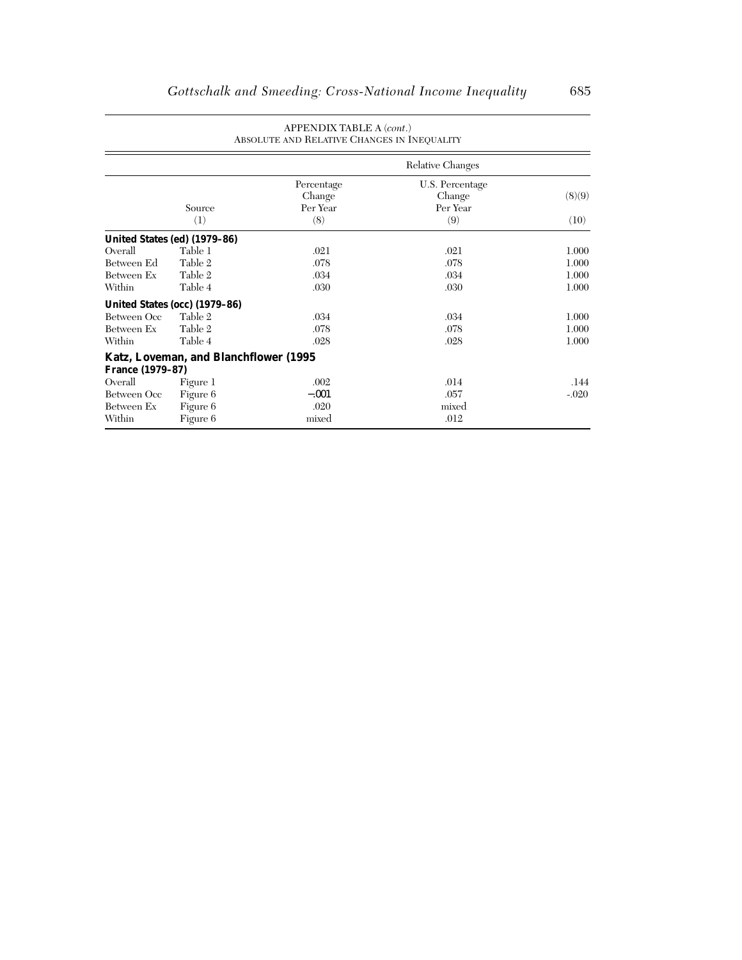|                         |                                               | APPENDIX TABLE A (cont.)<br>ABSOLUTE AND RELATIVE CHANGES IN INEQUALITY |                                              |                |  |  |  |  |
|-------------------------|-----------------------------------------------|-------------------------------------------------------------------------|----------------------------------------------|----------------|--|--|--|--|
|                         | Relative Changes                              |                                                                         |                                              |                |  |  |  |  |
|                         | Source<br>(1)                                 | Percentage<br>Change<br>Per Year<br>(8)                                 | U.S. Percentage<br>Change<br>Per Year<br>(9) | (8)(9)<br>(10) |  |  |  |  |
|                         | United States (ed) (1979-86)                  |                                                                         |                                              |                |  |  |  |  |
| Overall                 | Table 1                                       | .021                                                                    | .021                                         | 1.000          |  |  |  |  |
| Between Ed              | Table 2                                       | .078                                                                    | .078                                         | 1.000          |  |  |  |  |
| Between Ex              | Table 2                                       | .034                                                                    | .034                                         | 1.000          |  |  |  |  |
| Within                  | Table 4                                       | .030                                                                    | .030                                         | 1.000          |  |  |  |  |
|                         | United States (occ) (1979-86)                 |                                                                         |                                              |                |  |  |  |  |
| Between Occ             | Table 2                                       | .034                                                                    | .034                                         | 1.000          |  |  |  |  |
| Between Ex              | Table 2                                       | .078                                                                    | .078                                         | 1.000          |  |  |  |  |
| Within                  | Table 4                                       | .028                                                                    | .028                                         | 1.000          |  |  |  |  |
| <b>France (1979-87)</b> | <b>Katz, Loveman, and Blanchflower (1995)</b> |                                                                         |                                              |                |  |  |  |  |
| Overall                 | Figure 1                                      | .002                                                                    | .014                                         | .144           |  |  |  |  |
| Between Occ             | Figure 6                                      | $-.001$                                                                 | .057                                         | $-.020$        |  |  |  |  |
| Between Ex              | Figure 6                                      | .020                                                                    | mixed                                        |                |  |  |  |  |
| Within                  | Figure 6                                      | mixed                                                                   | .012                                         |                |  |  |  |  |

# APPENDIX TABLE A (*cont*.)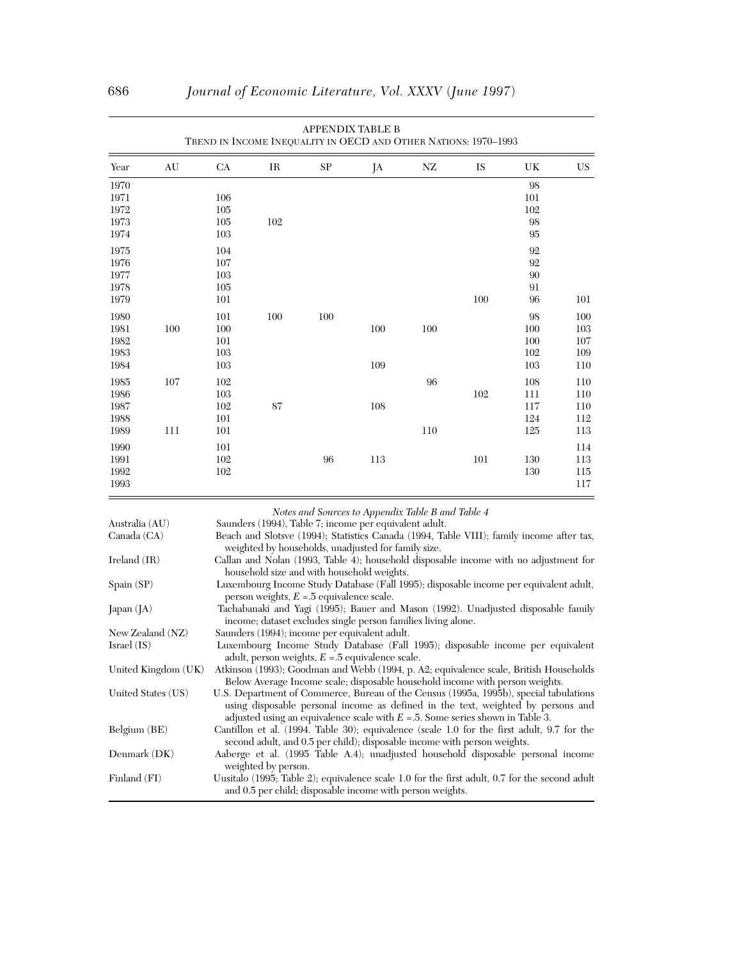| TREND IN INCOME INEQUALITY IN OECD AND OTHER NATIONS: 1970-1993 |     |         |     |          |     |     |     |        |           |
|-----------------------------------------------------------------|-----|---------|-----|----------|-----|-----|-----|--------|-----------|
| Year                                                            | AU  | CA      | IR  | $\rm SP$ | JA  | NZ  | IS  | UK     | <b>US</b> |
| 1970                                                            |     |         |     |          |     |     |     | 98     |           |
| 1971                                                            |     | 106     |     |          |     |     |     | 101    |           |
| 1972                                                            |     | 105     |     |          |     |     |     | 102    |           |
| 1973                                                            |     | $105\,$ | 102 |          |     |     |     | 98     |           |
| 1974                                                            |     | 103     |     |          |     |     |     | $95\,$ |           |
| 1975                                                            |     | 104     |     |          |     |     |     | 92     |           |
| 1976                                                            |     | 107     |     |          |     |     |     | 92     |           |
| 1977                                                            |     | 103     |     |          |     |     |     | 90     |           |
| 1978                                                            |     | $105\,$ |     |          |     |     |     | 91     |           |
| 1979                                                            |     | 101     |     |          |     |     | 100 | 96     | 101       |
| 1980                                                            |     | 101     | 100 | 100      |     |     |     | 98     | 100       |
| 1981                                                            | 100 | 100     |     |          | 100 | 100 |     | 100    | 103       |
| 1982                                                            |     | 101     |     |          |     |     |     | 100    | 107       |
| 1983                                                            |     | 103     |     |          |     |     |     | 102    | 109       |
| 1984                                                            |     | 103     |     |          | 109 |     |     | 103    | 110       |
| 1985                                                            | 107 | 102     |     |          |     | 96  |     | 108    | 110       |
| 1986                                                            |     | 103     |     |          |     |     | 102 | 111    | $110\,$   |
| 1987                                                            |     | 102     | 87  |          | 108 |     |     | 117    | 110       |
| 1988                                                            |     | 101     |     |          |     |     |     | 124    | 112       |
| 1989                                                            | 111 | 101     |     |          |     | 110 |     | 125    | 113       |
| 1990                                                            |     | 101     |     |          |     |     |     |        | 114       |
| 1991                                                            |     | 102     |     | 96       | 113 |     | 101 | 130    | 113       |
| 1992                                                            |     | 102     |     |          |     |     |     | 130    | 115       |
| 1993                                                            |     |         |     |          |     |     |     |        | 117       |

| <b>APPENDIX TABLE B</b>                                         |
|-----------------------------------------------------------------|
| FREND IN INCOME INEQUALITY IN OECD AND OTHER NATIONS: 1970–1993 |

 *Notes and Sources to Appendix Table B and Table 4*

| Australia (AU)      | Saunders (1994), Table 7; income per equivalent adult.                                        |
|---------------------|-----------------------------------------------------------------------------------------------|
| Canada (CA)         | Beach and Slotsve (1994); Statistics Canada (1994, Table VIII); family income after tax,      |
|                     | weighted by households, unadjusted for family size.                                           |
| Ireland $(IR)$      | Callan and Nolan (1993, Table 4); household disposable income with no adjustment for          |
|                     | household size and with household weights.                                                    |
| Spain (SP)          | Luxembourg Income Study Database (Fall 1995); disposable income per equivalent adult,         |
|                     | person weights, $E = 5$ equivalence scale.                                                    |
| Japan $(IA)$        | Tachabanaki and Yagi (1995); Bauer and Mason (1992). Unadjusted disposable family             |
|                     | income; dataset excludes single person families living alone.                                 |
| New Zealand (NZ)    | Saunders (1994); income per equivalent adult.                                                 |
| Israel (IS)         | Luxembourg Income Study Database (Fall 1995); disposable income per equivalent                |
|                     | adult, person weights, $E = 5$ equivalence scale.                                             |
| United Kingdom (UK) | Atkinson (1993); Goodman and Webb (1994, p. A2; equivalence scale, British Households         |
|                     | Below Average Income scale; disposable household income with person weights.                  |
| United States (US)  | U.S. Department of Commerce, Bureau of the Census (1995a, 1995b), special tabulations         |
|                     | using disposable personal income as defined in the text, weighted by persons and              |
|                     | adjusted using an equivalence scale with $E = 5$ . Some series shown in Table 3.              |
| Belgium (BE)        | Cantillon et al. (1994. Table 30); equivalence (scale 1.0 for the first adult, 9.7 for the    |
|                     | second adult, and 0.5 per child); disposable income with person weights.                      |
| Denmark (DK)        | Aaberge et al. (1995 Table A.4); unadjusted household disposable personal income              |
|                     | weighted by person.                                                                           |
| Finland (FI)        | Uusitalo (1995; Table 2); equivalence scale 1.0 for the first adult, 0.7 for the second adult |
|                     | and 0.5 per child; disposable income with person weights.                                     |
|                     |                                                                                               |